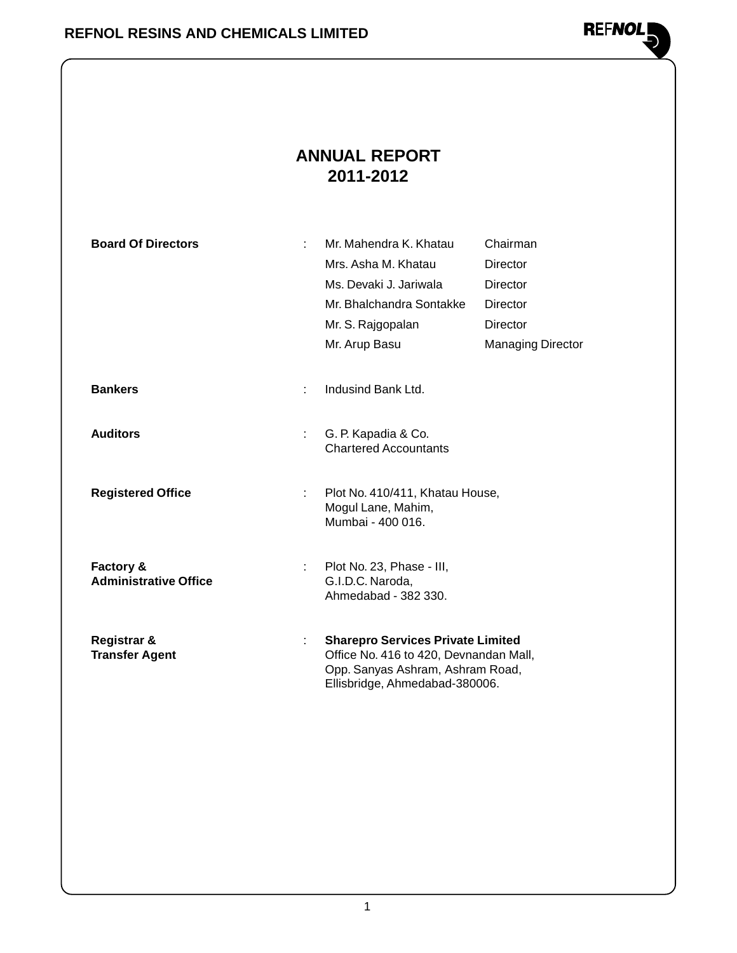

### **ANNUAL REPORT 2011-2012**

| <b>Board Of Directors</b>    | ÷  | Mr. Mahendra K. Khatau                                             | Chairman                 |
|------------------------------|----|--------------------------------------------------------------------|--------------------------|
|                              |    | Mrs. Asha M. Khatau                                                | Director                 |
|                              |    | Ms. Devaki J. Jariwala                                             | Director                 |
|                              |    | Mr. Bhalchandra Sontakke                                           | Director                 |
|                              |    | Mr. S. Rajgopalan                                                  | <b>Director</b>          |
|                              |    | Mr. Arup Basu                                                      | <b>Managing Director</b> |
|                              |    |                                                                    |                          |
| <b>Bankers</b>               | ÷. | Indusind Bank Ltd.                                                 |                          |
|                              |    |                                                                    |                          |
| <b>Auditors</b>              | t. | G. P. Kapadia & Co.                                                |                          |
|                              |    | <b>Chartered Accountants</b>                                       |                          |
|                              |    |                                                                    |                          |
| <b>Registered Office</b>     | t. | Plot No. 410/411, Khatau House,<br>Mogul Lane, Mahim,              |                          |
|                              |    | Mumbai - 400 016.                                                  |                          |
|                              |    |                                                                    |                          |
| Factory &                    |    | Plot No. 23, Phase - III,                                          |                          |
| <b>Administrative Office</b> |    | G.I.D.C. Naroda,<br>Ahmedabad - 382 330.                           |                          |
|                              |    |                                                                    |                          |
| Registrar &                  |    | <b>Sharepro Services Private Limited</b>                           |                          |
| <b>Transfer Agent</b>        |    | Office No. 416 to 420, Devnandan Mall,                             |                          |
|                              |    | Opp. Sanyas Ashram, Ashram Road,<br>Ellisbridge, Ahmedabad-380006. |                          |
|                              |    |                                                                    |                          |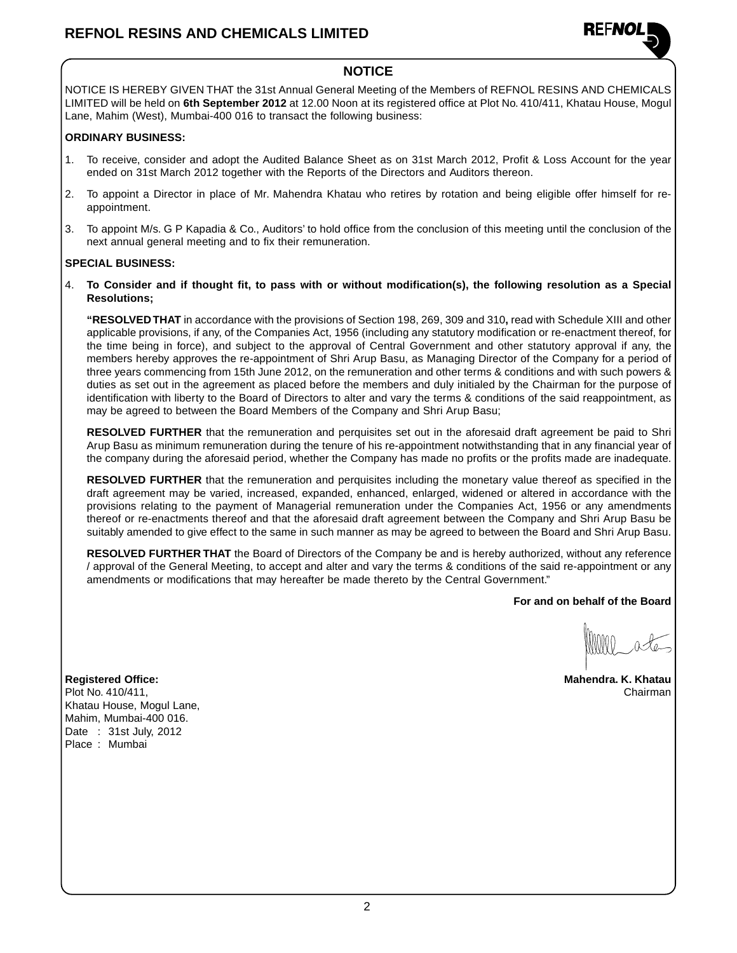

### **NOTICE**

NOTICE IS HEREBY GIVEN THAT the 31st Annual General Meeting of the Members of REFNOL RESINS AND CHEMICALS LIMITED will be held on **6th September 2012** at 12.00 Noon at its registered office at Plot No. 410/411, Khatau House, Mogul Lane, Mahim (West), Mumbai-400 016 to transact the following business:

### **ORDINARY BUSINESS:**

- 1. To receive, consider and adopt the Audited Balance Sheet as on 31st March 2012, Profit & Loss Account for the year ended on 31st March 2012 together with the Reports of the Directors and Auditors thereon.
- 2. To appoint a Director in place of Mr. Mahendra Khatau who retires by rotation and being eligible offer himself for reappointment.
- 3. To appoint M/s. G P Kapadia & Co., Auditors' to hold office from the conclusion of this meeting until the conclusion of the next annual general meeting and to fix their remuneration.

### **SPECIAL BUSINESS:**

4. **To Consider and if thought fit, to pass with or without modification(s), the following resolution as a Special Resolutions;**

**"RESOLVED THAT** in accordance with the provisions of Section 198, 269, 309 and 310**,** read with Schedule XIII and other applicable provisions, if any, of the Companies Act, 1956 (including any statutory modification or re-enactment thereof, for the time being in force), and subject to the approval of Central Government and other statutory approval if any, the members hereby approves the re-appointment of Shri Arup Basu, as Managing Director of the Company for a period of three years commencing from 15th June 2012, on the remuneration and other terms & conditions and with such powers & duties as set out in the agreement as placed before the members and duly initialed by the Chairman for the purpose of identification with liberty to the Board of Directors to alter and vary the terms & conditions of the said reappointment, as may be agreed to between the Board Members of the Company and Shri Arup Basu;

**RESOLVED FURTHER** that the remuneration and perquisites set out in the aforesaid draft agreement be paid to Shri Arup Basu as minimum remuneration during the tenure of his re-appointment notwithstanding that in any financial year of the company during the aforesaid period, whether the Company has made no profits or the profits made are inadequate.

**RESOLVED FURTHER** that the remuneration and perquisites including the monetary value thereof as specified in the draft agreement may be varied, increased, expanded, enhanced, enlarged, widened or altered in accordance with the provisions relating to the payment of Managerial remuneration under the Companies Act, 1956 or any amendments thereof or re-enactments thereof and that the aforesaid draft agreement between the Company and Shri Arup Basu be suitably amended to give effect to the same in such manner as may be agreed to between the Board and Shri Arup Basu.

**RESOLVED FURTHER THAT** the Board of Directors of the Company be and is hereby authorized, without any reference / approval of the General Meeting, to accept and alter and vary the terms & conditions of the said re-appointment or any amendments or modifications that may hereafter be made thereto by the Central Government."

**For and on behalf of the Board**

**Registered Office: Mahendra. K. Khatau** Plot No. 410/411, Chairman Chairman Chairman Chairman Chairman Chairman Chairman Chairman Chairman Khatau House, Mogul Lane, Mahim, Mumbai-400 016. Date : 31st July, 2012 Place : Mumbai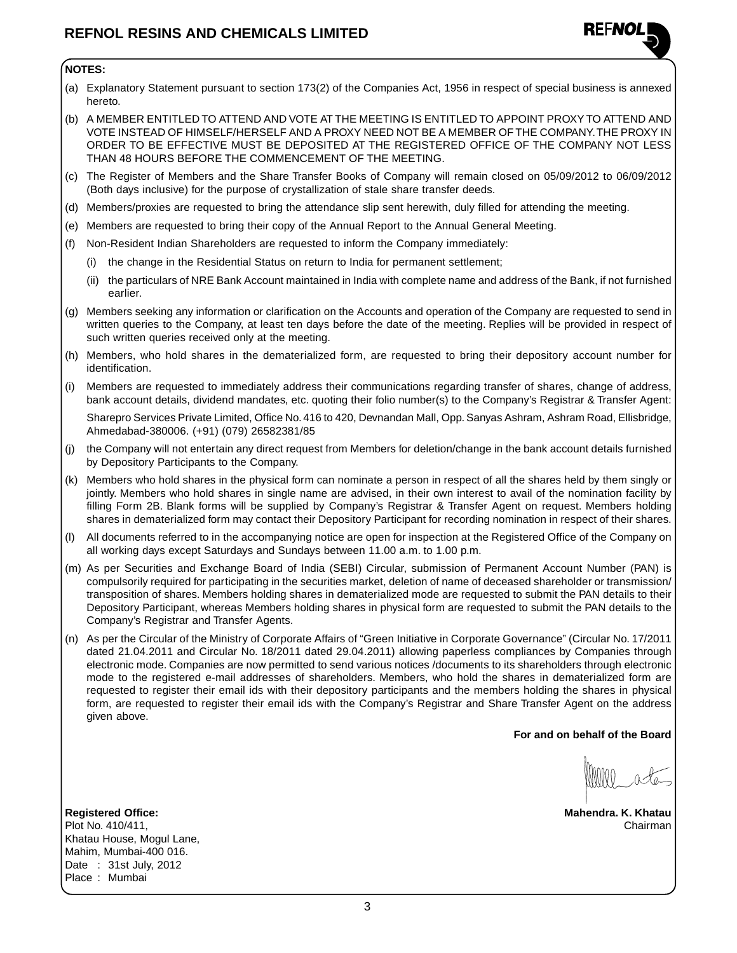

### **NOTES:**

- (a) Explanatory Statement pursuant to section 173(2) of the Companies Act, 1956 in respect of special business is annexed hereto.
- (b) A MEMBER ENTITLED TO ATTEND AND VOTE AT THE MEETING IS ENTITLED TO APPOINT PROXY TO ATTEND AND VOTE INSTEAD OF HIMSELF/HERSELF AND A PROXY NEED NOT BE A MEMBER OF THE COMPANY. THE PROXY IN ORDER TO BE EFFECTIVE MUST BE DEPOSITED AT THE REGISTERED OFFICE OF THE COMPANY NOT LESS THAN 48 HOURS BEFORE THE COMMENCEMENT OF THE MEETING.
- (c) The Register of Members and the Share Transfer Books of Company will remain closed on 05/09/2012 to 06/09/2012 (Both days inclusive) for the purpose of crystallization of stale share transfer deeds.
- (d) Members/proxies are requested to bring the attendance slip sent herewith, duly filled for attending the meeting.
- (e) Members are requested to bring their copy of the Annual Report to the Annual General Meeting.
- (f) Non-Resident Indian Shareholders are requested to inform the Company immediately:
	- the change in the Residential Status on return to India for permanent settlement;
	- (ii) the particulars of NRE Bank Account maintained in India with complete name and address of the Bank, if not furnished earlier.
- (g) Members seeking any information or clarification on the Accounts and operation of the Company are requested to send in written queries to the Company, at least ten days before the date of the meeting. Replies will be provided in respect of such written queries received only at the meeting.
- (h) Members, who hold shares in the dematerialized form, are requested to bring their depository account number for identification.
- (i) Members are requested to immediately address their communications regarding transfer of shares, change of address, bank account details, dividend mandates, etc. quoting their folio number(s) to the Company's Registrar & Transfer Agent: Sharepro Services Private Limited, Office No. 416 to 420, Devnandan Mall, Opp. Sanyas Ashram, Ashram Road, Ellisbridge, Ahmedabad-380006. (+91) (079) 26582381/85
- (j) the Company will not entertain any direct request from Members for deletion/change in the bank account details furnished by Depository Participants to the Company.
- (k) Members who hold shares in the physical form can nominate a person in respect of all the shares held by them singly or jointly. Members who hold shares in single name are advised, in their own interest to avail of the nomination facility by filling Form 2B. Blank forms will be supplied by Company's Registrar & Transfer Agent on request. Members holding shares in dematerialized form may contact their Depository Participant for recording nomination in respect of their shares.
- (l) All documents referred to in the accompanying notice are open for inspection at the Registered Office of the Company on all working days except Saturdays and Sundays between 11.00 a.m. to 1.00 p.m.
- (m) As per Securities and Exchange Board of India (SEBI) Circular, submission of Permanent Account Number (PAN) is compulsorily required for participating in the securities market, deletion of name of deceased shareholder or transmission/ transposition of shares. Members holding shares in dematerialized mode are requested to submit the PAN details to their Depository Participant, whereas Members holding shares in physical form are requested to submit the PAN details to the Company's Registrar and Transfer Agents.
- (n) As per the Circular of the Ministry of Corporate Affairs of "Green Initiative in Corporate Governance" (Circular No. 17/2011 dated 21.04.2011 and Circular No. 18/2011 dated 29.04.2011) allowing paperless compliances by Companies through electronic mode. Companies are now permitted to send various notices /documents to its shareholders through electronic mode to the registered e-mail addresses of shareholders. Members, who hold the shares in dematerialized form are requested to register their email ids with their depository participants and the members holding the shares in physical form, are requested to register their email ids with the Company's Registrar and Share Transfer Agent on the address given above.

**For and on behalf of the Board**

**Registered Office: Mahendra. K. Khatau** Plot No. 410/411, Chairman Khatau House, Mogul Lane, Mahim, Mumbai-400 016. Date : 31st July, 2012 Place : Mumbai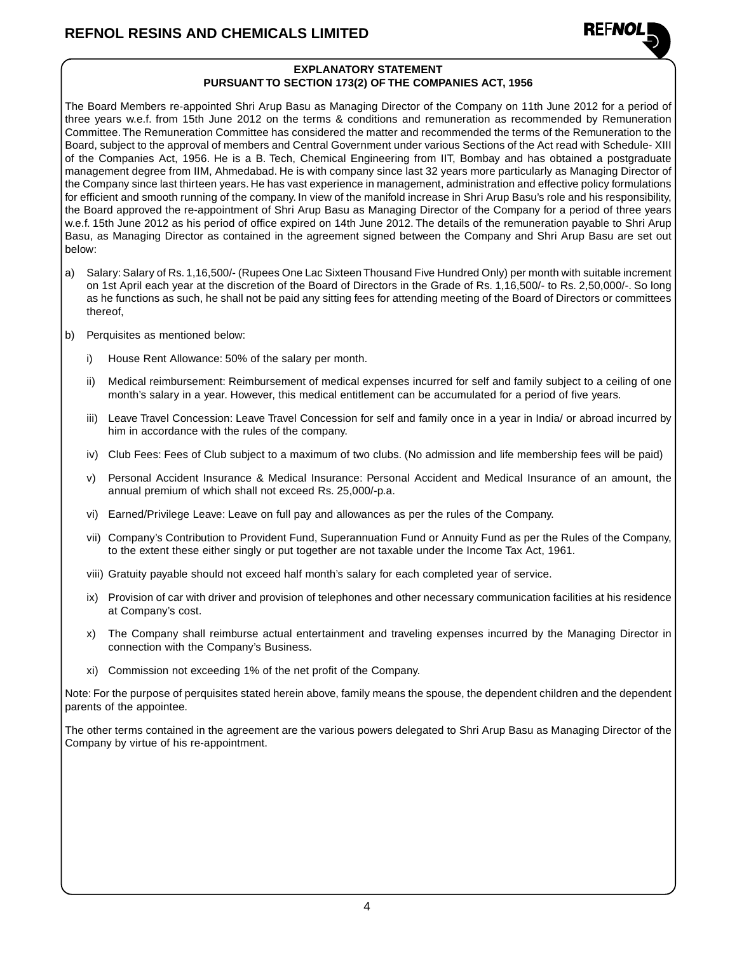

### **EXPLANATORY STATEMENT PURSUANT TO SECTION 173(2) OF THE COMPANIES ACT, 1956**

The Board Members re-appointed Shri Arup Basu as Managing Director of the Company on 11th June 2012 for a period of three years w.e.f. from 15th June 2012 on the terms & conditions and remuneration as recommended by Remuneration Committee. The Remuneration Committee has considered the matter and recommended the terms of the Remuneration to the Board, subject to the approval of members and Central Government under various Sections of the Act read with Schedule- XIII of the Companies Act, 1956. He is a B. Tech, Chemical Engineering from IIT, Bombay and has obtained a postgraduate management degree from IIM, Ahmedabad. He is with company since last 32 years more particularly as Managing Director of the Company since last thirteen years. He has vast experience in management, administration and effective policy formulations for efficient and smooth running of the company. In view of the manifold increase in Shri Arup Basu's role and his responsibility, the Board approved the re-appointment of Shri Arup Basu as Managing Director of the Company for a period of three years w.e.f. 15th June 2012 as his period of office expired on 14th June 2012. The details of the remuneration payable to Shri Arup Basu, as Managing Director as contained in the agreement signed between the Company and Shri Arup Basu are set out below:

- a) Salary: Salary of Rs. 1,16,500/- (Rupees One Lac Sixteen Thousand Five Hundred Only) per month with suitable increment on 1st April each year at the discretion of the Board of Directors in the Grade of Rs. 1,16,500/- to Rs. 2,50,000/-. So long as he functions as such, he shall not be paid any sitting fees for attending meeting of the Board of Directors or committees thereof,
- b) Perquisites as mentioned below:
	- i) House Rent Allowance: 50% of the salary per month.
	- ii) Medical reimbursement: Reimbursement of medical expenses incurred for self and family subject to a ceiling of one month's salary in a year. However, this medical entitlement can be accumulated for a period of five years.
	- iii) Leave Travel Concession: Leave Travel Concession for self and family once in a year in India/ or abroad incurred by him in accordance with the rules of the company.
	- iv) Club Fees: Fees of Club subject to a maximum of two clubs. (No admission and life membership fees will be paid)
	- v) Personal Accident Insurance & Medical Insurance: Personal Accident and Medical Insurance of an amount, the annual premium of which shall not exceed Rs. 25,000/-p.a.
	- vi) Earned/Privilege Leave: Leave on full pay and allowances as per the rules of the Company.
	- vii) Company's Contribution to Provident Fund, Superannuation Fund or Annuity Fund as per the Rules of the Company, to the extent these either singly or put together are not taxable under the Income Tax Act, 1961.
	- viii) Gratuity payable should not exceed half month's salary for each completed year of service.
	- ix) Provision of car with driver and provision of telephones and other necessary communication facilities at his residence at Company's cost.
	- x) The Company shall reimburse actual entertainment and traveling expenses incurred by the Managing Director in connection with the Company's Business.
	- xi) Commission not exceeding 1% of the net profit of the Company.

Note: For the purpose of perquisites stated herein above, family means the spouse, the dependent children and the dependent parents of the appointee.

The other terms contained in the agreement are the various powers delegated to Shri Arup Basu as Managing Director of the Company by virtue of his re-appointment.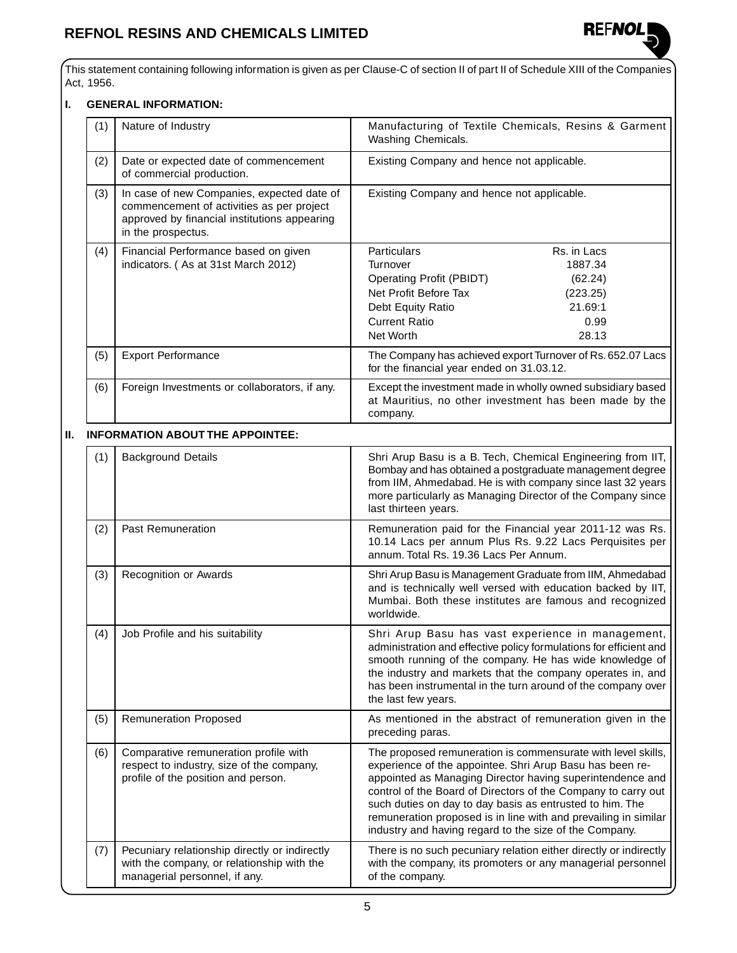

This statement containing following information is given as per Clause-C of section II of part II of Schedule XIII of the Companies Act, 1956.

### **I. GENERAL INFORMATION:**

| (1) | Nature of Industry                                                                                                                                            | Manufacturing of Textile Chemicals, Resins & Garment<br>Washing Chemicals.                                                                                                             |                                                                           |  |
|-----|---------------------------------------------------------------------------------------------------------------------------------------------------------------|----------------------------------------------------------------------------------------------------------------------------------------------------------------------------------------|---------------------------------------------------------------------------|--|
| (2) | Date or expected date of commencement<br>of commercial production.                                                                                            | Existing Company and hence not applicable.                                                                                                                                             |                                                                           |  |
| (3) | In case of new Companies, expected date of<br>commencement of activities as per project<br>approved by financial institutions appearing<br>in the prospectus. | Existing Company and hence not applicable.                                                                                                                                             |                                                                           |  |
| (4) | Financial Performance based on given<br>indicators. (As at 31st March 2012)                                                                                   | Particulars<br>Turnover<br>Operating Profit (PBIDT)<br>Net Profit Before Tax<br>Debt Equity Ratio<br><b>Current Ratio</b><br>Net Worth                                                 | Rs. in Lacs<br>1887.34<br>(62.24)<br>(223.25)<br>21.69:1<br>0.99<br>28.13 |  |
| (5) | <b>Export Performance</b>                                                                                                                                     | The Company has achieved export Turnover of Rs. 652.07 Lacs<br>for the financial year ended on 31.03.12.                                                                               |                                                                           |  |
| (6) | Foreign Investments or collaborators, if any.                                                                                                                 | Except the investment made in wholly owned subsidiary based<br>at Mauritius, no other investment has been made by the<br>company.                                                      |                                                                           |  |
|     | <b>INFORMATION ABOUT THE APPOINTEE:</b>                                                                                                                       |                                                                                                                                                                                        |                                                                           |  |
| (1) | <b>Background Details</b>                                                                                                                                     | Shri Arup Basu is a B. Tech, Chemical Engineering from IIT,<br>Bombay and has obtained a postgraduate management degree<br>from IIM, Ahmedabad. He is with company since last 32 years |                                                                           |  |

|     |                                                                                                                              | Bombay and has obtained a postgraduate management degree<br>from IIM, Ahmedabad. He is with company since last 32 years<br>more particularly as Managing Director of the Company since<br>last thirteen years.                                                                                                                                                                                                                                  |
|-----|------------------------------------------------------------------------------------------------------------------------------|-------------------------------------------------------------------------------------------------------------------------------------------------------------------------------------------------------------------------------------------------------------------------------------------------------------------------------------------------------------------------------------------------------------------------------------------------|
| (2) | <b>Past Remuneration</b>                                                                                                     | Remuneration paid for the Financial year 2011-12 was Rs.<br>10.14 Lacs per annum Plus Rs. 9.22 Lacs Perquisites per<br>annum. Total Rs. 19.36 Lacs Per Annum.                                                                                                                                                                                                                                                                                   |
| (3) | Recognition or Awards                                                                                                        | Shri Arup Basu is Management Graduate from IIM, Ahmedabad<br>and is technically well versed with education backed by IIT,<br>Mumbai. Both these institutes are famous and recognized<br>worldwide.                                                                                                                                                                                                                                              |
| (4) | Job Profile and his suitability                                                                                              | Shri Arup Basu has vast experience in management,<br>administration and effective policy formulations for efficient and<br>smooth running of the company. He has wide knowledge of<br>the industry and markets that the company operates in, and<br>has been instrumental in the turn around of the company over<br>the last few years.                                                                                                         |
| (5) | <b>Remuneration Proposed</b>                                                                                                 | As mentioned in the abstract of remuneration given in the<br>preceding paras.                                                                                                                                                                                                                                                                                                                                                                   |
| (6) | Comparative remuneration profile with<br>respect to industry, size of the company,<br>profile of the position and person.    | The proposed remuneration is commensurate with level skills,<br>experience of the appointee. Shri Arup Basu has been re-<br>appointed as Managing Director having superintendence and<br>control of the Board of Directors of the Company to carry out<br>such duties on day to day basis as entrusted to him. The<br>remuneration proposed is in line with and prevailing in similar<br>industry and having regard to the size of the Company. |
| (7) | Pecuniary relationship directly or indirectly<br>with the company, or relationship with the<br>managerial personnel, if any. | There is no such pecuniary relation either directly or indirectly<br>with the company, its promoters or any managerial personnel<br>of the company.                                                                                                                                                                                                                                                                                             |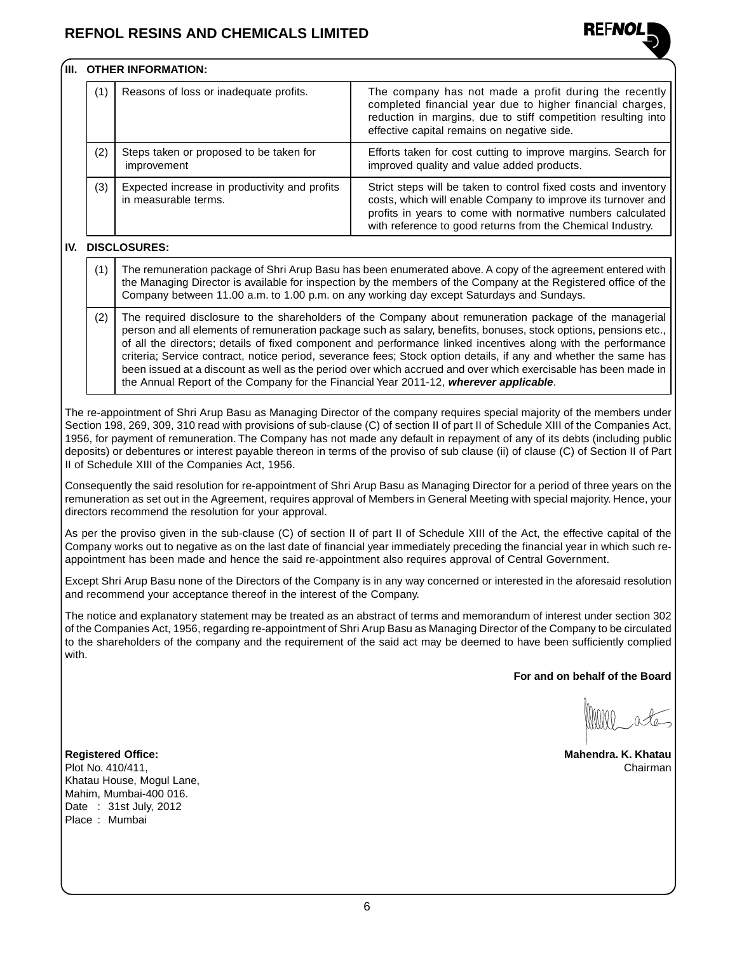

### **III. OTHER INFORMATION:**

| (1) | Reasons of loss or inadequate profits.                                | The company has not made a profit during the recently<br>completed financial year due to higher financial charges,<br>reduction in margins, due to stiff competition resulting into<br>effective capital remains on negative side.                          |
|-----|-----------------------------------------------------------------------|-------------------------------------------------------------------------------------------------------------------------------------------------------------------------------------------------------------------------------------------------------------|
| (2) | Steps taken or proposed to be taken for<br>improvement                | Efforts taken for cost cutting to improve margins. Search for<br>improved quality and value added products.                                                                                                                                                 |
| (3) | Expected increase in productivity and profits<br>in measurable terms. | Strict steps will be taken to control fixed costs and inventory<br>costs, which will enable Company to improve its turnover and<br>profits in years to come with normative numbers calculated<br>with reference to good returns from the Chemical Industry. |

### **IV. DISCLOSURES:**

- (1) The remuneration package of Shri Arup Basu has been enumerated above. A copy of the agreement entered with the Managing Director is available for inspection by the members of the Company at the Registered office of the Company between 11.00 a.m. to 1.00 p.m. on any working day except Saturdays and Sundays.
- (2) The required disclosure to the shareholders of the Company about remuneration package of the managerial person and all elements of remuneration package such as salary, benefits, bonuses, stock options, pensions etc., of all the directors; details of fixed component and performance linked incentives along with the performance criteria; Service contract, notice period, severance fees; Stock option details, if any and whether the same has been issued at a discount as well as the period over which accrued and over which exercisable has been made in the Annual Report of the Company for the Financial Year 2011-12, **wherever applicable**.

The re-appointment of Shri Arup Basu as Managing Director of the company requires special majority of the members under Section 198, 269, 309, 310 read with provisions of sub-clause (C) of section II of part II of Schedule XIII of the Companies Act, 1956, for payment of remuneration. The Company has not made any default in repayment of any of its debts (including public deposits) or debentures or interest payable thereon in terms of the proviso of sub clause (ii) of clause (C) of Section II of Part II of Schedule XIII of the Companies Act, 1956.

Consequently the said resolution for re-appointment of Shri Arup Basu as Managing Director for a period of three years on the remuneration as set out in the Agreement, requires approval of Members in General Meeting with special majority. Hence, your directors recommend the resolution for your approval.

As per the proviso given in the sub-clause (C) of section II of part II of Schedule XIII of the Act, the effective capital of the Company works out to negative as on the last date of financial year immediately preceding the financial year in which such reappointment has been made and hence the said re-appointment also requires approval of Central Government.

Except Shri Arup Basu none of the Directors of the Company is in any way concerned or interested in the aforesaid resolution and recommend your acceptance thereof in the interest of the Company.

The notice and explanatory statement may be treated as an abstract of terms and memorandum of interest under section 302 of the Companies Act, 1956, regarding re-appointment of Shri Arup Basu as Managing Director of the Company to be circulated to the shareholders of the company and the requirement of the said act may be deemed to have been sufficiently complied with.

**For and on behalf of the Board**

**Registered Office: Mahendra. K. Khatau**

Plot No. 410/411, Chairman Khatau House, Mogul Lane, Mahim, Mumbai-400 016. Date : 31st July, 2012 Place : Mumbai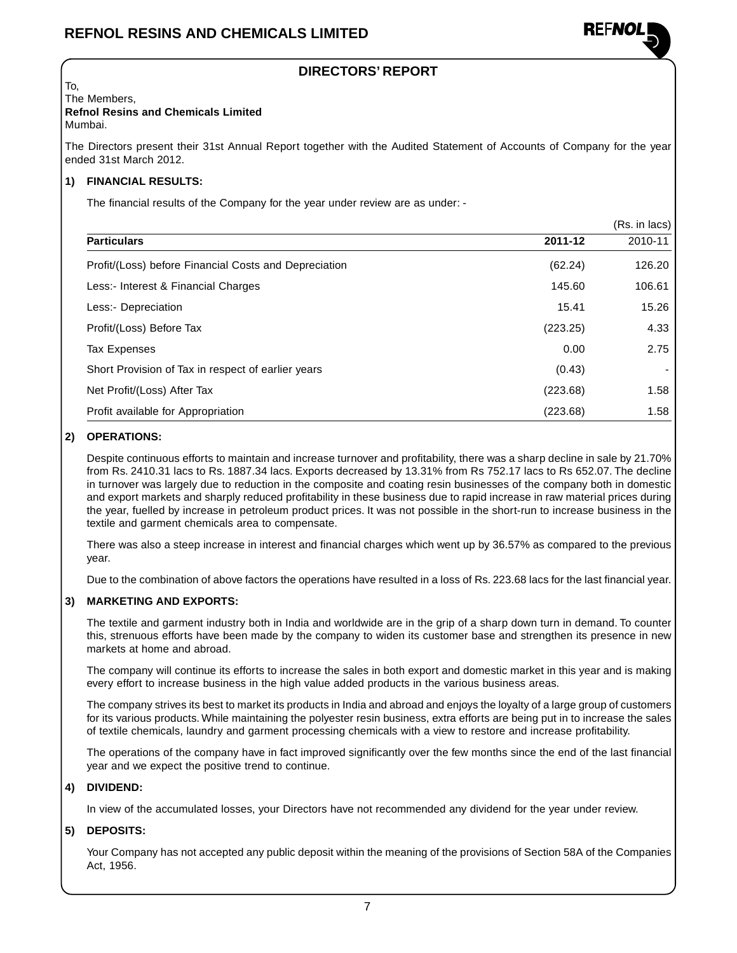

### **DIRECTORS' REPORT**

To, The Members, **Refnol Resins and Chemicals Limited**

Mumbai.

The Directors present their 31st Annual Report together with the Audited Statement of Accounts of Company for the year ended 31st March 2012.

### **1) FINANCIAL RESULTS:**

The financial results of the Company for the year under review are as under: -

|                                                       |          | (Rs. in lacs) |
|-------------------------------------------------------|----------|---------------|
| <b>Particulars</b>                                    | 2011-12  | 2010-11       |
| Profit/(Loss) before Financial Costs and Depreciation | (62.24)  | 126.20        |
| Less:- Interest & Financial Charges                   | 145.60   | 106.61        |
| Less:- Depreciation                                   | 15.41    | 15.26         |
| Profit/(Loss) Before Tax                              | (223.25) | 4.33          |
| <b>Tax Expenses</b>                                   | 0.00     | 2.75          |
| Short Provision of Tax in respect of earlier years    | (0.43)   |               |
| Net Profit/(Loss) After Tax                           | (223.68) | 1.58          |
| Profit available for Appropriation                    | (223.68) | 1.58          |

### **2) OPERATIONS:**

Despite continuous efforts to maintain and increase turnover and profitability, there was a sharp decline in sale by 21.70% from Rs. 2410.31 lacs to Rs. 1887.34 lacs. Exports decreased by 13.31% from Rs 752.17 lacs to Rs 652.07. The decline in turnover was largely due to reduction in the composite and coating resin businesses of the company both in domestic and export markets and sharply reduced profitability in these business due to rapid increase in raw material prices during the year, fuelled by increase in petroleum product prices. It was not possible in the short-run to increase business in the textile and garment chemicals area to compensate.

There was also a steep increase in interest and financial charges which went up by 36.57% as compared to the previous year.

Due to the combination of above factors the operations have resulted in a loss of Rs. 223.68 lacs for the last financial year.

### **3) MARKETING AND EXPORTS:**

The textile and garment industry both in India and worldwide are in the grip of a sharp down turn in demand. To counter this, strenuous efforts have been made by the company to widen its customer base and strengthen its presence in new markets at home and abroad.

The company will continue its efforts to increase the sales in both export and domestic market in this year and is making every effort to increase business in the high value added products in the various business areas.

The company strives its best to market its products in India and abroad and enjoys the loyalty of a large group of customers for its various products. While maintaining the polyester resin business, extra efforts are being put in to increase the sales of textile chemicals, laundry and garment processing chemicals with a view to restore and increase profitability.

The operations of the company have in fact improved significantly over the few months since the end of the last financial year and we expect the positive trend to continue.

### **4) DIVIDEND:**

In view of the accumulated losses, your Directors have not recommended any dividend for the year under review.

### **5) DEPOSITS:**

Your Company has not accepted any public deposit within the meaning of the provisions of Section 58A of the Companies Act, 1956.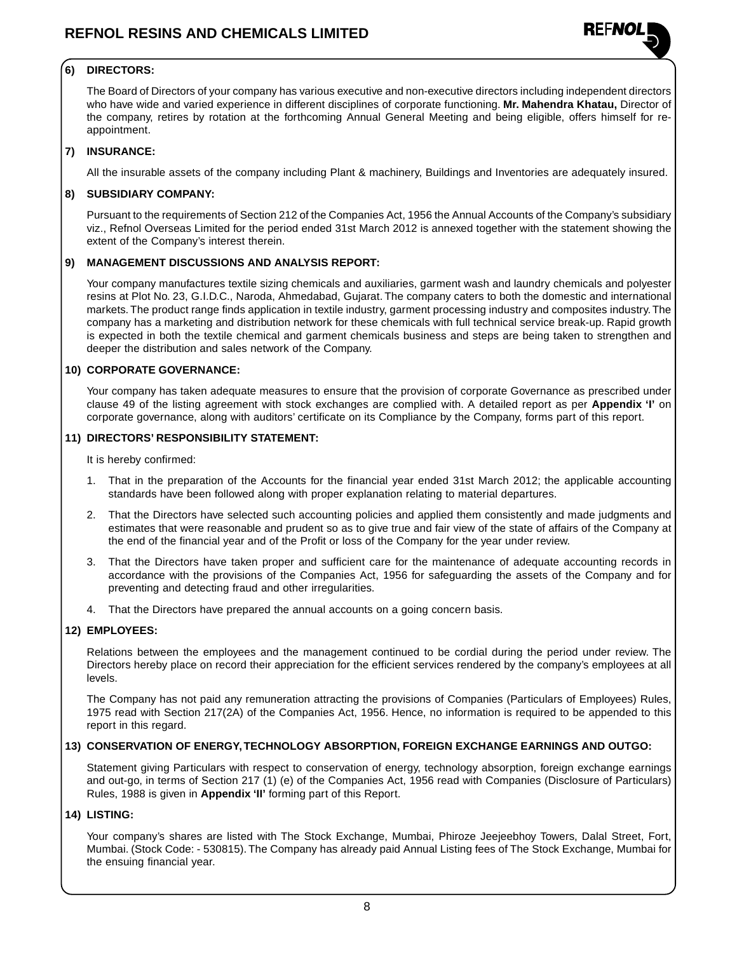

### **6) DIRECTORS:**

The Board of Directors of your company has various executive and non-executive directors including independent directors who have wide and varied experience in different disciplines of corporate functioning. **Mr. Mahendra Khatau,** Director of the company, retires by rotation at the forthcoming Annual General Meeting and being eligible, offers himself for reappointment.

### **7) INSURANCE:**

All the insurable assets of the company including Plant & machinery, Buildings and Inventories are adequately insured.

### **8) SUBSIDIARY COMPANY:**

Pursuant to the requirements of Section 212 of the Companies Act, 1956 the Annual Accounts of the Company's subsidiary viz., Refnol Overseas Limited for the period ended 31st March 2012 is annexed together with the statement showing the extent of the Company's interest therein.

### **9) MANAGEMENT DISCUSSIONS AND ANALYSIS REPORT:**

Your company manufactures textile sizing chemicals and auxiliaries, garment wash and laundry chemicals and polyester resins at Plot No. 23, G.I.D.C., Naroda, Ahmedabad, Gujarat. The company caters to both the domestic and international markets. The product range finds application in textile industry, garment processing industry and composites industry. The company has a marketing and distribution network for these chemicals with full technical service break-up. Rapid growth is expected in both the textile chemical and garment chemicals business and steps are being taken to strengthen and deeper the distribution and sales network of the Company.

### **10) CORPORATE GOVERNANCE:**

Your company has taken adequate measures to ensure that the provision of corporate Governance as prescribed under clause 49 of the listing agreement with stock exchanges are complied with. A detailed report as per **Appendix 'I'** on corporate governance, along with auditors' certificate on its Compliance by the Company, forms part of this report.

### **11) DIRECTORS' RESPONSIBILITY STATEMENT:**

It is hereby confirmed:

- 1. That in the preparation of the Accounts for the financial year ended 31st March 2012; the applicable accounting standards have been followed along with proper explanation relating to material departures.
- 2. That the Directors have selected such accounting policies and applied them consistently and made judgments and estimates that were reasonable and prudent so as to give true and fair view of the state of affairs of the Company at the end of the financial year and of the Profit or loss of the Company for the year under review.
- 3. That the Directors have taken proper and sufficient care for the maintenance of adequate accounting records in accordance with the provisions of the Companies Act, 1956 for safeguarding the assets of the Company and for preventing and detecting fraud and other irregularities.
- 4. That the Directors have prepared the annual accounts on a going concern basis.

### **12) EMPLOYEES:**

Relations between the employees and the management continued to be cordial during the period under review. The Directors hereby place on record their appreciation for the efficient services rendered by the company's employees at all levels.

The Company has not paid any remuneration attracting the provisions of Companies (Particulars of Employees) Rules, 1975 read with Section 217(2A) of the Companies Act, 1956. Hence, no information is required to be appended to this report in this regard.

### **13) CONSERVATION OF ENERGY, TECHNOLOGY ABSORPTION, FOREIGN EXCHANGE EARNINGS AND OUTGO:**

Statement giving Particulars with respect to conservation of energy, technology absorption, foreign exchange earnings and out-go, in terms of Section 217 (1) (e) of the Companies Act, 1956 read with Companies (Disclosure of Particulars) Rules, 1988 is given in **Appendix 'II'** forming part of this Report.

### **14) LISTING:**

Your company's shares are listed with The Stock Exchange, Mumbai, Phiroze Jeejeebhoy Towers, Dalal Street, Fort, Mumbai. (Stock Code: - 530815). The Company has already paid Annual Listing fees of The Stock Exchange, Mumbai for the ensuing financial year.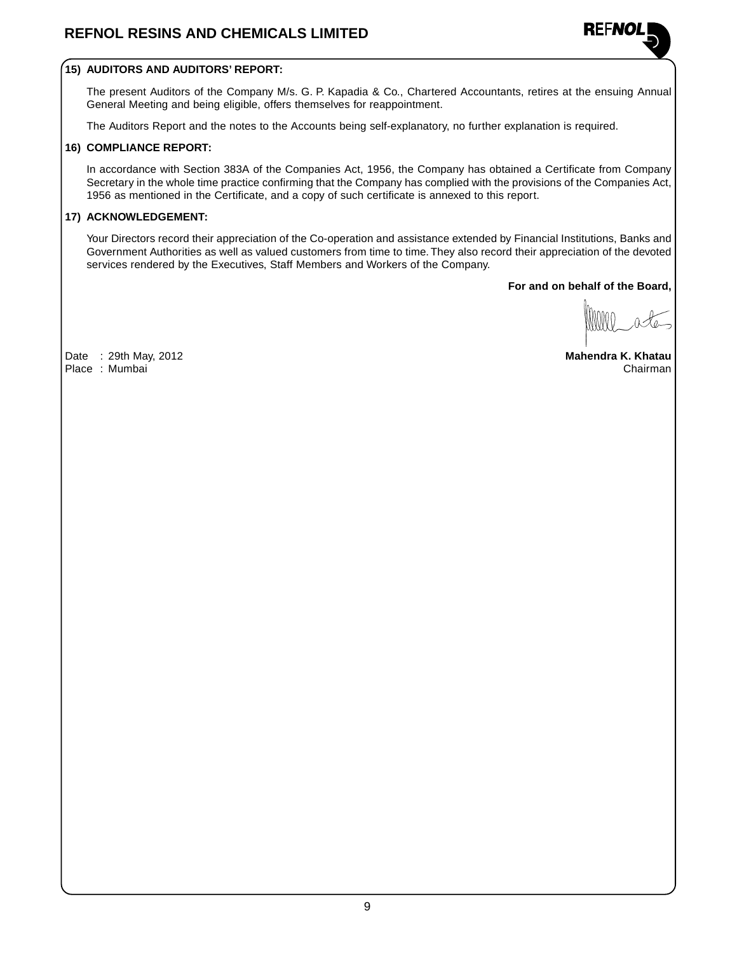

### **15) AUDITORS AND AUDITORS' REPORT:**

The present Auditors of the Company M/s. G. P. Kapadia & Co., Chartered Accountants, retires at the ensuing Annual General Meeting and being eligible, offers themselves for reappointment.

The Auditors Report and the notes to the Accounts being self-explanatory, no further explanation is required.

### **16) COMPLIANCE REPORT:**

In accordance with Section 383A of the Companies Act, 1956, the Company has obtained a Certificate from Company Secretary in the whole time practice confirming that the Company has complied with the provisions of the Companies Act, 1956 as mentioned in the Certificate, and a copy of such certificate is annexed to this report.

### **17) ACKNOWLEDGEMENT:**

Your Directors record their appreciation of the Co-operation and assistance extended by Financial Institutions, Banks and Government Authorities as well as valued customers from time to time. They also record their appreciation of the devoted services rendered by the Executives, Staff Members and Workers of the Company.

**For and on behalf of the Board,**

Date : 29th May, 2012 **Mahendra K. Khatau** Place : Mumbai Chairman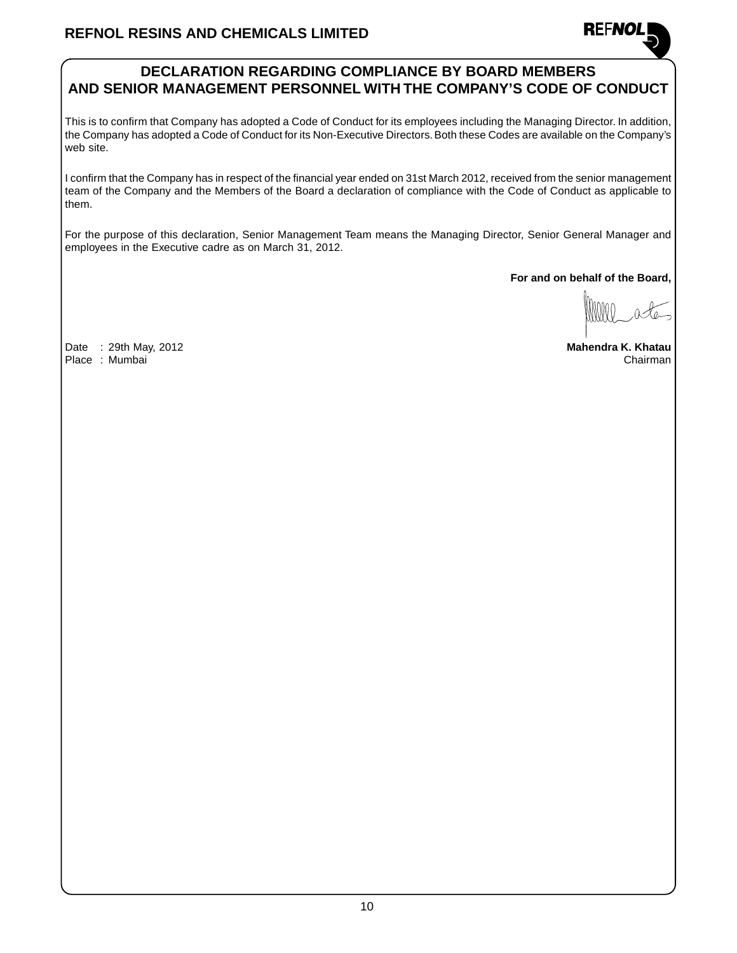### **DECLARATION REGARDING COMPLIANCE BY BOARD MEMBERS AND SENIOR MANAGEMENT PERSONNEL WITH THE COMPANY'S CODE OF CONDUCT**

This is to confirm that Company has adopted a Code of Conduct for its employees including the Managing Director. In addition, the Company has adopted a Code of Conduct for its Non-Executive Directors. Both these Codes are available on the Company's web site.

I confirm that the Company has in respect of the financial year ended on 31st March 2012, received from the senior management team of the Company and the Members of the Board a declaration of compliance with the Code of Conduct as applicable to them.

For the purpose of this declaration, Senior Management Team means the Managing Director, Senior General Manager and employees in the Executive cadre as on March 31, 2012.

**For and on behalf of the Board,**

**REFNOI** 

Date : 29th May, 2012 **Mahendra K. Khatau** Place : Mumbai Chairman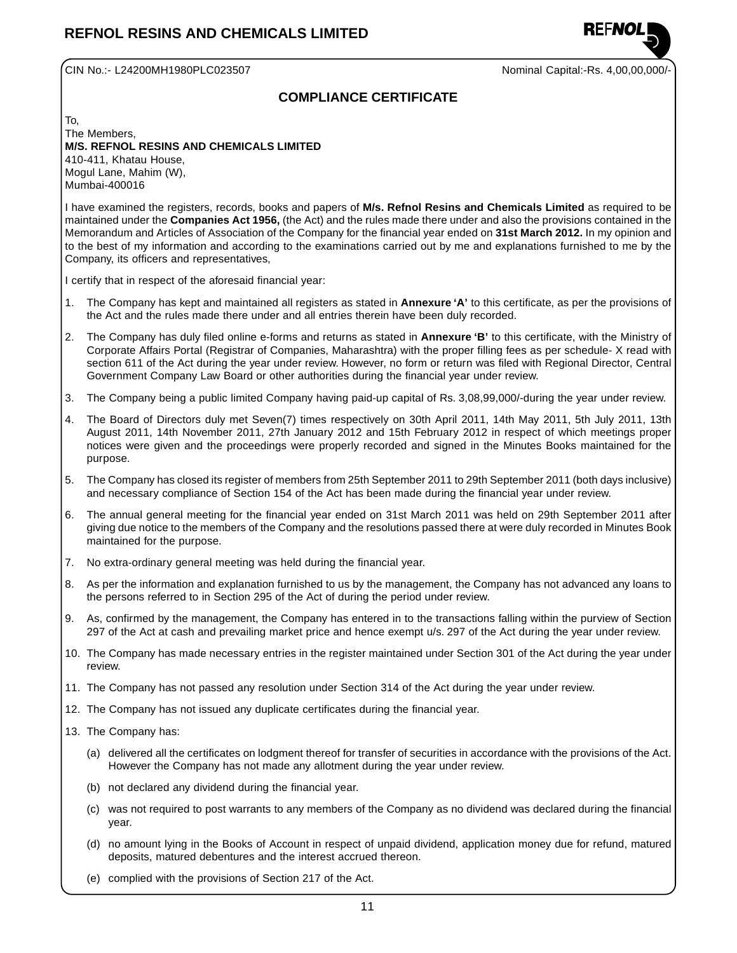

CIN No.:- L24200MH1980PLC023507 Nominal Capital:-Rs. 4,00,00,000/-

### **COMPLIANCE CERTIFICATE**

To, The Members, **M/S. REFNOL RESINS AND CHEMICALS LIMITED** 410-411, Khatau House, Mogul Lane, Mahim (W),

Mumbai-400016

I have examined the registers, records, books and papers of **M/s. Refnol Resins and Chemicals Limited** as required to be maintained under the **Companies Act 1956,** (the Act) and the rules made there under and also the provisions contained in the Memorandum and Articles of Association of the Company for the financial year ended on **31st March 2012.** In my opinion and to the best of my information and according to the examinations carried out by me and explanations furnished to me by the Company, its officers and representatives,

I certify that in respect of the aforesaid financial year:

- 1. The Company has kept and maintained all registers as stated in **Annexure 'A'** to this certificate, as per the provisions of the Act and the rules made there under and all entries therein have been duly recorded.
- 2. The Company has duly filed online e-forms and returns as stated in **Annexure 'B'** to this certificate, with the Ministry of Corporate Affairs Portal (Registrar of Companies, Maharashtra) with the proper filling fees as per schedule- X read with section 611 of the Act during the year under review. However, no form or return was filed with Regional Director, Central Government Company Law Board or other authorities during the financial year under review.
- 3. The Company being a public limited Company having paid-up capital of Rs. 3,08,99,000/-during the year under review.
- 4. The Board of Directors duly met Seven(7) times respectively on 30th April 2011, 14th May 2011, 5th July 2011, 13th August 2011, 14th November 2011, 27th January 2012 and 15th February 2012 in respect of which meetings proper notices were given and the proceedings were properly recorded and signed in the Minutes Books maintained for the purpose.
- 5. The Company has closed its register of members from 25th September 2011 to 29th September 2011 (both days inclusive) and necessary compliance of Section 154 of the Act has been made during the financial year under review.
- 6. The annual general meeting for the financial year ended on 31st March 2011 was held on 29th September 2011 after giving due notice to the members of the Company and the resolutions passed there at were duly recorded in Minutes Book maintained for the purpose.
- 7. No extra-ordinary general meeting was held during the financial year.
- 8. As per the information and explanation furnished to us by the management, the Company has not advanced any loans to the persons referred to in Section 295 of the Act of during the period under review.
- 9. As, confirmed by the management, the Company has entered in to the transactions falling within the purview of Section 297 of the Act at cash and prevailing market price and hence exempt u/s. 297 of the Act during the year under review.
- 10. The Company has made necessary entries in the register maintained under Section 301 of the Act during the year under review.
- 11. The Company has not passed any resolution under Section 314 of the Act during the year under review.
- 12. The Company has not issued any duplicate certificates during the financial year.
- 13. The Company has:
	- (a) delivered all the certificates on lodgment thereof for transfer of securities in accordance with the provisions of the Act. However the Company has not made any allotment during the year under review.
	- (b) not declared any dividend during the financial year.
	- (c) was not required to post warrants to any members of the Company as no dividend was declared during the financial year.
	- (d) no amount lying in the Books of Account in respect of unpaid dividend, application money due for refund, matured deposits, matured debentures and the interest accrued thereon.
	- (e) complied with the provisions of Section 217 of the Act.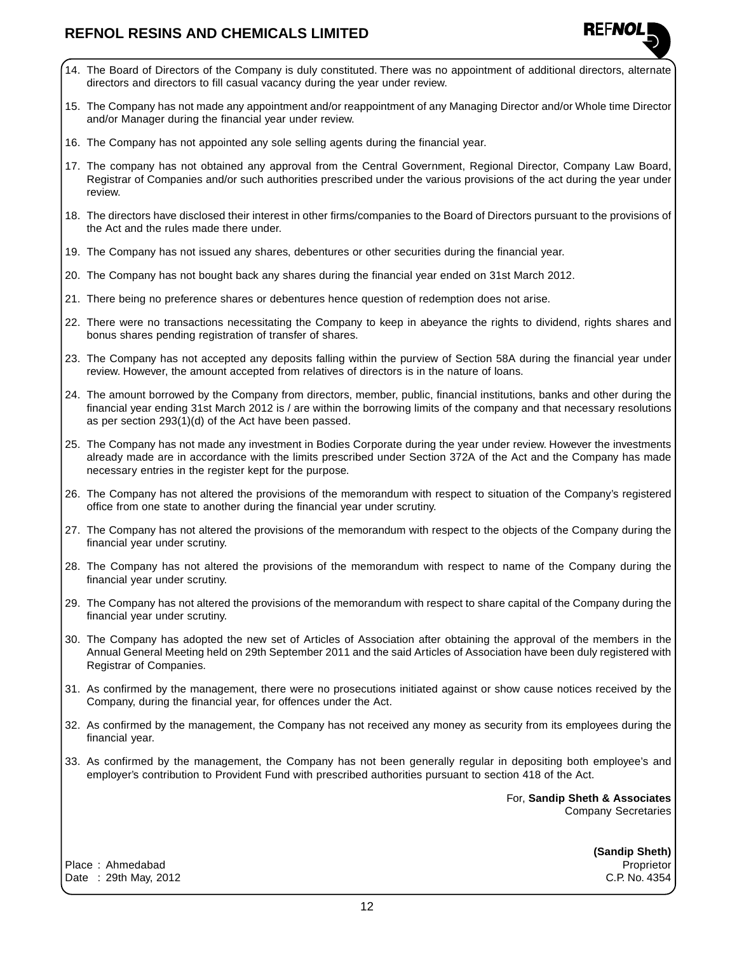- 14. The Board of Directors of the Company is duly constituted. There was no appointment of additional directors, alternate directors and directors to fill casual vacancy during the year under review.
- 15. The Company has not made any appointment and/or reappointment of any Managing Director and/or Whole time Director and/or Manager during the financial year under review.
- 16. The Company has not appointed any sole selling agents during the financial year.
- 17. The company has not obtained any approval from the Central Government, Regional Director, Company Law Board, Registrar of Companies and/or such authorities prescribed under the various provisions of the act during the year under review.
- 18. The directors have disclosed their interest in other firms/companies to the Board of Directors pursuant to the provisions of the Act and the rules made there under.
- 19. The Company has not issued any shares, debentures or other securities during the financial year.
- 20. The Company has not bought back any shares during the financial year ended on 31st March 2012.
- 21. There being no preference shares or debentures hence question of redemption does not arise.
- 22. There were no transactions necessitating the Company to keep in abeyance the rights to dividend, rights shares and bonus shares pending registration of transfer of shares.
- 23. The Company has not accepted any deposits falling within the purview of Section 58A during the financial year under review. However, the amount accepted from relatives of directors is in the nature of loans.
- 24. The amount borrowed by the Company from directors, member, public, financial institutions, banks and other during the financial year ending 31st March 2012 is / are within the borrowing limits of the company and that necessary resolutions as per section 293(1)(d) of the Act have been passed.
- 25. The Company has not made any investment in Bodies Corporate during the year under review. However the investments already made are in accordance with the limits prescribed under Section 372A of the Act and the Company has made necessary entries in the register kept for the purpose.
- 26. The Company has not altered the provisions of the memorandum with respect to situation of the Company's registered office from one state to another during the financial year under scrutiny.
- 27. The Company has not altered the provisions of the memorandum with respect to the objects of the Company during the financial year under scrutiny.
- 28. The Company has not altered the provisions of the memorandum with respect to name of the Company during the financial year under scrutiny.
- 29. The Company has not altered the provisions of the memorandum with respect to share capital of the Company during the financial year under scrutiny.
- 30. The Company has adopted the new set of Articles of Association after obtaining the approval of the members in the Annual General Meeting held on 29th September 2011 and the said Articles of Association have been duly registered with Registrar of Companies.
- 31. As confirmed by the management, there were no prosecutions initiated against or show cause notices received by the Company, during the financial year, for offences under the Act.
- 32. As confirmed by the management, the Company has not received any money as security from its employees during the financial year.
- 33. As confirmed by the management, the Company has not been generally regular in depositing both employee's and employer's contribution to Provident Fund with prescribed authorities pursuant to section 418 of the Act.

For, **Sandip Sheth & Associates** Company Secretaries

**REFNO** 

Place : Ahmedabad Proprietor Date : 29th May, 2012 C.P. No. 4354

**(Sandip Sheth)**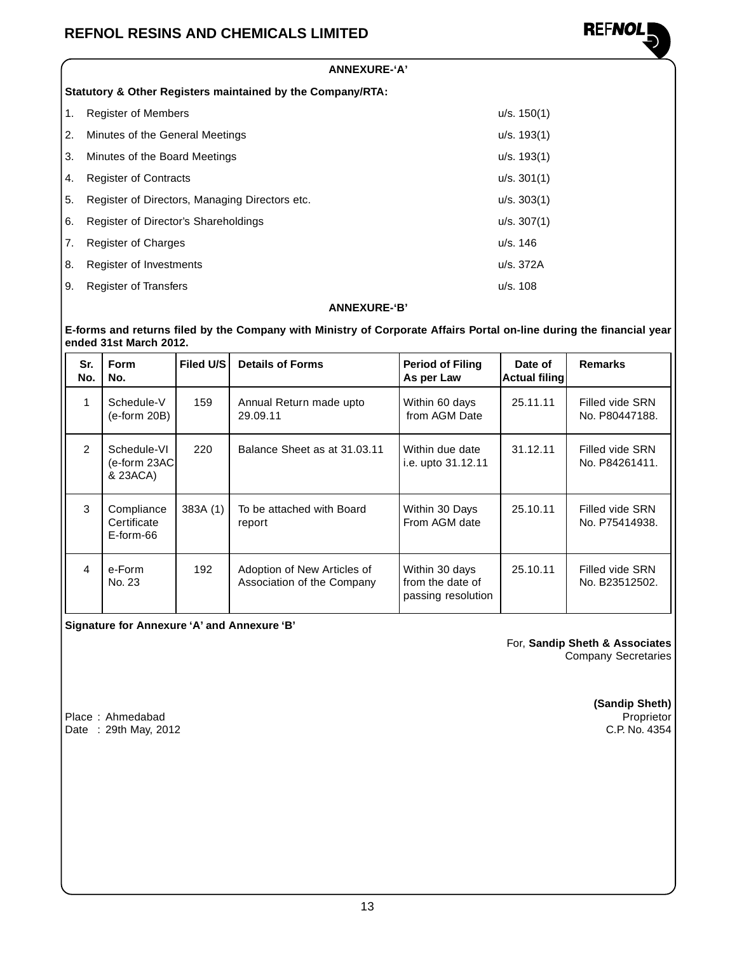

#### **ANNEXURE-'A'**

**Statutory & Other Registers maintained by the Company/RTA:**

| 1. | <b>Register of Members</b>                     | u/s. 150(1) |
|----|------------------------------------------------|-------------|
| 2. | Minutes of the General Meetings                | u/s. 193(1) |
| 3. | Minutes of the Board Meetings                  | u/s. 193(1) |
| 4. | <b>Register of Contracts</b>                   | u/s. 301(1) |
| 5. | Register of Directors, Managing Directors etc. | u/s. 303(1) |
| 6. | Register of Director's Shareholdings           | u/s. 307(1) |
| 7. | <b>Register of Charges</b>                     | u/s. 146    |
| 8. | Register of Investments                        | u/s. 372A   |
| 9. | <b>Register of Transfers</b>                   | u/s. 108    |

#### **ANNEXURE-'B'**

#### **E-forms and returns filed by the Company with Ministry of Corporate Affairs Portal on-line during the financial year ended 31st March 2012.**

| Sr.<br>No.             | <b>Form</b><br>No.                       | Filed U/S | <b>Details of Forms</b>                                   | <b>Period of Filing</b><br>As per Law                    | Date of<br> Actual filing | <b>Remarks</b>                    |
|------------------------|------------------------------------------|-----------|-----------------------------------------------------------|----------------------------------------------------------|---------------------------|-----------------------------------|
|                        | Schedule-V<br>$(e-form 20B)$             | 159       | Annual Return made upto<br>29.09.11                       | Within 60 days<br>from AGM Date                          | 25.11.11                  | Filled vide SRN<br>No. P80447188. |
| $\mathcal{P}$          | Schedule-VI<br>(e-form 23AC)<br>& 23ACA) | 220       | Balance Sheet as at 31.03.11                              | Within due date<br>i.e. upto 31.12.11                    | 31.12.11                  | Filled vide SRN<br>No. P84261411. |
| 3                      | Compliance<br>Certificate<br>E-form-66   | 383A(1)   | To be attached with Board<br>report                       | Within 30 Days<br>From AGM date                          | 25.10.11                  | Filled vide SRN<br>No. P75414938. |
| $\boldsymbol{\Lambda}$ | e-Form<br>No. 23                         | 192       | Adoption of New Articles of<br>Association of the Company | Within 30 days<br>from the date of<br>passing resolution | 25.10.11                  | Filled vide SRN<br>No. B23512502. |

### **Signature for Annexure 'A' and Annexure 'B'**

For, **Sandip Sheth & Associates** Company Secretaries

Place : Ahmedabad Proprietor<br>Date : 29th May, 2012 <br>C.P. No. 4354 Date : 29th May, 2012

**(Sandip Sheth)**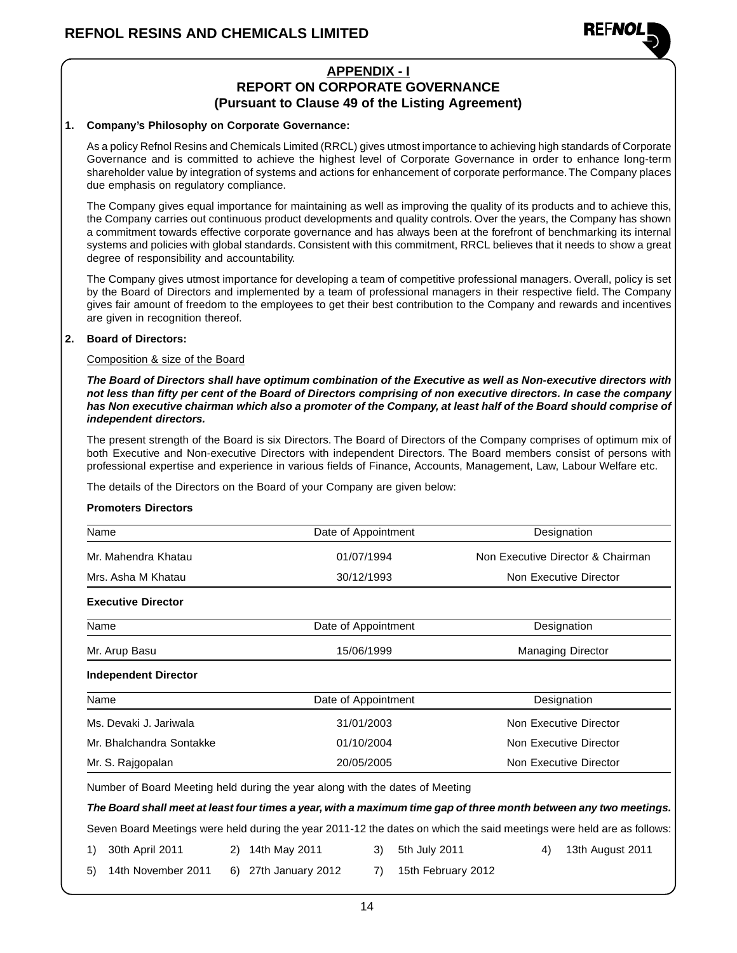

## **APPENDIX - I**

### **REPORT ON CORPORATE GOVERNANCE (Pursuant to Clause 49 of the Listing Agreement)**

#### **1. Company's Philosophy on Corporate Governance:**

As a policy Refnol Resins and Chemicals Limited (RRCL) gives utmost importance to achieving high standards of Corporate Governance and is committed to achieve the highest level of Corporate Governance in order to enhance long-term shareholder value by integration of systems and actions for enhancement of corporate performance. The Company places due emphasis on regulatory compliance.

The Company gives equal importance for maintaining as well as improving the quality of its products and to achieve this, the Company carries out continuous product developments and quality controls. Over the years, the Company has shown a commitment towards effective corporate governance and has always been at the forefront of benchmarking its internal systems and policies with global standards. Consistent with this commitment, RRCL believes that it needs to show a great degree of responsibility and accountability.

The Company gives utmost importance for developing a team of competitive professional managers. Overall, policy is set by the Board of Directors and implemented by a team of professional managers in their respective field. The Company gives fair amount of freedom to the employees to get their best contribution to the Company and rewards and incentives are given in recognition thereof.

### **2. Board of Directors:**

### Composition & size of the Board

**The Board of Directors shall have optimum combination of the Executive as well as Non-executive directors with not less than fifty per cent of the Board of Directors comprising of non executive directors. In case the company has Non executive chairman which also a promoter of the Company, at least half of the Board should comprise of independent directors.**

The present strength of the Board is six Directors. The Board of Directors of the Company comprises of optimum mix of both Executive and Non-executive Directors with independent Directors. The Board members consist of persons with professional expertise and experience in various fields of Finance, Accounts, Management, Law, Labour Welfare etc.

The details of the Directors on the Board of your Company are given below:

### **Promoters Directors**

| Name                        | Date of Appointment                                                          | Designation                                                                                                           |
|-----------------------------|------------------------------------------------------------------------------|-----------------------------------------------------------------------------------------------------------------------|
| Mr. Mahendra Khatau         | 01/07/1994                                                                   | Non Executive Director & Chairman                                                                                     |
| Mrs. Asha M Khatau          | 30/12/1993                                                                   | Non Executive Director                                                                                                |
| <b>Executive Director</b>   |                                                                              |                                                                                                                       |
| Name                        | Date of Appointment                                                          | Designation                                                                                                           |
| Mr. Arup Basu               | 15/06/1999                                                                   | <b>Managing Director</b>                                                                                              |
| <b>Independent Director</b> |                                                                              |                                                                                                                       |
| Name                        | Date of Appointment                                                          | Designation                                                                                                           |
| Ms. Devaki J. Jariwala      | 31/01/2003                                                                   | Non Executive Director                                                                                                |
| Mr. Bhalchandra Sontakke    | 01/10/2004                                                                   | Non Executive Director                                                                                                |
| Mr. S. Rajgopalan           | 20/05/2005                                                                   | Non Executive Director                                                                                                |
|                             | Number of Board Meeting held during the year along with the dates of Meeting |                                                                                                                       |
|                             |                                                                              | The Board shall meet at least four times a year, with a maximum time gap of three month between any two meetings.     |
|                             |                                                                              | Seven Board Meetings were held during the year 2011-12 the dates on which the said meetings were held are as follows: |

14

1) 30th April 2011 2) 14th May 2011 3) 5th July 2011 4) 13th August 2011

5) 14th November 2011 6) 27th January 2012 7) 15th February 2012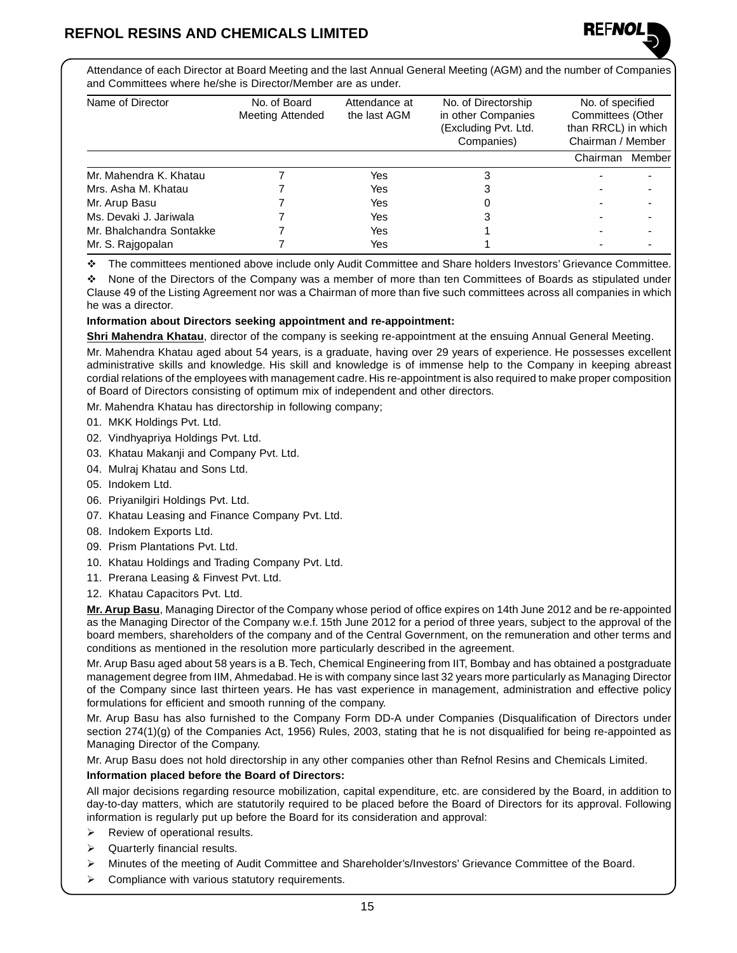

Attendance of each Director at Board Meeting and the last Annual General Meeting (AGM) and the number of Companies and Committees where he/she is Director/Member are as under.

| Name of Director         | No. of Board<br><b>Meeting Attended</b> | Attendance at<br>the last AGM | No. of Directorship<br>in other Companies<br>(Excluding Pvt. Ltd.<br>Companies) | No. of specified<br>Committees (Other<br>than RRCL) in which<br>Chairman / Member |        |
|--------------------------|-----------------------------------------|-------------------------------|---------------------------------------------------------------------------------|-----------------------------------------------------------------------------------|--------|
|                          |                                         |                               |                                                                                 | Chairman                                                                          | Member |
| Mr. Mahendra K. Khatau   |                                         | Yes                           |                                                                                 |                                                                                   |        |
| Mrs. Asha M. Khatau      |                                         | Yes                           |                                                                                 |                                                                                   |        |
| Mr. Arup Basu            |                                         | Yes                           |                                                                                 |                                                                                   |        |
| Ms. Devaki J. Jariwala   |                                         | Yes                           |                                                                                 |                                                                                   |        |
| Mr. Bhalchandra Sontakke |                                         | Yes                           |                                                                                 |                                                                                   |        |
| Mr. S. Rajgopalan        |                                         | Yes                           |                                                                                 |                                                                                   |        |

v The committees mentioned above include only Audit Committee and Share holders Investors' Grievance Committee.

v None of the Directors of the Company was a member of more than ten Committees of Boards as stipulated under Clause 49 of the Listing Agreement nor was a Chairman of more than five such committees across all companies in which he was a director.

### **Information about Directors seeking appointment and re-appointment:**

**Shri Mahendra Khatau**, director of the company is seeking re-appointment at the ensuing Annual General Meeting.

Mr. Mahendra Khatau aged about 54 years, is a graduate, having over 29 years of experience. He possesses excellent administrative skills and knowledge. His skill and knowledge is of immense help to the Company in keeping abreast cordial relations of the employees with management cadre. His re-appointment is also required to make proper composition of Board of Directors consisting of optimum mix of independent and other directors.

Mr. Mahendra Khatau has directorship in following company;

- 01. MKK Holdings Pvt. Ltd.
- 02. Vindhyapriya Holdings Pvt. Ltd.
- 03. Khatau Makanji and Company Pvt. Ltd.
- 04. Mulraj Khatau and Sons Ltd.
- 05. Indokem Ltd.
- 06. Priyanilgiri Holdings Pvt. Ltd.
- 07. Khatau Leasing and Finance Company Pvt. Ltd.
- 08. Indokem Exports Ltd.
- 09. Prism Plantations Pvt. Ltd.
- 10. Khatau Holdings and Trading Company Pvt. Ltd.
- 11. Prerana Leasing & Finvest Pvt. Ltd.
- 12. Khatau Capacitors Pvt. Ltd.

**Mr. Arup Basu**, Managing Director of the Company whose period of office expires on 14th June 2012 and be re-appointed as the Managing Director of the Company w.e.f. 15th June 2012 for a period of three years, subject to the approval of the board members, shareholders of the company and of the Central Government, on the remuneration and other terms and conditions as mentioned in the resolution more particularly described in the agreement.

Mr. Arup Basu aged about 58 years is a B. Tech, Chemical Engineering from IIT, Bombay and has obtained a postgraduate management degree from IIM, Ahmedabad. He is with company since last 32 years more particularly as Managing Director of the Company since last thirteen years. He has vast experience in management, administration and effective policy formulations for efficient and smooth running of the company.

Mr. Arup Basu has also furnished to the Company Form DD-A under Companies (Disqualification of Directors under section 274(1)(g) of the Companies Act, 1956) Rules, 2003, stating that he is not disqualified for being re-appointed as Managing Director of the Company.

Mr. Arup Basu does not hold directorship in any other companies other than Refnol Resins and Chemicals Limited.

#### **Information placed before the Board of Directors:**

All major decisions regarding resource mobilization, capital expenditure, etc. are considered by the Board, in addition to day-to-day matters, which are statutorily required to be placed before the Board of Directors for its approval. Following information is regularly put up before the Board for its consideration and approval:

- $\triangleright$  Review of operational results.
- $\triangleright$  Quarterly financial results.
- ÿ Minutes of the meeting of Audit Committee and Shareholder's/Investors' Grievance Committee of the Board.
- $\triangleright$  Compliance with various statutory requirements.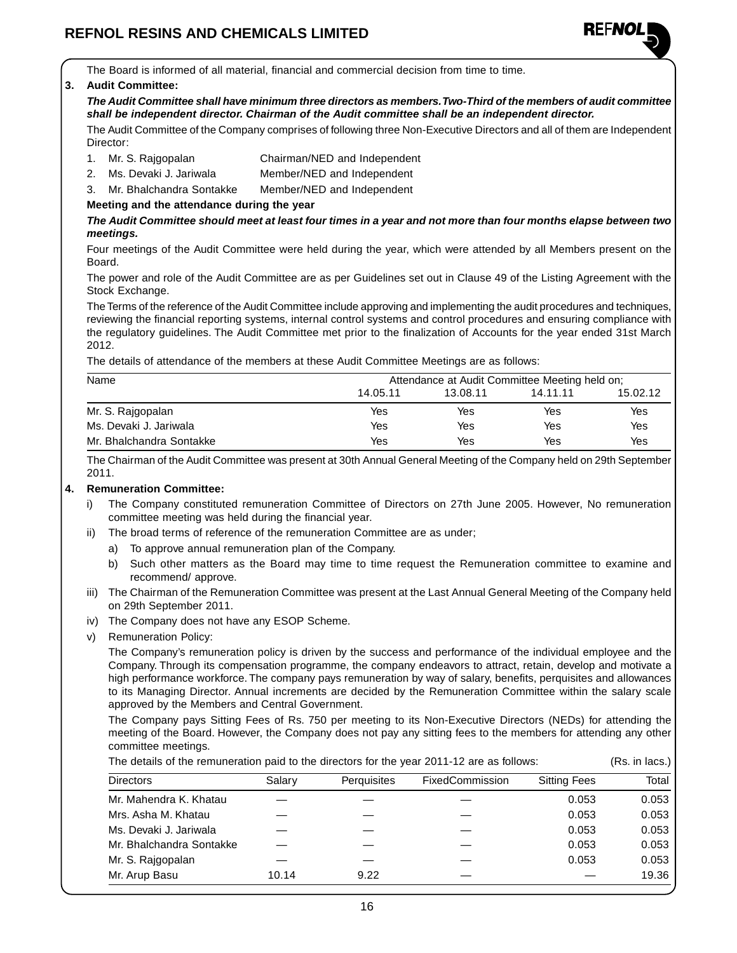

The Board is informed of all material, financial and commercial decision from time to time.

#### **3. Audit Committee:**

**The Audit Committee shall have minimum three directors as members. Two-Third of the members of audit committee shall be independent director. Chairman of the Audit committee shall be an independent director.**

The Audit Committee of the Company comprises of following three Non-Executive Directors and all of them are Independent Director:

- 1. Mr. S. Rajgopalan Chairman/NED and Independent
- 2. Ms. Devaki J. Jariwala Member/NED and Independent
- 3. Mr. Bhalchandra Sontakke Member/NED and Independent

### **Meeting and the attendance during the year**

**The Audit Committee should meet at least four times in a year and not more than four months elapse between two meetings.**

Four meetings of the Audit Committee were held during the year, which were attended by all Members present on the Board.

The power and role of the Audit Committee are as per Guidelines set out in Clause 49 of the Listing Agreement with the Stock Exchange.

The Terms of the reference of the Audit Committee include approving and implementing the audit procedures and techniques, reviewing the financial reporting systems, internal control systems and control procedures and ensuring compliance with the regulatory guidelines. The Audit Committee met prior to the finalization of Accounts for the year ended 31st March 2012.

The details of attendance of the members at these Audit Committee Meetings are as follows:

| Name                     | Attendance at Audit Committee Meeting held on; |          |          |          |
|--------------------------|------------------------------------------------|----------|----------|----------|
|                          | 14.05.11                                       | 13.08.11 | 14.11.11 | 15.02.12 |
| Mr. S. Rajgopalan        | Yes                                            | Yes      | Yes      | Yes      |
| Ms. Devaki J. Jariwala   | Yes                                            | Yes      | Yes      | Yes      |
| Mr. Bhalchandra Sontakke | Yes                                            | Yes      | Yes      | Yes      |

The Chairman of the Audit Committee was present at 30th Annual General Meeting of the Company held on 29th September 2011.

#### **4. Remuneration Committee:**

- i) The Company constituted remuneration Committee of Directors on 27th June 2005. However, No remuneration committee meeting was held during the financial year.
- ii) The broad terms of reference of the remuneration Committee are as under;
	- a) To approve annual remuneration plan of the Company.
	- b) Such other matters as the Board may time to time request the Remuneration committee to examine and recommend/ approve.
- iii) The Chairman of the Remuneration Committee was present at the Last Annual General Meeting of the Company held on 29th September 2011.
- iv) The Company does not have any ESOP Scheme.
- v) Remuneration Policy:

The Company's remuneration policy is driven by the success and performance of the individual employee and the Company. Through its compensation programme, the company endeavors to attract, retain, develop and motivate a high performance workforce. The company pays remuneration by way of salary, benefits, perquisites and allowances to its Managing Director. Annual increments are decided by the Remuneration Committee within the salary scale approved by the Members and Central Government.

The Company pays Sitting Fees of Rs. 750 per meeting to its Non-Executive Directors (NEDs) for attending the meeting of the Board. However, the Company does not pay any sitting fees to the members for attending any other committee meetings.

| The details of the remuneration paid to the directors for the year 2011-12 are as follows: |        |             |                 |                     | (Rs. in lacs.) |
|--------------------------------------------------------------------------------------------|--------|-------------|-----------------|---------------------|----------------|
| <b>Directors</b>                                                                           | Salary | Perguisites | FixedCommission | <b>Sitting Fees</b> | Total          |
| Mr. Mahendra K. Khatau                                                                     |        |             |                 | 0.053               | 0.053          |
| Mrs. Asha M. Khatau                                                                        |        |             |                 | 0.053               | 0.053          |
| Ms. Devaki J. Jariwala                                                                     |        |             |                 | 0.053               | 0.053          |
| Mr. Bhalchandra Sontakke                                                                   |        |             |                 | 0.053               | 0.053          |
| Mr. S. Rajgopalan                                                                          |        |             |                 | 0.053               | 0.053          |
| Mr. Arup Basu                                                                              | 10.14  | 9.22        |                 |                     | 19.36          |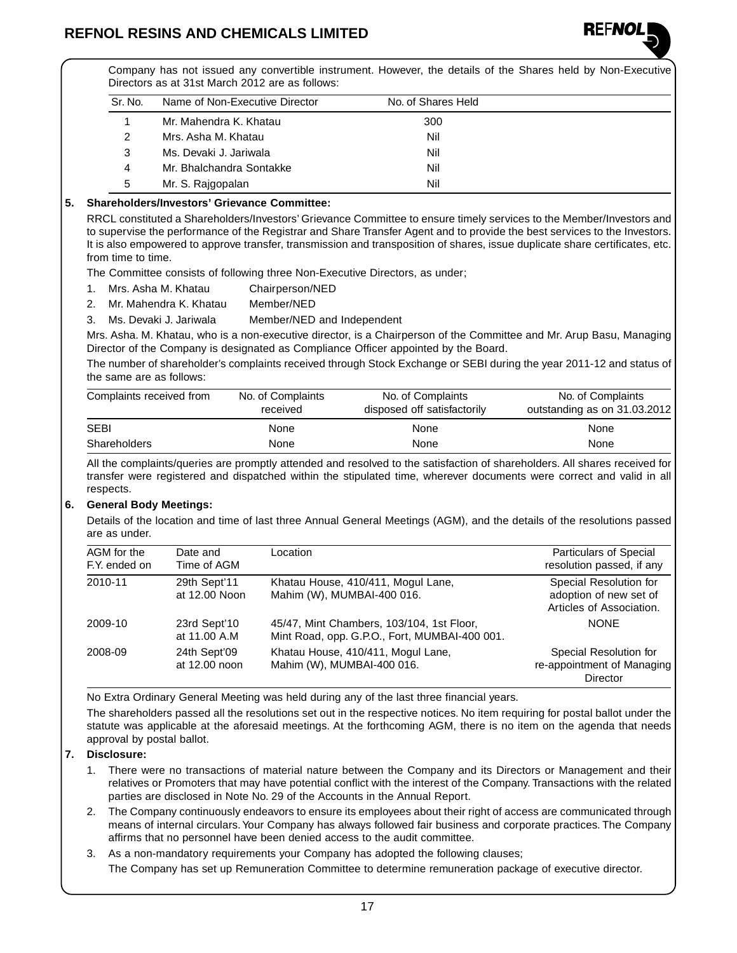

Company has not issued any convertible instrument. However, the details of the Shares held by Non-Executive Directors as at 31st March 2012 are as follows:

| Sr. No. | Name of Non-Executive Director | No. of Shares Held |  |
|---------|--------------------------------|--------------------|--|
|         | Mr. Mahendra K. Khatau         | 300                |  |
|         | Mrs. Asha M. Khatau            | Nil                |  |
| 3       | Ms. Devaki J. Jariwala         | Nil                |  |
| 4       | Mr. Bhalchandra Sontakke       | Nil                |  |
| 5       | Mr. S. Rajgopalan              | Nil                |  |

### **5. Shareholders/Investors' Grievance Committee:**

RRCL constituted a Shareholders/Investors' Grievance Committee to ensure timely services to the Member/Investors and to supervise the performance of the Registrar and Share Transfer Agent and to provide the best services to the Investors. It is also empowered to approve transfer, transmission and transposition of shares, issue duplicate share certificates, etc. from time to time.

The Committee consists of following three Non-Executive Directors, as under;

- 1. Mrs. Asha M. Khatau Chairperson/NED
- 2. Mr. Mahendra K. Khatau Member/NED
- 3. Ms. Devaki J. Jariwala Member/NED and Independent

Mrs. Asha. M. Khatau, who is a non-executive director, is a Chairperson of the Committee and Mr. Arup Basu, Managing Director of the Company is designated as Compliance Officer appointed by the Board.

The number of shareholder's complaints received through Stock Exchange or SEBI during the year 2011-12 and status of the same are as follows:

| Complaints received from | No. of Complaints<br>received | No. of Complaints<br>disposed off satisfactorily | No. of Complaints<br>outstanding as on 31.03.2012 |
|--------------------------|-------------------------------|--------------------------------------------------|---------------------------------------------------|
| <b>SEBI</b>              | None                          | None                                             | None                                              |
| Shareholders             | None                          | None                                             | None                                              |

All the complaints/queries are promptly attended and resolved to the satisfaction of shareholders. All shares received for transfer were registered and dispatched within the stipulated time, wherever documents were correct and valid in all respects.

### **6. General Body Meetings:**

Details of the location and time of last three Annual General Meetings (AGM), and the details of the resolutions passed are as under.

| AGM for the<br>F.Y. ended on | Date and<br>Time of AGM       | Location                                                                                   | <b>Particulars of Special</b><br>resolution passed, if any                   |
|------------------------------|-------------------------------|--------------------------------------------------------------------------------------------|------------------------------------------------------------------------------|
| 2010-11                      | 29th Sept'11<br>at 12.00 Noon | Khatau House, 410/411, Mogul Lane,<br>Mahim (W), MUMBAI-400 016.                           | Special Resolution for<br>adoption of new set of<br>Articles of Association. |
| 2009-10                      | 23rd Sept'10<br>at 11.00 A.M  | 45/47, Mint Chambers, 103/104, 1st Floor,<br>Mint Road, opp. G.P.O., Fort, MUMBAI-400 001. | <b>NONE</b>                                                                  |
| 2008-09                      | 24th Sept'09<br>at 12.00 noon | Khatau House, 410/411, Mogul Lane,<br>Mahim (W), MUMBAI-400 016.                           | Special Resolution for<br>re-appointment of Managing<br>Director             |

No Extra Ordinary General Meeting was held during any of the last three financial years.

The shareholders passed all the resolutions set out in the respective notices. No item requiring for postal ballot under the statute was applicable at the aforesaid meetings. At the forthcoming AGM, there is no item on the agenda that needs approval by postal ballot.

### **7. Disclosure:**

- 1. There were no transactions of material nature between the Company and its Directors or Management and their relatives or Promoters that may have potential conflict with the interest of the Company. Transactions with the related parties are disclosed in Note No. 29 of the Accounts in the Annual Report.
- 2. The Company continuously endeavors to ensure its employees about their right of access are communicated through means of internal circulars. Your Company has always followed fair business and corporate practices. The Company affirms that no personnel have been denied access to the audit committee.
- 3. As a non-mandatory requirements your Company has adopted the following clauses;
	- The Company has set up Remuneration Committee to determine remuneration package of executive director.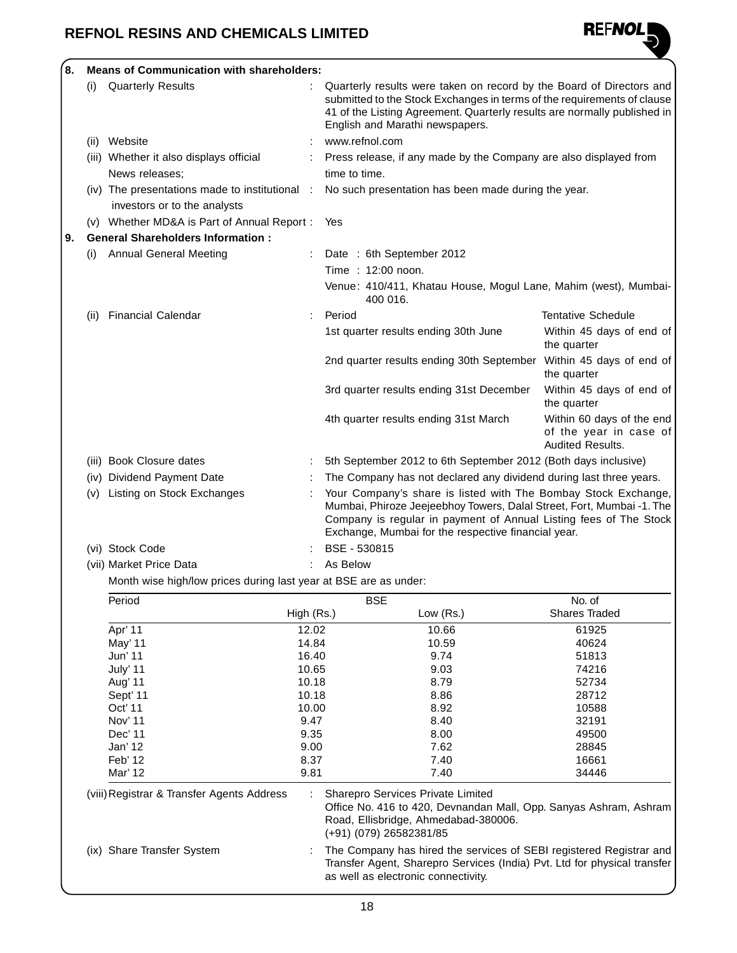

| 8. | <b>Means of Communication with shareholders:</b> |                                                                                  |            |                                                                                                                                                                                                                                                                     |                                                                                                                                                                                                                                                                |                                                                                |  |
|----|--------------------------------------------------|----------------------------------------------------------------------------------|------------|---------------------------------------------------------------------------------------------------------------------------------------------------------------------------------------------------------------------------------------------------------------------|----------------------------------------------------------------------------------------------------------------------------------------------------------------------------------------------------------------------------------------------------------------|--------------------------------------------------------------------------------|--|
|    | (i)                                              | <b>Quarterly Results</b>                                                         |            |                                                                                                                                                                                                                                                                     | Quarterly results were taken on record by the Board of Directors and<br>submitted to the Stock Exchanges in terms of the requirements of clause<br>41 of the Listing Agreement. Quarterly results are normally published in<br>English and Marathi newspapers. |                                                                                |  |
|    |                                                  | (ii) Website                                                                     |            | www.refnol.com                                                                                                                                                                                                                                                      |                                                                                                                                                                                                                                                                |                                                                                |  |
|    |                                                  | (iii) Whether it also displays official                                          |            |                                                                                                                                                                                                                                                                     | Press release, if any made by the Company are also displayed from                                                                                                                                                                                              |                                                                                |  |
|    |                                                  | News releases;                                                                   |            | time to time.                                                                                                                                                                                                                                                       |                                                                                                                                                                                                                                                                |                                                                                |  |
|    |                                                  | $(iv)$ The presentations made to institutional :<br>investors or to the analysts |            |                                                                                                                                                                                                                                                                     | No such presentation has been made during the year.                                                                                                                                                                                                            |                                                                                |  |
|    |                                                  | (v) Whether MD&A is Part of Annual Report:                                       |            | Yes                                                                                                                                                                                                                                                                 |                                                                                                                                                                                                                                                                |                                                                                |  |
| 9. |                                                  | <b>General Shareholders Information:</b>                                         |            |                                                                                                                                                                                                                                                                     |                                                                                                                                                                                                                                                                |                                                                                |  |
|    | (1)                                              | <b>Annual General Meeting</b>                                                    |            |                                                                                                                                                                                                                                                                     | Date: 6th September 2012                                                                                                                                                                                                                                       |                                                                                |  |
|    |                                                  |                                                                                  |            |                                                                                                                                                                                                                                                                     | Time: 12:00 noon.                                                                                                                                                                                                                                              |                                                                                |  |
|    |                                                  |                                                                                  |            |                                                                                                                                                                                                                                                                     |                                                                                                                                                                                                                                                                |                                                                                |  |
|    |                                                  |                                                                                  |            | Venue: 410/411, Khatau House, Mogul Lane, Mahim (west), Mumbai-<br>400 016.                                                                                                                                                                                         |                                                                                                                                                                                                                                                                |                                                                                |  |
|    | (11)                                             | <b>Financial Calendar</b>                                                        |            | Period                                                                                                                                                                                                                                                              |                                                                                                                                                                                                                                                                | <b>Tentative Schedule</b>                                                      |  |
|    |                                                  |                                                                                  |            |                                                                                                                                                                                                                                                                     | 1st quarter results ending 30th June                                                                                                                                                                                                                           | Within 45 days of end of<br>the quarter                                        |  |
|    |                                                  |                                                                                  |            |                                                                                                                                                                                                                                                                     | 2nd quarter results ending 30th September                                                                                                                                                                                                                      | Within 45 days of end of<br>the quarter                                        |  |
|    |                                                  |                                                                                  |            |                                                                                                                                                                                                                                                                     | 3rd quarter results ending 31st December                                                                                                                                                                                                                       | Within 45 days of end of<br>the quarter                                        |  |
|    |                                                  |                                                                                  |            |                                                                                                                                                                                                                                                                     | 4th quarter results ending 31st March                                                                                                                                                                                                                          | Within 60 days of the end<br>of the year in case of<br><b>Audited Results.</b> |  |
|    |                                                  | (iii) Book Closure dates                                                         |            | 5th September 2012 to 6th September 2012 (Both days inclusive)                                                                                                                                                                                                      |                                                                                                                                                                                                                                                                |                                                                                |  |
|    |                                                  | (iv) Dividend Payment Date                                                       |            |                                                                                                                                                                                                                                                                     | The Company has not declared any dividend during last three years.                                                                                                                                                                                             |                                                                                |  |
|    | (v)                                              | Listing on Stock Exchanges                                                       |            | Your Company's share is listed with The Bombay Stock Exchange,<br>Mumbai, Phiroze Jeejeebhoy Towers, Dalal Street, Fort, Mumbai -1. The<br>Company is regular in payment of Annual Listing fees of The Stock<br>Exchange, Mumbai for the respective financial year. |                                                                                                                                                                                                                                                                |                                                                                |  |
|    |                                                  | (vi) Stock Code                                                                  |            | BSE - 530815                                                                                                                                                                                                                                                        |                                                                                                                                                                                                                                                                |                                                                                |  |
|    |                                                  | (vii) Market Price Data                                                          |            | As Below                                                                                                                                                                                                                                                            |                                                                                                                                                                                                                                                                |                                                                                |  |
|    |                                                  | Month wise high/low prices during last year at BSE are as under:                 |            |                                                                                                                                                                                                                                                                     |                                                                                                                                                                                                                                                                |                                                                                |  |
|    |                                                  | Period                                                                           |            |                                                                                                                                                                                                                                                                     | <b>BSE</b>                                                                                                                                                                                                                                                     | No. of                                                                         |  |
|    |                                                  |                                                                                  | High (Rs.) |                                                                                                                                                                                                                                                                     | Low (Rs.)                                                                                                                                                                                                                                                      | Shares Traded                                                                  |  |
|    |                                                  | Apr' 11                                                                          | 12.02      |                                                                                                                                                                                                                                                                     | 10.66                                                                                                                                                                                                                                                          | 61925                                                                          |  |
|    |                                                  | May' 11                                                                          | 14.84      |                                                                                                                                                                                                                                                                     | 10.59                                                                                                                                                                                                                                                          | 40624                                                                          |  |
|    |                                                  | Jun' 11                                                                          | 16.40      |                                                                                                                                                                                                                                                                     | 9.74                                                                                                                                                                                                                                                           | 51813                                                                          |  |
|    |                                                  | July' 11                                                                         | 10.65      |                                                                                                                                                                                                                                                                     | 9.03                                                                                                                                                                                                                                                           | 74216                                                                          |  |
|    |                                                  | Aug' 11                                                                          | 10.18      |                                                                                                                                                                                                                                                                     | 8.79                                                                                                                                                                                                                                                           | 52734                                                                          |  |
|    |                                                  | Sept' 11                                                                         | 10.18      |                                                                                                                                                                                                                                                                     | 8.86                                                                                                                                                                                                                                                           | 28712                                                                          |  |
|    |                                                  | Oct' 11                                                                          | 10.00      |                                                                                                                                                                                                                                                                     | 8.92                                                                                                                                                                                                                                                           | 10588                                                                          |  |
|    |                                                  | Nov' 11                                                                          | 9.47       |                                                                                                                                                                                                                                                                     | 8.40                                                                                                                                                                                                                                                           | 32191                                                                          |  |
|    |                                                  | Dec' 11                                                                          | 9.35       |                                                                                                                                                                                                                                                                     | 8.00                                                                                                                                                                                                                                                           | 49500                                                                          |  |
|    |                                                  | Jan' 12<br>Feb' 12                                                               | 8.37       | 9.00<br>7.62<br>7.40                                                                                                                                                                                                                                                |                                                                                                                                                                                                                                                                | 28845<br>16661                                                                 |  |
|    |                                                  | Mar' 12                                                                          | 9.81       | 7.40<br>34446                                                                                                                                                                                                                                                       |                                                                                                                                                                                                                                                                |                                                                                |  |
|    |                                                  | (viii) Registrar & Transfer Agents Address                                       |            |                                                                                                                                                                                                                                                                     | Sharepro Services Private Limited<br>Office No. 416 to 420, Devnandan Mall, Opp. Sanyas Ashram, Ashram<br>Road, Ellisbridge, Ahmedabad-380006.<br>(+91) (079) 26582381/85                                                                                      |                                                                                |  |
|    |                                                  | (ix) Share Transfer System                                                       |            |                                                                                                                                                                                                                                                                     | The Company has hired the services of SEBI registered Registrar and<br>Transfer Agent, Sharepro Services (India) Pvt. Ltd for physical transfer<br>as well as electronic connectivity.                                                                         |                                                                                |  |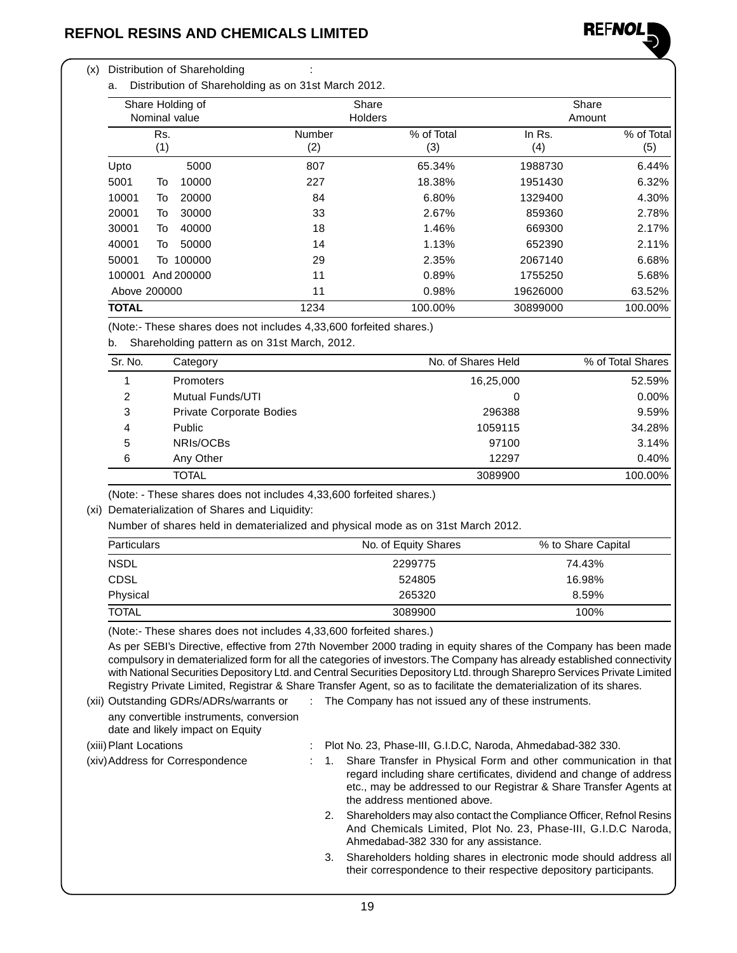

### (x) Distribution of Shareholding :

a. Distribution of Shareholding as on 31st March 2012.

| Share Holding of<br>Nominal value | Share<br><b>Holders</b> |                   | Share<br>Amount |                   |
|-----------------------------------|-------------------------|-------------------|-----------------|-------------------|
| Rs.<br>(1)                        | Number<br>(2)           | % of Total<br>(3) | In Rs.<br>(4)   | % of Total<br>(5) |
| Upto<br>5000                      | 807                     | 65.34%            | 1988730         | 6.44%             |
| 5001<br>То<br>10000               | 227                     | 18.38%            | 1951430         | 6.32%             |
| 10001<br>To<br>20000              | 84                      | 6.80%             | 1329400         | 4.30%             |
| 20001<br>30000<br>To              | 33                      | 2.67%             | 859360          | 2.78%             |
| 30001<br>40000<br>To              | 18                      | 1.46%             | 669300          | 2.17%             |
| 40001<br>50000<br>To              | 14                      | 1.13%             | 652390          | 2.11%             |
| 50001<br>To 100000                | 29                      | 2.35%             | 2067140         | 6.68%             |
| 100001<br>And 200000              | 11                      | 0.89%             | 1755250         | 5.68%             |
| Above 200000                      | 11                      | 0.98%             | 19626000        | 63.52%            |
| <b>TOTAL</b>                      | 1234                    | 100.00%           | 30899000        | 100.00%           |

(Note:- These shares does not includes 4,33,600 forfeited shares.)

b. Shareholding pattern as on 31st March, 2012.

| Sr. No. | Category                 | No. of Shares Held | % of Total Shares |
|---------|--------------------------|--------------------|-------------------|
|         | <b>Promoters</b>         | 16,25,000          | 52.59%            |
| 2       | <b>Mutual Funds/UTI</b>  | 0                  | $0.00\%$          |
| 3       | Private Corporate Bodies | 296388             | 9.59%             |
| 4       | <b>Public</b>            | 1059115            | 34.28%            |
| 5       | NRIs/OCBs                | 97100              | 3.14%             |
| 6       | Any Other                | 12297              | 0.40%             |
|         | <b>TOTAL</b>             | 3089900            | 100.00%           |

(Note: - These shares does not includes 4,33,600 forfeited shares.)

(xi) Dematerialization of Shares and Liquidity:

Number of shares held in dematerialized and physical mode as on 31st March 2012.

| <b>Particulars</b> | No. of Equity Shares | % to Share Capital |
|--------------------|----------------------|--------------------|
| <b>NSDL</b>        | 2299775              | 74.43%             |
| <b>CDSL</b>        | 524805               | 16.98%             |
| Physical           | 265320               | 8.59%              |
| <b>TOTAL</b>       | 3089900              | 100%               |

(Note:- These shares does not includes 4,33,600 forfeited shares.)

As per SEBI's Directive, effective from 27th November 2000 trading in equity shares of the Company has been made compulsory in dematerialized form for all the categories of investors. The Company has already established connectivity with National Securities Depository Ltd. and Central Securities Depository Ltd. through Sharepro Services Private Limited Registry Private Limited, Registrar & Share Transfer Agent, so as to facilitate the dematerialization of its shares.

any convertible instruments, conversion date and likely impact on Equity

(xii) Outstanding GDRs/ADRs/warrants or : The Company has not issued any of these instruments.

- (xiii)Plant Locations : Plot No. 23, Phase-III, G.I.D.C, Naroda, Ahmedabad-382 330. (xiv)Address for Correspondence : 1. Share Transfer in Physical Form and other communication in that regard including share certificates, dividend and change of address etc., may be addressed to our Registrar & Share Transfer Agents at the address mentioned above.
	- 2. Shareholders may also contact the Compliance Officer, Refnol Resins And Chemicals Limited, Plot No. 23, Phase-III, G.I.D.C Naroda, Ahmedabad-382 330 for any assistance.
	- 3. Shareholders holding shares in electronic mode should address all their correspondence to their respective depository participants.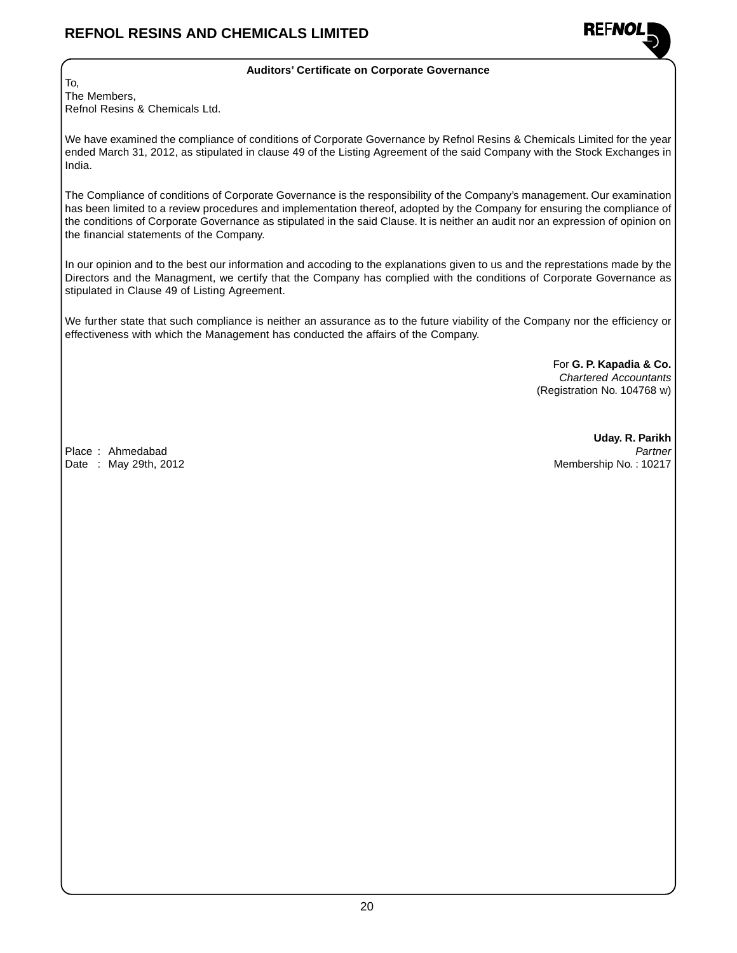

### **Auditors' Certificate on Corporate Governance**

To, The Members, Refnol Resins & Chemicals Ltd.

We have examined the compliance of conditions of Corporate Governance by Refnol Resins & Chemicals Limited for the year ended March 31, 2012, as stipulated in clause 49 of the Listing Agreement of the said Company with the Stock Exchanges in India.

The Compliance of conditions of Corporate Governance is the responsibility of the Company's management. Our examination has been limited to a review procedures and implementation thereof, adopted by the Company for ensuring the compliance of the conditions of Corporate Governance as stipulated in the said Clause. It is neither an audit nor an expression of opinion on the financial statements of the Company.

In our opinion and to the best our information and accoding to the explanations given to us and the represtations made by the Directors and the Managment, we certify that the Company has complied with the conditions of Corporate Governance as stipulated in Clause 49 of Listing Agreement.

We further state that such compliance is neither an assurance as to the future viability of the Company nor the efficiency or effectiveness with which the Management has conducted the affairs of the Company.

> For **G. P. Kapadia & Co.** Chartered Accountants (Registration No. 104768 w)

**Uday. R. Parikh** Place : Ahmedabad **Partner** Partner Partner Partner Partner Partner Partner Partner Partner Date : May 29th, 2012 **Membership No. : 10217**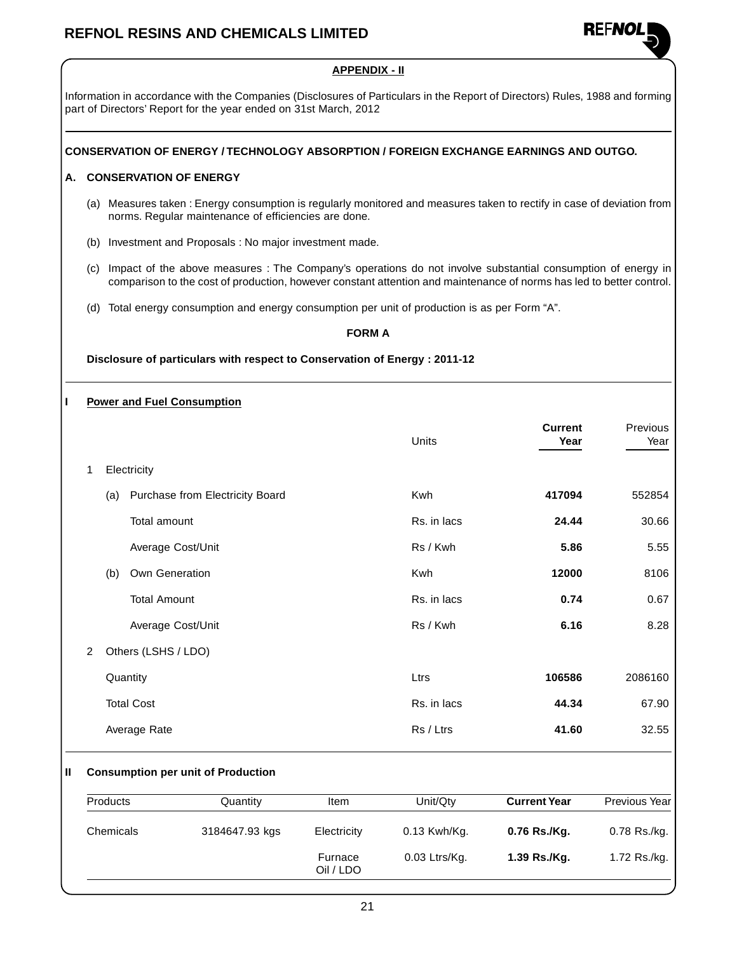

# **APPENDIX - II** Information in accordance with the Companies (Disclosures of Particulars in the Report of Directors) Rules, 1988 and forming part of Directors' Report for the year ended on 31st March, 2012 **CONSERVATION OF ENERGY / TECHNOLOGY ABSORPTION / FOREIGN EXCHANGE EARNINGS AND OUTGO. A. CONSERVATION OF ENERGY** (a) Measures taken : Energy consumption is regularly monitored and measures taken to rectify in case of deviation from norms. Regular maintenance of efficiencies are done. (b) Investment and Proposals : No major investment made. (c) Impact of the above measures : The Company's operations do not involve substantial consumption of energy in comparison to the cost of production, however constant attention and maintenance of norms has led to better control. (d) Total energy consumption and energy consumption per unit of production is as per Form "A". **FORM A Disclosure of particulars with respect to Conservation of Energy : 2011-12 I Power and Fuel Consumption Current** Previous Units **Year** Year 1 Electricity (a) Purchase from Electricity Board Kwh **417094** 552854 Total amount **RS. in lacs 24.44** 30.66 Average Cost/Unit **1988** 10 12 13 14 15 16 16 17 18 18 18 18 18 18 18 18 18 19 18 18 18 19 18 18 18 19 18 18 19 1 (b) Own Generation Kwh **12000** 8106 Total Amount **Contract Contract Contract Contract Contract Contract Contract Contract Contract Contract Contract Contract Contract Contract Contract Contract Contract Contract Contract Contract Contract Contract Contract C** Average Cost/Unit **6.28 6.16** 8.28 2 Others (LSHS / LDO) Quantity Ltrs **106586** 2086160 Total Cost Rs. in lacs **44.34** 67.90 Average Rate **19 and 20 and 20 and 20 and 20 and 20 and 20 and 20 and 20 and 20 and 32.55 41.60 41.60** 32.55 **II Consumption per unit of Production** Products Quantity Item Unit/Qty **Current Year** Previous Year

Oil / LDO

Chemicals 3184647.93 kgs Electricity 0.13 Kwh/Kg. **0.76 Rs./Kg.** 0.78 Rs./kg.

Furnace 0.03 Ltrs/Kg. **1.39 Rs./Kg.** 1.72 Rs./kg.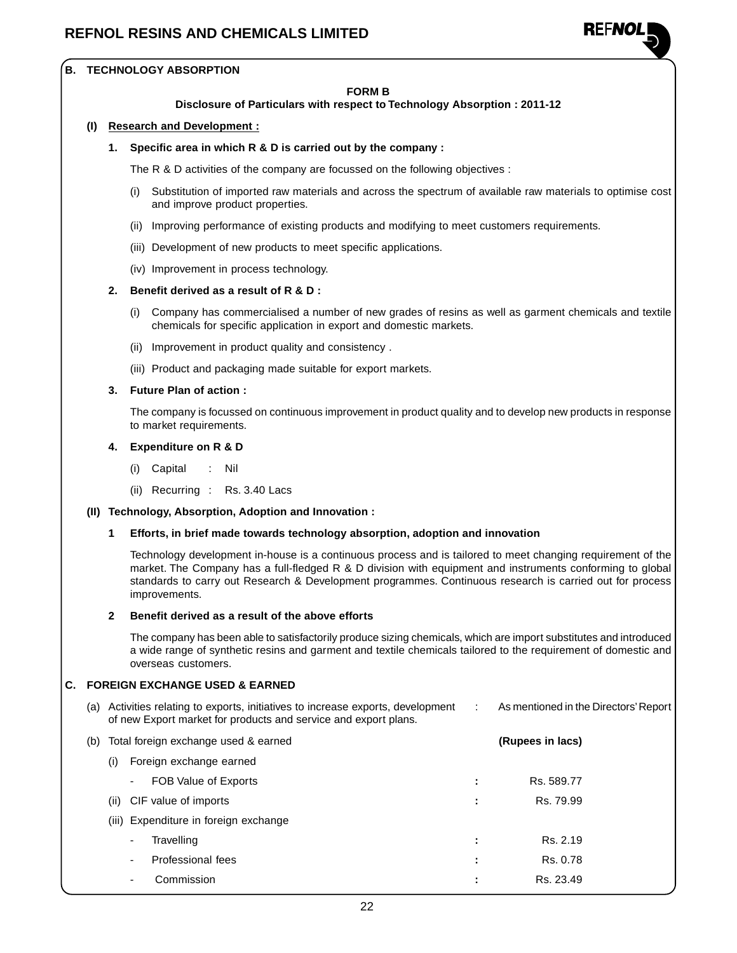

### **B. TECHNOLOGY ABSORPTION**

#### **FORM B**

#### **Disclosure of Particulars with respect to Technology Absorption : 2011-12**

#### **(I) Research and Development :**

#### **1. Specific area in which R & D is carried out by the company :**

The R & D activities of the company are focussed on the following objectives :

- (i) Substitution of imported raw materials and across the spectrum of available raw materials to optimise cost and improve product properties.
- (ii) Improving performance of existing products and modifying to meet customers requirements.
- (iii) Development of new products to meet specific applications.
- (iv) Improvement in process technology.

### **2. Benefit derived as a result of R & D :**

- (i) Company has commercialised a number of new grades of resins as well as garment chemicals and textile chemicals for specific application in export and domestic markets.
- (ii) Improvement in product quality and consistency .
- (iii) Product and packaging made suitable for export markets.

### **3. Future Plan of action :**

The company is focussed on continuous improvement in product quality and to develop new products in response to market requirements.

- **4. Expenditure on R & D**
	- (i) Capital : Nil
	- (ii) Recurring : Rs. 3.40 Lacs

#### **(II) Technology, Absorption, Adoption and Innovation :**

#### **1 Efforts, in brief made towards technology absorption, adoption and innovation**

Technology development in-house is a continuous process and is tailored to meet changing requirement of the market. The Company has a full-fledged R & D division with equipment and instruments conforming to global standards to carry out Research & Development programmes. Continuous research is carried out for process improvements.

#### **2 Benefit derived as a result of the above efforts**

The company has been able to satisfactorily produce sizing chemicals, which are import substitutes and introduced a wide range of synthetic resins and garment and textile chemicals tailored to the requirement of domestic and overseas customers.

### **C. FOREIGN EXCHANGE USED & EARNED**

| (a) | Activities relating to exports, initiatives to increase exports, development<br>of new Export market for products and service and export plans. | As mentioned in the Directors' Report |
|-----|-------------------------------------------------------------------------------------------------------------------------------------------------|---------------------------------------|
|     | (b) Total foreign exchange used & earned                                                                                                        | (Rupees in lacs)                      |
|     | Foreign exchange earned<br>(i)                                                                                                                  |                                       |
|     | FOB Value of Exports<br>$\sim$                                                                                                                  | Rs. 589.77                            |
|     | CIF value of imports<br>(ii)                                                                                                                    | Rs. 79.99                             |

- (iii) Expenditure in foreign exchange
	- Travelling **Example 2.19 :** Rs. 2.19
	- Professional fees **:** Rs. 0.78
	- **Commission Commission :** Rs. 23.49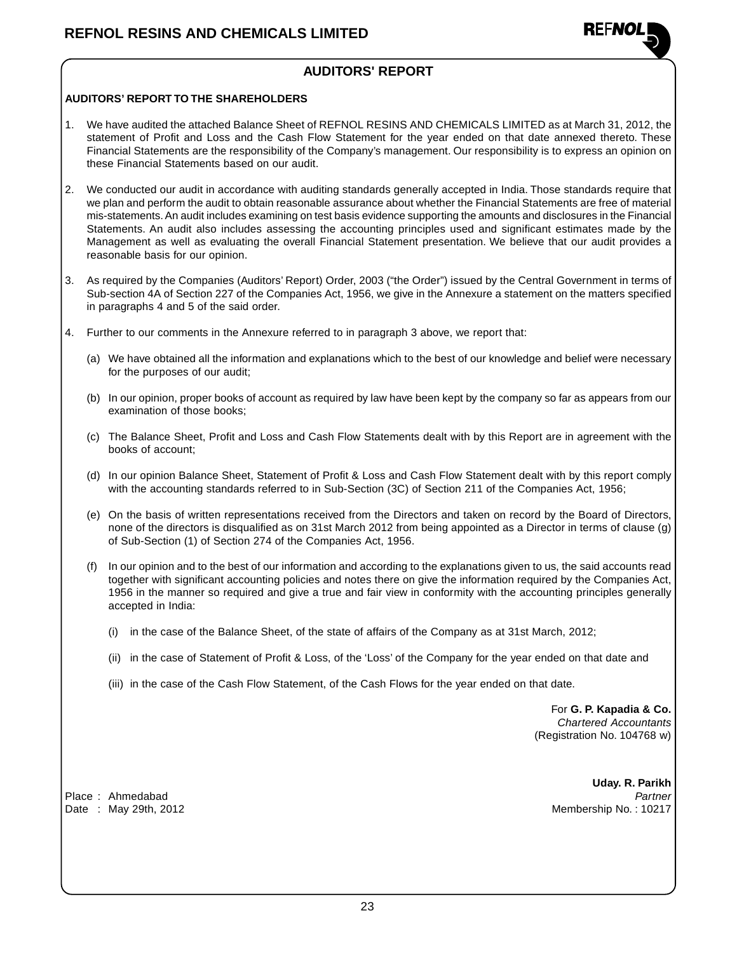

### **AUDITORS' REPORT**

### **AUDITORS' REPORT TO THE SHAREHOLDERS**

- 1. We have audited the attached Balance Sheet of REFNOL RESINS AND CHEMICALS LIMITED as at March 31, 2012, the statement of Profit and Loss and the Cash Flow Statement for the year ended on that date annexed thereto. These Financial Statements are the responsibility of the Company's management. Our responsibility is to express an opinion on these Financial Statements based on our audit.
- 2. We conducted our audit in accordance with auditing standards generally accepted in India. Those standards require that we plan and perform the audit to obtain reasonable assurance about whether the Financial Statements are free of material mis-statements. An audit includes examining on test basis evidence supporting the amounts and disclosures in the Financial Statements. An audit also includes assessing the accounting principles used and significant estimates made by the Management as well as evaluating the overall Financial Statement presentation. We believe that our audit provides a reasonable basis for our opinion.
- 3. As required by the Companies (Auditors' Report) Order, 2003 ("the Order") issued by the Central Government in terms of Sub-section 4A of Section 227 of the Companies Act, 1956, we give in the Annexure a statement on the matters specified in paragraphs 4 and 5 of the said order.
- 4. Further to our comments in the Annexure referred to in paragraph 3 above, we report that:
	- (a) We have obtained all the information and explanations which to the best of our knowledge and belief were necessary for the purposes of our audit;
	- (b) In our opinion, proper books of account as required by law have been kept by the company so far as appears from our examination of those books;
	- (c) The Balance Sheet, Profit and Loss and Cash Flow Statements dealt with by this Report are in agreement with the books of account;
	- (d) In our opinion Balance Sheet, Statement of Profit & Loss and Cash Flow Statement dealt with by this report comply with the accounting standards referred to in Sub-Section (3C) of Section 211 of the Companies Act, 1956;
	- (e) On the basis of written representations received from the Directors and taken on record by the Board of Directors, none of the directors is disqualified as on 31st March 2012 from being appointed as a Director in terms of clause (g) of Sub-Section (1) of Section 274 of the Companies Act, 1956.
	- (f) In our opinion and to the best of our information and according to the explanations given to us, the said accounts read together with significant accounting policies and notes there on give the information required by the Companies Act, 1956 in the manner so required and give a true and fair view in conformity with the accounting principles generally accepted in India:
		- (i) in the case of the Balance Sheet, of the state of affairs of the Company as at 31st March, 2012;
		- (ii) in the case of Statement of Profit & Loss, of the 'Loss' of the Company for the year ended on that date and
		- (iii) in the case of the Cash Flow Statement, of the Cash Flows for the year ended on that date.

For **G. P. Kapadia & Co.** Chartered Accountants (Registration No. 104768 w)

Date : May 29th, 2012 **Membership No. : 10217** 

**Uday. R. Parikh** Place : Ahmedabad Partner Partner Partner Partner Partner Partner Partner Partner Partner Partner Partner Partner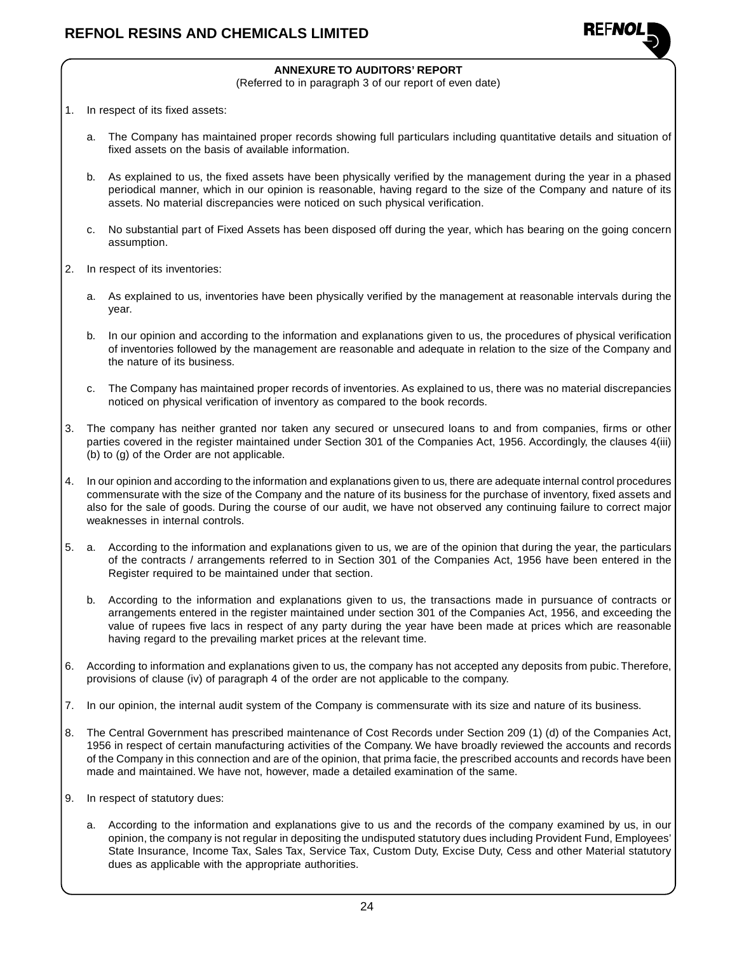

### **ANNEXURE TO AUDITORS' REPORT**

(Referred to in paragraph 3 of our report of even date)

- 1. In respect of its fixed assets:
	- a. The Company has maintained proper records showing full particulars including quantitative details and situation of fixed assets on the basis of available information.
	- b. As explained to us, the fixed assets have been physically verified by the management during the year in a phased periodical manner, which in our opinion is reasonable, having regard to the size of the Company and nature of its assets. No material discrepancies were noticed on such physical verification.
	- c. No substantial part of Fixed Assets has been disposed off during the year, which has bearing on the going concern assumption.
- 2. In respect of its inventories:
	- a. As explained to us, inventories have been physically verified by the management at reasonable intervals during the year.
	- b. In our opinion and according to the information and explanations given to us, the procedures of physical verification of inventories followed by the management are reasonable and adequate in relation to the size of the Company and the nature of its business.
	- c. The Company has maintained proper records of inventories. As explained to us, there was no material discrepancies noticed on physical verification of inventory as compared to the book records.
- 3. The company has neither granted nor taken any secured or unsecured loans to and from companies, firms or other parties covered in the register maintained under Section 301 of the Companies Act, 1956. Accordingly, the clauses 4(iii) (b) to (g) of the Order are not applicable.
- 4. In our opinion and according to the information and explanations given to us, there are adequate internal control procedures commensurate with the size of the Company and the nature of its business for the purchase of inventory, fixed assets and also for the sale of goods. During the course of our audit, we have not observed any continuing failure to correct major weaknesses in internal controls.
- 5. a. According to the information and explanations given to us, we are of the opinion that during the year, the particulars of the contracts / arrangements referred to in Section 301 of the Companies Act, 1956 have been entered in the Register required to be maintained under that section.
	- b. According to the information and explanations given to us, the transactions made in pursuance of contracts or arrangements entered in the register maintained under section 301 of the Companies Act, 1956, and exceeding the value of rupees five lacs in respect of any party during the year have been made at prices which are reasonable having regard to the prevailing market prices at the relevant time.
- 6. According to information and explanations given to us, the company has not accepted any deposits from pubic. Therefore, provisions of clause (iv) of paragraph 4 of the order are not applicable to the company.
- 7. In our opinion, the internal audit system of the Company is commensurate with its size and nature of its business.
- 8. The Central Government has prescribed maintenance of Cost Records under Section 209 (1) (d) of the Companies Act, 1956 in respect of certain manufacturing activities of the Company. We have broadly reviewed the accounts and records of the Company in this connection and are of the opinion, that prima facie, the prescribed accounts and records have been made and maintained. We have not, however, made a detailed examination of the same.
- 9. In respect of statutory dues:
	- a. According to the information and explanations give to us and the records of the company examined by us, in our opinion, the company is not regular in depositing the undisputed statutory dues including Provident Fund, Employees' State Insurance, Income Tax, Sales Tax, Service Tax, Custom Duty, Excise Duty, Cess and other Material statutory dues as applicable with the appropriate authorities.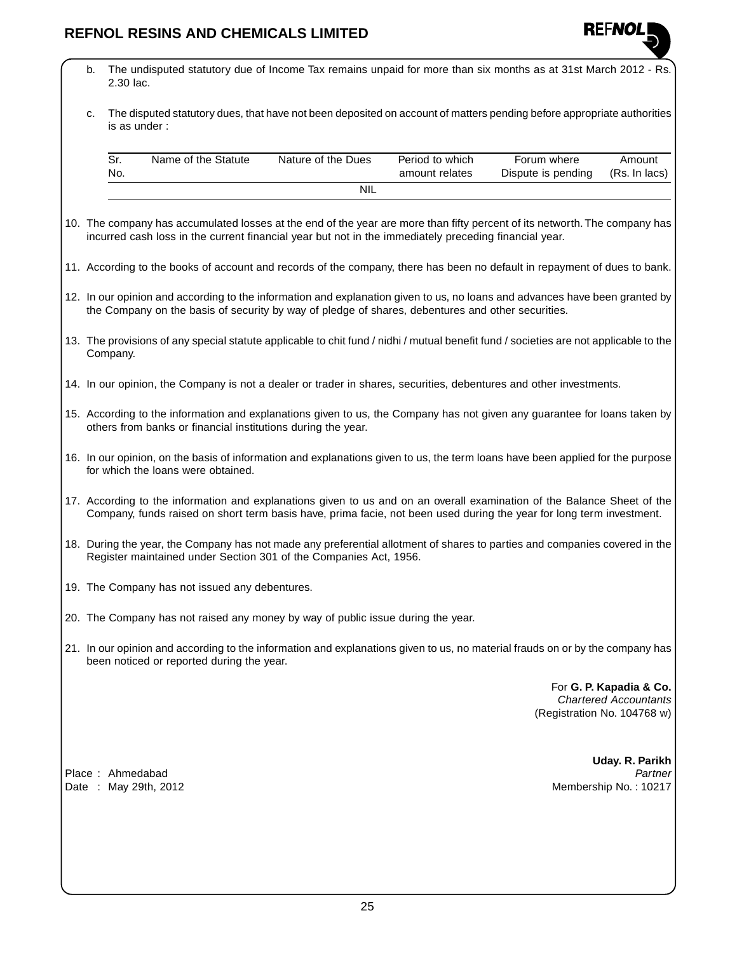

- b. The undisputed statutory due of Income Tax remains unpaid for more than six months as at 31st March 2012 Rs. 2.30 lac.
- c. The disputed statutory dues, that have not been deposited on account of matters pending before appropriate authorities is as under :

| No. | Name of the Statute | Nature of the Dues | Period to which<br>amount relates | Forum where<br>Dispute is pending | Amount<br>(Rs. In lacs) |
|-----|---------------------|--------------------|-----------------------------------|-----------------------------------|-------------------------|
|     |                     | -NIL               |                                   |                                   |                         |

- 10. The company has accumulated losses at the end of the year are more than fifty percent of its networth.The company has incurred cash loss in the current financial year but not in the immediately preceding financial year.
- 11. According to the books of account and records of the company, there has been no default in repayment of dues to bank.
- 12. In our opinion and according to the information and explanation given to us, no loans and advances have been granted by the Company on the basis of security by way of pledge of shares, debentures and other securities.
- 13. The provisions of any special statute applicable to chit fund / nidhi / mutual benefit fund / societies are not applicable to the Company.
- 14. In our opinion, the Company is not a dealer or trader in shares, securities, debentures and other investments.
- 15. According to the information and explanations given to us, the Company has not given any guarantee for loans taken by others from banks or financial institutions during the year.
- 16. In our opinion, on the basis of information and explanations given to us, the term loans have been applied for the purpose for which the loans were obtained.
- 17. According to the information and explanations given to us and on an overall examination of the Balance Sheet of the Company, funds raised on short term basis have, prima facie, not been used during the year for long term investment.
- 18. During the year, the Company has not made any preferential allotment of shares to parties and companies covered in the Register maintained under Section 301 of the Companies Act, 1956.
- 19. The Company has not issued any debentures.
- 20. The Company has not raised any money by way of public issue during the year.
- 21. In our opinion and according to the information and explanations given to us, no material frauds on or by the company has been noticed or reported during the year.

For **G. P. Kapadia & Co.** Chartered Accountants (Registration No. 104768 w)

Place : Ahmedabad Partner et al. Partner et al. Partner et al. Partner et al. Partner et al. Partner et al. Partner

**Uday. R. Parikh** Date : May 29th, 2012 Membership No. : 10217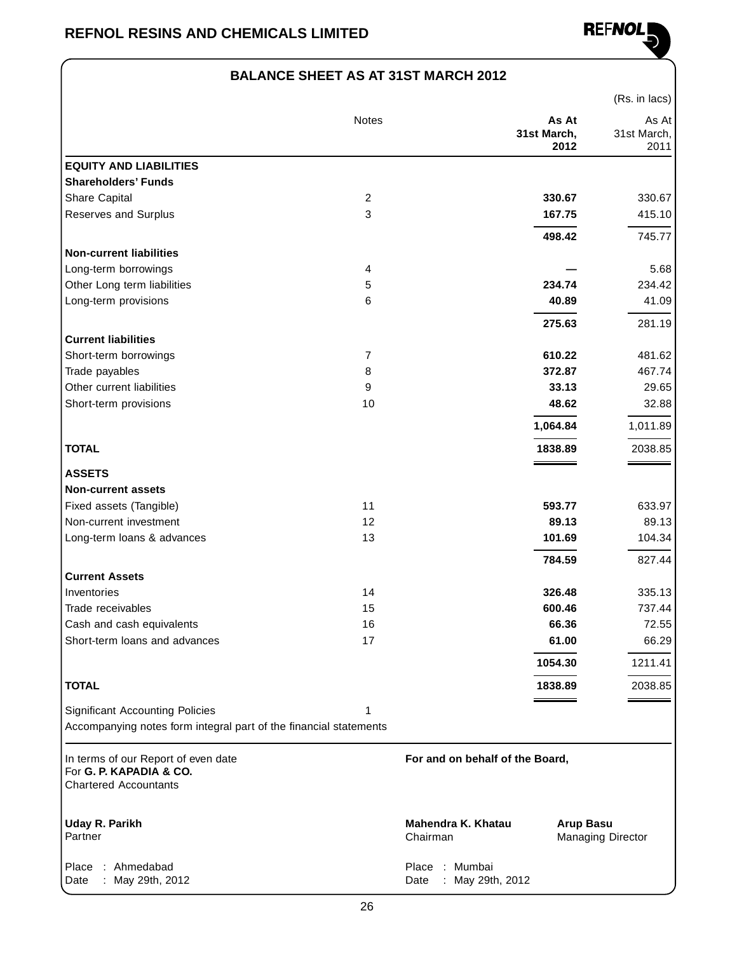

### **BALANCE SHEET AS AT 31ST MARCH 2012**

|                                                                                                |                |                                                            |                              | (Rs. in lacs)                |
|------------------------------------------------------------------------------------------------|----------------|------------------------------------------------------------|------------------------------|------------------------------|
|                                                                                                | Notes          |                                                            | As At<br>31st March,<br>2012 | As At<br>31st March,<br>2011 |
| <b>EQUITY AND LIABILITIES</b>                                                                  |                |                                                            |                              |                              |
| <b>Shareholders' Funds</b>                                                                     |                |                                                            |                              |                              |
| Share Capital                                                                                  | $\overline{c}$ |                                                            | 330.67                       | 330.67                       |
| Reserves and Surplus                                                                           | 3              |                                                            | 167.75                       | 415.10                       |
|                                                                                                |                |                                                            | 498.42                       | 745.77                       |
| <b>Non-current liabilities</b>                                                                 |                |                                                            |                              |                              |
| Long-term borrowings                                                                           | 4              |                                                            |                              | 5.68                         |
| Other Long term liabilities                                                                    | 5              |                                                            | 234.74                       | 234.42                       |
| Long-term provisions                                                                           | 6              |                                                            | 40.89                        | 41.09                        |
|                                                                                                |                |                                                            | 275.63                       | 281.19                       |
| <b>Current liabilities</b>                                                                     |                |                                                            |                              |                              |
| Short-term borrowings                                                                          | 7              |                                                            | 610.22                       | 481.62                       |
| Trade payables                                                                                 | 8              |                                                            | 372.87                       | 467.74                       |
| Other current liabilities                                                                      | 9              |                                                            | 33.13                        | 29.65                        |
| Short-term provisions                                                                          | 10             |                                                            | 48.62                        | 32.88                        |
|                                                                                                |                |                                                            | 1,064.84                     | 1,011.89                     |
| <b>TOTAL</b>                                                                                   |                |                                                            | 1838.89                      | 2038.85                      |
| <b>ASSETS</b>                                                                                  |                |                                                            |                              |                              |
| <b>Non-current assets</b>                                                                      |                |                                                            |                              |                              |
| Fixed assets (Tangible)                                                                        | 11             |                                                            | 593.77                       | 633.97                       |
| Non-current investment                                                                         | 12             |                                                            | 89.13                        | 89.13                        |
| Long-term loans & advances                                                                     | 13             |                                                            | 101.69                       | 104.34                       |
|                                                                                                |                |                                                            | 784.59                       | 827.44                       |
| <b>Current Assets</b>                                                                          |                |                                                            |                              |                              |
| Inventories                                                                                    | 14             |                                                            | 326.48                       | 335.13                       |
| Trade receivables                                                                              | 15             |                                                            | 600.46<br>66.36              | 737.44                       |
| Cash and cash equivalents                                                                      | 16             |                                                            |                              | 72.55                        |
| Short-term loans and advances                                                                  | 17             |                                                            | 61.00                        | 66.29                        |
|                                                                                                |                |                                                            | 1054.30                      | 1211.41                      |
| <b>TOTAL</b>                                                                                   |                |                                                            | 1838.89                      | 2038.85                      |
| <b>Significant Accounting Policies</b>                                                         | 1              |                                                            |                              |                              |
| Accompanying notes form integral part of the financial statements                              |                |                                                            |                              |                              |
| In terms of our Report of even date<br>For G. P. KAPADIA & CO.<br><b>Chartered Accountants</b> |                | For and on behalf of the Board,                            |                              |                              |
| <b>Uday R. Parikh</b><br>Partner                                                               |                | Mahendra K. Khatau<br>Chairman                             | <b>Arup Basu</b>             | <b>Managing Director</b>     |
| Ahmedabad<br>Place<br>May 29th, 2012<br>Date                                                   |                | Mumbai<br>Place<br>$\mathcal{A}$<br>May 29th, 2012<br>Date |                              |                              |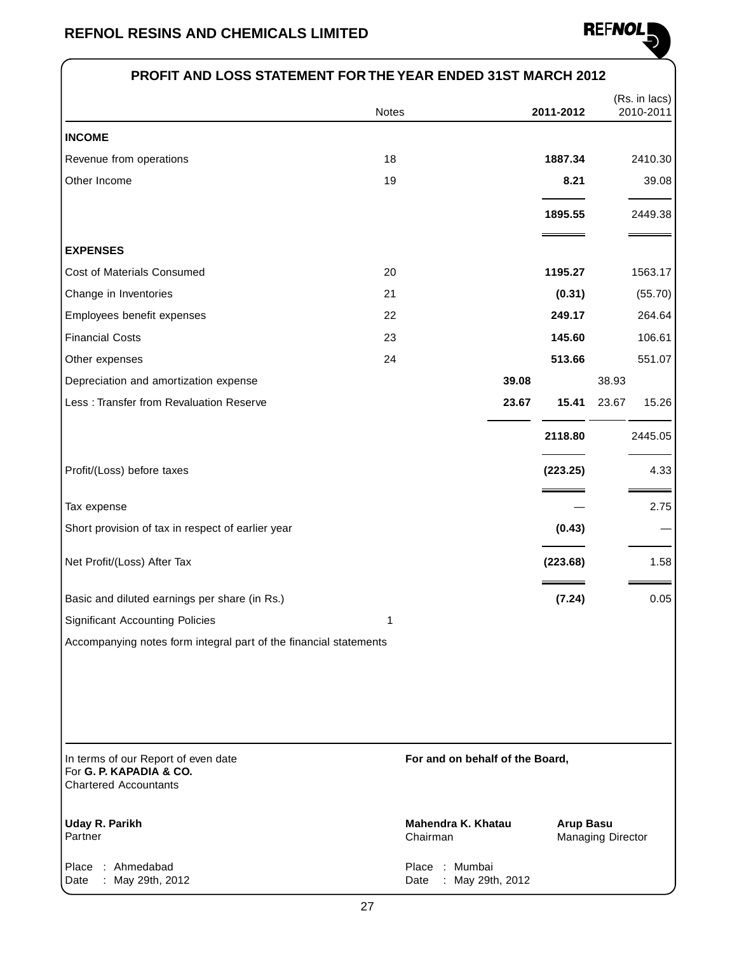

### **PROFIT AND LOSS STATEMENT FOR THE YEAR ENDED 31ST MARCH 2012**

|                                                                                                | Notes |                                            | 2011-2012        |                          | (Rs. in lacs)<br>2010-2011 |
|------------------------------------------------------------------------------------------------|-------|--------------------------------------------|------------------|--------------------------|----------------------------|
| <b>INCOME</b>                                                                                  |       |                                            |                  |                          |                            |
| Revenue from operations                                                                        | 18    |                                            | 1887.34          |                          | 2410.30                    |
| Other Income                                                                                   | 19    |                                            | 8.21             |                          | 39.08                      |
|                                                                                                |       |                                            | 1895.55          |                          | 2449.38                    |
| <b>EXPENSES</b>                                                                                |       |                                            |                  |                          |                            |
| Cost of Materials Consumed                                                                     | 20    |                                            | 1195.27          |                          | 1563.17                    |
| Change in Inventories                                                                          | 21    |                                            | (0.31)           |                          | (55.70)                    |
| Employees benefit expenses                                                                     | 22    |                                            | 249.17           |                          | 264.64                     |
| <b>Financial Costs</b>                                                                         | 23    |                                            | 145.60           |                          | 106.61                     |
| Other expenses                                                                                 | 24    |                                            | 513.66           |                          | 551.07                     |
| Depreciation and amortization expense                                                          |       | 39.08                                      |                  | 38.93                    |                            |
| Less: Transfer from Revaluation Reserve                                                        |       | 23.67                                      | 15.41            | 23.67                    | 15.26                      |
|                                                                                                |       |                                            | 2118.80          |                          | 2445.05                    |
| Profit/(Loss) before taxes                                                                     |       |                                            | (223.25)         |                          | 4.33                       |
| Tax expense                                                                                    |       |                                            |                  |                          | 2.75                       |
| Short provision of tax in respect of earlier year                                              |       |                                            | (0.43)           |                          |                            |
| Net Profit/(Loss) After Tax                                                                    |       |                                            | (223.68)         |                          | 1.58                       |
| Basic and diluted earnings per share (in Rs.)                                                  |       |                                            | (7.24)           |                          | 0.05                       |
| <b>Significant Accounting Policies</b>                                                         | 1     |                                            |                  |                          |                            |
| Accompanying notes form integral part of the financial statements                              |       |                                            |                  |                          |                            |
|                                                                                                |       |                                            |                  |                          |                            |
| In terms of our Report of even date<br>For G. P. KAPADIA & CO.<br><b>Chartered Accountants</b> |       | For and on behalf of the Board,            |                  |                          |                            |
| <b>Uday R. Parikh</b><br>Partner                                                               |       | Mahendra K. Khatau<br>Chairman             | <b>Arup Basu</b> | <b>Managing Director</b> |                            |
| : Ahmedabad<br>Place<br>May 29th, 2012<br>Date                                                 |       | Place : Mumbai<br>May 29th, 2012<br>Date : |                  |                          |                            |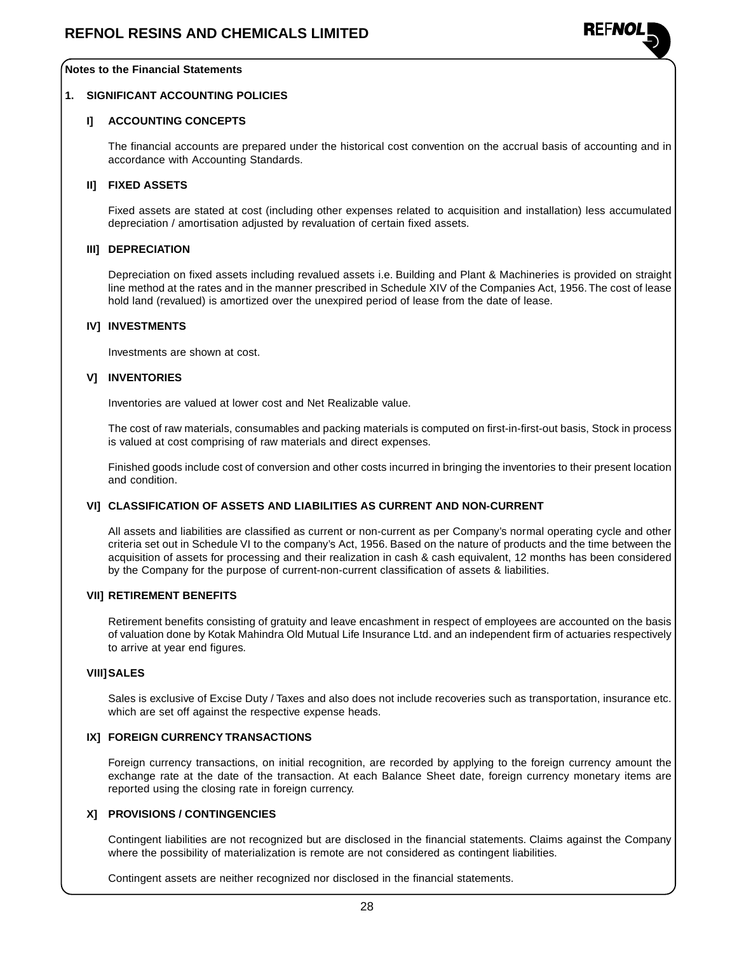

#### **Notes to the Financial Statements**

#### **1. SIGNIFICANT ACCOUNTING POLICIES**

### **I] ACCOUNTING CONCEPTS**

The financial accounts are prepared under the historical cost convention on the accrual basis of accounting and in accordance with Accounting Standards.

#### **II] FIXED ASSETS**

Fixed assets are stated at cost (including other expenses related to acquisition and installation) less accumulated depreciation / amortisation adjusted by revaluation of certain fixed assets.

### **III] DEPRECIATION**

Depreciation on fixed assets including revalued assets i.e. Building and Plant & Machineries is provided on straight line method at the rates and in the manner prescribed in Schedule XIV of the Companies Act, 1956.The cost of lease hold land (revalued) is amortized over the unexpired period of lease from the date of lease.

#### **IV] INVESTMENTS**

Investments are shown at cost.

#### **V] INVENTORIES**

Inventories are valued at lower cost and Net Realizable value.

The cost of raw materials, consumables and packing materials is computed on first-in-first-out basis, Stock in process is valued at cost comprising of raw materials and direct expenses.

Finished goods include cost of conversion and other costs incurred in bringing the inventories to their present location and condition.

#### **VI] CLASSIFICATION OF ASSETS AND LIABILITIES AS CURRENT AND NON-CURRENT**

All assets and liabilities are classified as current or non-current as per Company's normal operating cycle and other criteria set out in Schedule VI to the company's Act, 1956. Based on the nature of products and the time between the acquisition of assets for processing and their realization in cash & cash equivalent, 12 months has been considered by the Company for the purpose of current-non-current classification of assets & liabilities.

#### **VII] RETIREMENT BENEFITS**

Retirement benefits consisting of gratuity and leave encashment in respect of employees are accounted on the basis of valuation done by Kotak Mahindra Old Mutual Life Insurance Ltd. and an independent firm of actuaries respectively to arrive at year end figures.

#### **VIII]SALES**

Sales is exclusive of Excise Duty / Taxes and also does not include recoveries such as transportation, insurance etc. which are set off against the respective expense heads.

#### **IX] FOREIGN CURRENCY TRANSACTIONS**

Foreign currency transactions, on initial recognition, are recorded by applying to the foreign currency amount the exchange rate at the date of the transaction. At each Balance Sheet date, foreign currency monetary items are reported using the closing rate in foreign currency.

#### **X] PROVISIONS / CONTINGENCIES**

Contingent liabilities are not recognized but are disclosed in the financial statements. Claims against the Company where the possibility of materialization is remote are not considered as contingent liabilities.

Contingent assets are neither recognized nor disclosed in the financial statements.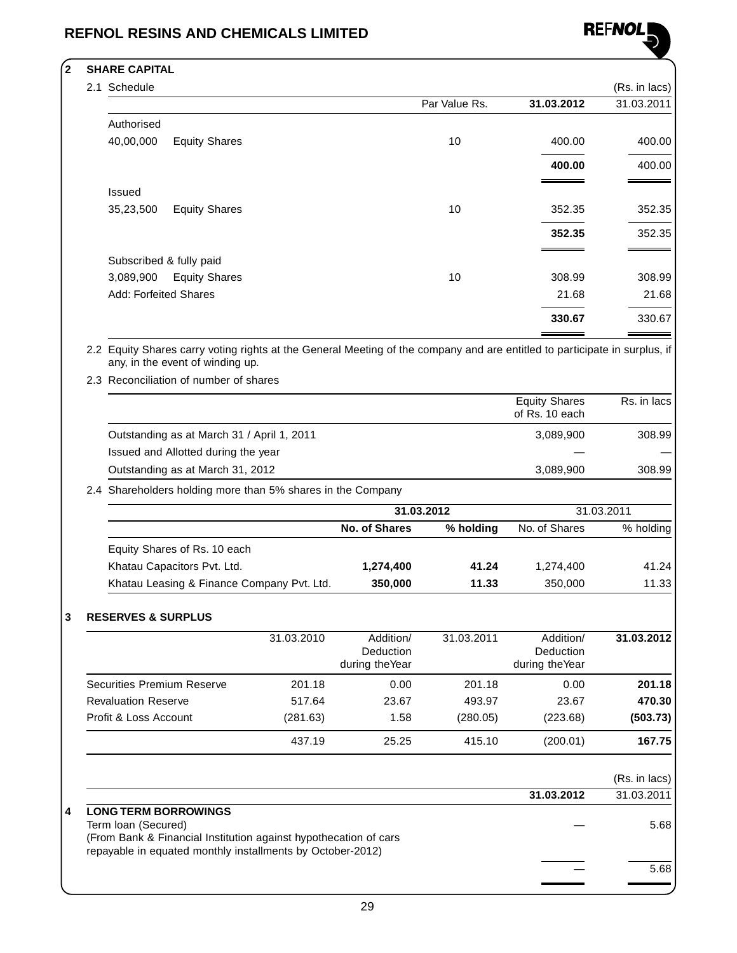

### **2 SHARE CAPITAL**

| Schedule                          |               |            | (Rs. in lacs) |
|-----------------------------------|---------------|------------|---------------|
|                                   | Par Value Rs. | 31.03.2012 | 31.03.2011    |
| Authorised                        |               |            |               |
| 40,00,000<br><b>Equity Shares</b> | 10            | 400.00     | 400.00        |
|                                   |               | 400.00     | 400.00        |
| <b>Issued</b>                     |               |            |               |
| <b>Equity Shares</b><br>35,23,500 | 10            | 352.35     | 352.35        |
|                                   |               | 352.35     | 352.35        |
| Subscribed & fully paid           |               |            |               |
| <b>Equity Shares</b><br>3,089,900 | 10            | 308.99     | 308.99        |
| <b>Add: Forfeited Shares</b>      |               | 21.68      | 21.68         |
|                                   |               | 330.67     | 330.67        |
|                                   |               |            |               |

2.2 Equity Shares carry voting rights at the General Meeting of the company and are entitled to participate in surplus, if any, in the event of winding up.

2.3 Reconciliation of number of shares

|                                                           | <b>Equity Shares</b><br>of Rs. 10 each | Rs. in lacs |
|-----------------------------------------------------------|----------------------------------------|-------------|
| Outstanding as at March 31 / April 1, 2011                | 3.089.900                              | 308.99      |
| Issued and Allotted during the year                       |                                        |             |
| Outstanding as at March 31, 2012                          | 3.089.900                              | 308.99      |
| 1 Shareholders holding more than 5% shares in the Company |                                        |             |

2.4 Shareholders holding more than 5% shares in the Company

|                                            | 31.03.2012    |           | 31.03.2011    |           |  |
|--------------------------------------------|---------------|-----------|---------------|-----------|--|
|                                            | No. of Shares | % holding | No. of Shares | % holding |  |
| Equity Shares of Rs. 10 each               |               |           |               |           |  |
| Khatau Capacitors Pvt. Ltd.                | 1,274,400     | 41.24     | 1,274,400     | 41.24     |  |
| Khatau Leasing & Finance Company Pvt. Ltd. | 350,000       | 11.33     | 350,000       | 11.33     |  |

### **3 RESERVES & SURPLUS**

|                            | 31.03.2010 | Addition/<br>Deduction<br>during the Year | 31.03.2011 | Addition/<br>Deduction<br>during the Year | 31.03.2012 |
|----------------------------|------------|-------------------------------------------|------------|-------------------------------------------|------------|
| Securities Premium Reserve | 201.18     | 0.00                                      | 201.18     | 0.00                                      | 201.18     |
| <b>Revaluation Reserve</b> | 517.64     | 23.67                                     | 493.97     | 23.67                                     | 470.30     |
| Profit & Loss Account      | (281.63)   | 1.58                                      | (280.05)   | (223.68)                                  | (503.73)   |
|                            | 437.19     | 25.25                                     | 415.10     | (200.01)                                  | 167.75     |

|   |                                                                  |            | (Rs. in lacs) |
|---|------------------------------------------------------------------|------------|---------------|
|   |                                                                  | 31.03.2012 | 31.03.2011    |
| 4 | <b>LONG TERM BORROWINGS</b>                                      |            |               |
|   | Term Ioan (Secured)                                              |            | 5.68          |
|   | (From Bank & Financial Institution against hypothecation of cars |            |               |
|   | repayable in equated monthly installments by October-2012)       |            |               |
|   |                                                                  |            | 5.68          |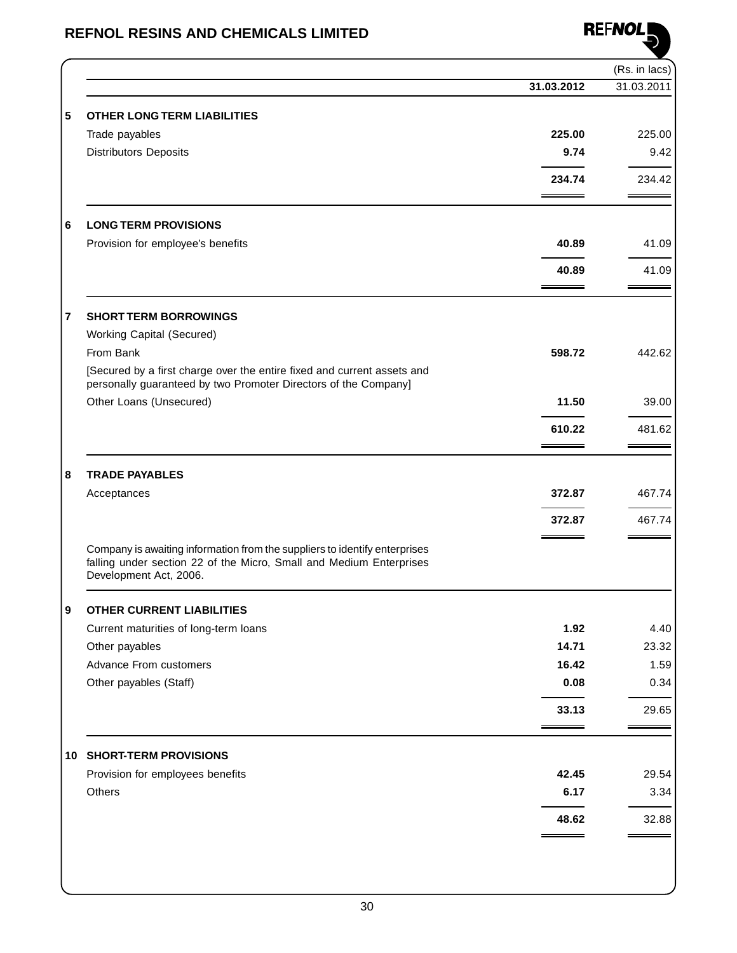

|                                                                                                                                                                             |            | (Rs. in lacs) |
|-----------------------------------------------------------------------------------------------------------------------------------------------------------------------------|------------|---------------|
|                                                                                                                                                                             | 31.03.2012 | 31.03.2011    |
| <b>OTHER LONG TERM LIABILITIES</b>                                                                                                                                          |            |               |
| Trade payables                                                                                                                                                              | 225.00     | 225.00        |
| <b>Distributors Deposits</b>                                                                                                                                                | 9.74       | 9.42          |
|                                                                                                                                                                             | 234.74     | 234.42        |
| <b>LONG TERM PROVISIONS</b>                                                                                                                                                 |            |               |
| Provision for employee's benefits                                                                                                                                           | 40.89      | 41.09         |
|                                                                                                                                                                             |            |               |
|                                                                                                                                                                             | 40.89      | 41.09         |
| <b>SHORT TERM BORROWINGS</b>                                                                                                                                                |            |               |
| <b>Working Capital (Secured)</b>                                                                                                                                            |            |               |
| From Bank                                                                                                                                                                   | 598.72     | 442.62        |
| [Secured by a first charge over the entire fixed and current assets and<br>personally guaranteed by two Promoter Directors of the Company]                                  |            |               |
| Other Loans (Unsecured)                                                                                                                                                     | 11.50      | 39.00         |
|                                                                                                                                                                             | 610.22     | 481.62        |
|                                                                                                                                                                             |            |               |
| <b>TRADE PAYABLES</b>                                                                                                                                                       |            |               |
| Acceptances                                                                                                                                                                 | 372.87     | 467.74        |
|                                                                                                                                                                             | 372.87     | 467.74        |
| Company is awaiting information from the suppliers to identify enterprises<br>falling under section 22 of the Micro, Small and Medium Enterprises<br>Development Act, 2006. |            |               |
| <b>OTHER CURRENT LIABILITIES</b>                                                                                                                                            |            |               |
| Current maturities of long-term loans                                                                                                                                       | 1.92       | 4.40          |
| Other payables                                                                                                                                                              | 14.71      | 23.32         |
| Advance From customers                                                                                                                                                      | 16.42      | 1.59          |
| Other payables (Staff)                                                                                                                                                      | 0.08       | 0.34          |
|                                                                                                                                                                             | 33.13      | 29.65         |
| <b>10 SHORT-TERM PROVISIONS</b>                                                                                                                                             |            |               |
| Provision for employees benefits                                                                                                                                            | 42.45      | 29.54         |
| Others                                                                                                                                                                      | 6.17       | 3.34          |
|                                                                                                                                                                             |            |               |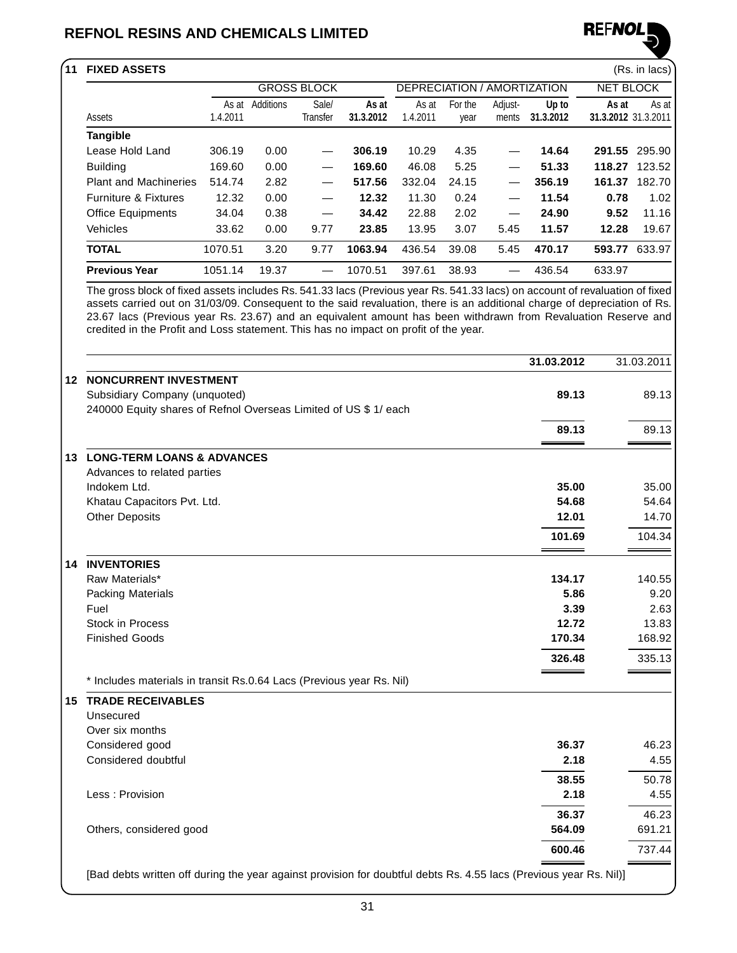

| <b>GROSS BLOCK</b><br><b>NET BLOCK</b><br>DEPRECIATION / AMORTIZATION<br>As at Additions<br>Sale/<br>For the<br>Adjust-<br>As at<br>As at<br>Up to<br>As at<br>1.4.2011<br>Transfer<br>31.3.2012<br>1.4.2011<br>31.3.2012<br>31.3.2012 31.3.2011<br>Assets<br>ments<br>year<br><b>Tangible</b><br>Lease Hold Land<br>291.55 295.90<br>306.19<br>0.00<br>306.19<br>10.29<br>4.35<br>14.64<br>5.25<br>51.33<br>169.60<br>0.00<br>169.60<br>46.08<br>118.27 123.52<br><b>Building</b><br><b>Plant and Machineries</b><br>514.74<br>2.82<br>517.56<br>332.04<br>24.15<br>356.19<br>161.37 182.70<br>0.00<br><b>Furniture &amp; Fixtures</b><br>12.32<br>12.32<br>11.30<br>0.24<br>11.54<br>0.78<br>0.38<br><b>Office Equipments</b><br>34.04<br>34.42<br>22.88<br>2.02<br>24.90<br>9.52<br>$\overline{\phantom{0}}$<br>Vehicles<br>33.62<br>0.00<br>23.85<br>13.95<br>3.07<br>11.57<br>12.28<br>9.77<br>5.45<br>470.17<br>593.77 633.97<br><b>TOTAL</b><br>1070.51<br>3.20<br>9.77<br>1063.94<br>436.54<br>39.08<br>5.45<br><b>Previous Year</b><br>19.37<br>38.93<br>436.54<br>633.97<br>1051.14<br>1070.51<br>397.61<br>The gross block of fixed assets includes Rs. 541.33 lacs (Previous year Rs. 541.33 lacs) on account of revaluation of fixed<br>assets carried out on 31/03/09. Consequent to the said revaluation, there is an additional charge of depreciation of Rs.<br>23.67 lacs (Previous year Rs. 23.67) and an equivalent amount has been withdrawn from Revaluation Reserve and<br>credited in the Profit and Loss statement. This has no impact on profit of the year.<br>31.03.2012<br>31.03.2011<br><b>12 NONCURRENT INVESTMENT</b><br>Subsidiary Company (unquoted)<br>89.13<br>240000 Equity shares of Refnol Overseas Limited of US \$ 1/ each<br>89.13<br><b>LONG-TERM LOANS &amp; ADVANCES</b><br>13.<br>Advances to related parties<br>Indokem Ltd.<br>35.00<br>54.68<br>Khatau Capacitors Pvt. Ltd.<br><b>Other Deposits</b><br>12.01<br>101.69<br><b>14 INVENTORIES</b><br>Raw Materials*<br>134.17<br>5.86<br><b>Packing Materials</b><br>Fuel<br>3.39<br>12.72<br><b>Stock in Process</b><br><b>Finished Goods</b><br>170.34<br>326.48<br>* Includes materials in transit Rs.0.64 Lacs (Previous year Rs. Nil)<br><b>TRADE RECEIVABLES</b><br>15<br>Unsecured<br>Over six months<br>Considered good<br>36.37<br>Considered doubtful<br>2.18<br>38.55<br>2.18<br>Less: Provision<br>36.37<br>Others, considered good<br>564.09 | 11 FIXED ASSETS |  |  |  |  |  | (Rs. in lacs) |  |        |  |                 |  |
|-----------------------------------------------------------------------------------------------------------------------------------------------------------------------------------------------------------------------------------------------------------------------------------------------------------------------------------------------------------------------------------------------------------------------------------------------------------------------------------------------------------------------------------------------------------------------------------------------------------------------------------------------------------------------------------------------------------------------------------------------------------------------------------------------------------------------------------------------------------------------------------------------------------------------------------------------------------------------------------------------------------------------------------------------------------------------------------------------------------------------------------------------------------------------------------------------------------------------------------------------------------------------------------------------------------------------------------------------------------------------------------------------------------------------------------------------------------------------------------------------------------------------------------------------------------------------------------------------------------------------------------------------------------------------------------------------------------------------------------------------------------------------------------------------------------------------------------------------------------------------------------------------------------------------------------------------------------------------------------------------------------------------------------------------------------------------------------------------------------------------------------------------------------------------------------------------------------------------------------------------------------------------------------------------------------------------------------------------------------------------------------------------------------------------------------------------------------|-----------------|--|--|--|--|--|---------------|--|--------|--|-----------------|--|
|                                                                                                                                                                                                                                                                                                                                                                                                                                                                                                                                                                                                                                                                                                                                                                                                                                                                                                                                                                                                                                                                                                                                                                                                                                                                                                                                                                                                                                                                                                                                                                                                                                                                                                                                                                                                                                                                                                                                                                                                                                                                                                                                                                                                                                                                                                                                                                                                                                                           |                 |  |  |  |  |  |               |  |        |  |                 |  |
|                                                                                                                                                                                                                                                                                                                                                                                                                                                                                                                                                                                                                                                                                                                                                                                                                                                                                                                                                                                                                                                                                                                                                                                                                                                                                                                                                                                                                                                                                                                                                                                                                                                                                                                                                                                                                                                                                                                                                                                                                                                                                                                                                                                                                                                                                                                                                                                                                                                           |                 |  |  |  |  |  |               |  |        |  | As at           |  |
|                                                                                                                                                                                                                                                                                                                                                                                                                                                                                                                                                                                                                                                                                                                                                                                                                                                                                                                                                                                                                                                                                                                                                                                                                                                                                                                                                                                                                                                                                                                                                                                                                                                                                                                                                                                                                                                                                                                                                                                                                                                                                                                                                                                                                                                                                                                                                                                                                                                           |                 |  |  |  |  |  |               |  |        |  |                 |  |
|                                                                                                                                                                                                                                                                                                                                                                                                                                                                                                                                                                                                                                                                                                                                                                                                                                                                                                                                                                                                                                                                                                                                                                                                                                                                                                                                                                                                                                                                                                                                                                                                                                                                                                                                                                                                                                                                                                                                                                                                                                                                                                                                                                                                                                                                                                                                                                                                                                                           |                 |  |  |  |  |  |               |  |        |  |                 |  |
|                                                                                                                                                                                                                                                                                                                                                                                                                                                                                                                                                                                                                                                                                                                                                                                                                                                                                                                                                                                                                                                                                                                                                                                                                                                                                                                                                                                                                                                                                                                                                                                                                                                                                                                                                                                                                                                                                                                                                                                                                                                                                                                                                                                                                                                                                                                                                                                                                                                           |                 |  |  |  |  |  |               |  |        |  |                 |  |
|                                                                                                                                                                                                                                                                                                                                                                                                                                                                                                                                                                                                                                                                                                                                                                                                                                                                                                                                                                                                                                                                                                                                                                                                                                                                                                                                                                                                                                                                                                                                                                                                                                                                                                                                                                                                                                                                                                                                                                                                                                                                                                                                                                                                                                                                                                                                                                                                                                                           |                 |  |  |  |  |  |               |  |        |  |                 |  |
|                                                                                                                                                                                                                                                                                                                                                                                                                                                                                                                                                                                                                                                                                                                                                                                                                                                                                                                                                                                                                                                                                                                                                                                                                                                                                                                                                                                                                                                                                                                                                                                                                                                                                                                                                                                                                                                                                                                                                                                                                                                                                                                                                                                                                                                                                                                                                                                                                                                           |                 |  |  |  |  |  |               |  |        |  | 1.02            |  |
|                                                                                                                                                                                                                                                                                                                                                                                                                                                                                                                                                                                                                                                                                                                                                                                                                                                                                                                                                                                                                                                                                                                                                                                                                                                                                                                                                                                                                                                                                                                                                                                                                                                                                                                                                                                                                                                                                                                                                                                                                                                                                                                                                                                                                                                                                                                                                                                                                                                           |                 |  |  |  |  |  |               |  |        |  | 11.16           |  |
|                                                                                                                                                                                                                                                                                                                                                                                                                                                                                                                                                                                                                                                                                                                                                                                                                                                                                                                                                                                                                                                                                                                                                                                                                                                                                                                                                                                                                                                                                                                                                                                                                                                                                                                                                                                                                                                                                                                                                                                                                                                                                                                                                                                                                                                                                                                                                                                                                                                           |                 |  |  |  |  |  |               |  |        |  | 19.67           |  |
|                                                                                                                                                                                                                                                                                                                                                                                                                                                                                                                                                                                                                                                                                                                                                                                                                                                                                                                                                                                                                                                                                                                                                                                                                                                                                                                                                                                                                                                                                                                                                                                                                                                                                                                                                                                                                                                                                                                                                                                                                                                                                                                                                                                                                                                                                                                                                                                                                                                           |                 |  |  |  |  |  |               |  |        |  |                 |  |
|                                                                                                                                                                                                                                                                                                                                                                                                                                                                                                                                                                                                                                                                                                                                                                                                                                                                                                                                                                                                                                                                                                                                                                                                                                                                                                                                                                                                                                                                                                                                                                                                                                                                                                                                                                                                                                                                                                                                                                                                                                                                                                                                                                                                                                                                                                                                                                                                                                                           |                 |  |  |  |  |  |               |  |        |  |                 |  |
|                                                                                                                                                                                                                                                                                                                                                                                                                                                                                                                                                                                                                                                                                                                                                                                                                                                                                                                                                                                                                                                                                                                                                                                                                                                                                                                                                                                                                                                                                                                                                                                                                                                                                                                                                                                                                                                                                                                                                                                                                                                                                                                                                                                                                                                                                                                                                                                                                                                           |                 |  |  |  |  |  |               |  |        |  |                 |  |
|                                                                                                                                                                                                                                                                                                                                                                                                                                                                                                                                                                                                                                                                                                                                                                                                                                                                                                                                                                                                                                                                                                                                                                                                                                                                                                                                                                                                                                                                                                                                                                                                                                                                                                                                                                                                                                                                                                                                                                                                                                                                                                                                                                                                                                                                                                                                                                                                                                                           |                 |  |  |  |  |  |               |  |        |  | 89.13           |  |
|                                                                                                                                                                                                                                                                                                                                                                                                                                                                                                                                                                                                                                                                                                                                                                                                                                                                                                                                                                                                                                                                                                                                                                                                                                                                                                                                                                                                                                                                                                                                                                                                                                                                                                                                                                                                                                                                                                                                                                                                                                                                                                                                                                                                                                                                                                                                                                                                                                                           |                 |  |  |  |  |  |               |  |        |  |                 |  |
|                                                                                                                                                                                                                                                                                                                                                                                                                                                                                                                                                                                                                                                                                                                                                                                                                                                                                                                                                                                                                                                                                                                                                                                                                                                                                                                                                                                                                                                                                                                                                                                                                                                                                                                                                                                                                                                                                                                                                                                                                                                                                                                                                                                                                                                                                                                                                                                                                                                           |                 |  |  |  |  |  |               |  |        |  | 89.13           |  |
|                                                                                                                                                                                                                                                                                                                                                                                                                                                                                                                                                                                                                                                                                                                                                                                                                                                                                                                                                                                                                                                                                                                                                                                                                                                                                                                                                                                                                                                                                                                                                                                                                                                                                                                                                                                                                                                                                                                                                                                                                                                                                                                                                                                                                                                                                                                                                                                                                                                           |                 |  |  |  |  |  |               |  |        |  |                 |  |
|                                                                                                                                                                                                                                                                                                                                                                                                                                                                                                                                                                                                                                                                                                                                                                                                                                                                                                                                                                                                                                                                                                                                                                                                                                                                                                                                                                                                                                                                                                                                                                                                                                                                                                                                                                                                                                                                                                                                                                                                                                                                                                                                                                                                                                                                                                                                                                                                                                                           |                 |  |  |  |  |  |               |  |        |  | 35.00           |  |
|                                                                                                                                                                                                                                                                                                                                                                                                                                                                                                                                                                                                                                                                                                                                                                                                                                                                                                                                                                                                                                                                                                                                                                                                                                                                                                                                                                                                                                                                                                                                                                                                                                                                                                                                                                                                                                                                                                                                                                                                                                                                                                                                                                                                                                                                                                                                                                                                                                                           |                 |  |  |  |  |  |               |  |        |  | 54.64           |  |
|                                                                                                                                                                                                                                                                                                                                                                                                                                                                                                                                                                                                                                                                                                                                                                                                                                                                                                                                                                                                                                                                                                                                                                                                                                                                                                                                                                                                                                                                                                                                                                                                                                                                                                                                                                                                                                                                                                                                                                                                                                                                                                                                                                                                                                                                                                                                                                                                                                                           |                 |  |  |  |  |  |               |  |        |  | 14.70           |  |
|                                                                                                                                                                                                                                                                                                                                                                                                                                                                                                                                                                                                                                                                                                                                                                                                                                                                                                                                                                                                                                                                                                                                                                                                                                                                                                                                                                                                                                                                                                                                                                                                                                                                                                                                                                                                                                                                                                                                                                                                                                                                                                                                                                                                                                                                                                                                                                                                                                                           |                 |  |  |  |  |  |               |  |        |  | 104.34          |  |
|                                                                                                                                                                                                                                                                                                                                                                                                                                                                                                                                                                                                                                                                                                                                                                                                                                                                                                                                                                                                                                                                                                                                                                                                                                                                                                                                                                                                                                                                                                                                                                                                                                                                                                                                                                                                                                                                                                                                                                                                                                                                                                                                                                                                                                                                                                                                                                                                                                                           |                 |  |  |  |  |  |               |  |        |  |                 |  |
|                                                                                                                                                                                                                                                                                                                                                                                                                                                                                                                                                                                                                                                                                                                                                                                                                                                                                                                                                                                                                                                                                                                                                                                                                                                                                                                                                                                                                                                                                                                                                                                                                                                                                                                                                                                                                                                                                                                                                                                                                                                                                                                                                                                                                                                                                                                                                                                                                                                           |                 |  |  |  |  |  |               |  |        |  | 140.55          |  |
|                                                                                                                                                                                                                                                                                                                                                                                                                                                                                                                                                                                                                                                                                                                                                                                                                                                                                                                                                                                                                                                                                                                                                                                                                                                                                                                                                                                                                                                                                                                                                                                                                                                                                                                                                                                                                                                                                                                                                                                                                                                                                                                                                                                                                                                                                                                                                                                                                                                           |                 |  |  |  |  |  |               |  |        |  | 9.20            |  |
|                                                                                                                                                                                                                                                                                                                                                                                                                                                                                                                                                                                                                                                                                                                                                                                                                                                                                                                                                                                                                                                                                                                                                                                                                                                                                                                                                                                                                                                                                                                                                                                                                                                                                                                                                                                                                                                                                                                                                                                                                                                                                                                                                                                                                                                                                                                                                                                                                                                           |                 |  |  |  |  |  |               |  |        |  | 2.63            |  |
|                                                                                                                                                                                                                                                                                                                                                                                                                                                                                                                                                                                                                                                                                                                                                                                                                                                                                                                                                                                                                                                                                                                                                                                                                                                                                                                                                                                                                                                                                                                                                                                                                                                                                                                                                                                                                                                                                                                                                                                                                                                                                                                                                                                                                                                                                                                                                                                                                                                           |                 |  |  |  |  |  |               |  |        |  | 13.83<br>168.92 |  |
|                                                                                                                                                                                                                                                                                                                                                                                                                                                                                                                                                                                                                                                                                                                                                                                                                                                                                                                                                                                                                                                                                                                                                                                                                                                                                                                                                                                                                                                                                                                                                                                                                                                                                                                                                                                                                                                                                                                                                                                                                                                                                                                                                                                                                                                                                                                                                                                                                                                           |                 |  |  |  |  |  |               |  |        |  | 335.13          |  |
|                                                                                                                                                                                                                                                                                                                                                                                                                                                                                                                                                                                                                                                                                                                                                                                                                                                                                                                                                                                                                                                                                                                                                                                                                                                                                                                                                                                                                                                                                                                                                                                                                                                                                                                                                                                                                                                                                                                                                                                                                                                                                                                                                                                                                                                                                                                                                                                                                                                           |                 |  |  |  |  |  |               |  |        |  |                 |  |
|                                                                                                                                                                                                                                                                                                                                                                                                                                                                                                                                                                                                                                                                                                                                                                                                                                                                                                                                                                                                                                                                                                                                                                                                                                                                                                                                                                                                                                                                                                                                                                                                                                                                                                                                                                                                                                                                                                                                                                                                                                                                                                                                                                                                                                                                                                                                                                                                                                                           |                 |  |  |  |  |  |               |  |        |  |                 |  |
|                                                                                                                                                                                                                                                                                                                                                                                                                                                                                                                                                                                                                                                                                                                                                                                                                                                                                                                                                                                                                                                                                                                                                                                                                                                                                                                                                                                                                                                                                                                                                                                                                                                                                                                                                                                                                                                                                                                                                                                                                                                                                                                                                                                                                                                                                                                                                                                                                                                           |                 |  |  |  |  |  |               |  |        |  |                 |  |
|                                                                                                                                                                                                                                                                                                                                                                                                                                                                                                                                                                                                                                                                                                                                                                                                                                                                                                                                                                                                                                                                                                                                                                                                                                                                                                                                                                                                                                                                                                                                                                                                                                                                                                                                                                                                                                                                                                                                                                                                                                                                                                                                                                                                                                                                                                                                                                                                                                                           |                 |  |  |  |  |  |               |  |        |  |                 |  |
|                                                                                                                                                                                                                                                                                                                                                                                                                                                                                                                                                                                                                                                                                                                                                                                                                                                                                                                                                                                                                                                                                                                                                                                                                                                                                                                                                                                                                                                                                                                                                                                                                                                                                                                                                                                                                                                                                                                                                                                                                                                                                                                                                                                                                                                                                                                                                                                                                                                           |                 |  |  |  |  |  |               |  |        |  | 46.23           |  |
|                                                                                                                                                                                                                                                                                                                                                                                                                                                                                                                                                                                                                                                                                                                                                                                                                                                                                                                                                                                                                                                                                                                                                                                                                                                                                                                                                                                                                                                                                                                                                                                                                                                                                                                                                                                                                                                                                                                                                                                                                                                                                                                                                                                                                                                                                                                                                                                                                                                           |                 |  |  |  |  |  |               |  |        |  | 4.55            |  |
|                                                                                                                                                                                                                                                                                                                                                                                                                                                                                                                                                                                                                                                                                                                                                                                                                                                                                                                                                                                                                                                                                                                                                                                                                                                                                                                                                                                                                                                                                                                                                                                                                                                                                                                                                                                                                                                                                                                                                                                                                                                                                                                                                                                                                                                                                                                                                                                                                                                           |                 |  |  |  |  |  |               |  |        |  | 50.78           |  |
|                                                                                                                                                                                                                                                                                                                                                                                                                                                                                                                                                                                                                                                                                                                                                                                                                                                                                                                                                                                                                                                                                                                                                                                                                                                                                                                                                                                                                                                                                                                                                                                                                                                                                                                                                                                                                                                                                                                                                                                                                                                                                                                                                                                                                                                                                                                                                                                                                                                           |                 |  |  |  |  |  |               |  |        |  | 4.55            |  |
|                                                                                                                                                                                                                                                                                                                                                                                                                                                                                                                                                                                                                                                                                                                                                                                                                                                                                                                                                                                                                                                                                                                                                                                                                                                                                                                                                                                                                                                                                                                                                                                                                                                                                                                                                                                                                                                                                                                                                                                                                                                                                                                                                                                                                                                                                                                                                                                                                                                           |                 |  |  |  |  |  |               |  |        |  | 46.23           |  |
|                                                                                                                                                                                                                                                                                                                                                                                                                                                                                                                                                                                                                                                                                                                                                                                                                                                                                                                                                                                                                                                                                                                                                                                                                                                                                                                                                                                                                                                                                                                                                                                                                                                                                                                                                                                                                                                                                                                                                                                                                                                                                                                                                                                                                                                                                                                                                                                                                                                           |                 |  |  |  |  |  |               |  |        |  | 691.21          |  |
|                                                                                                                                                                                                                                                                                                                                                                                                                                                                                                                                                                                                                                                                                                                                                                                                                                                                                                                                                                                                                                                                                                                                                                                                                                                                                                                                                                                                                                                                                                                                                                                                                                                                                                                                                                                                                                                                                                                                                                                                                                                                                                                                                                                                                                                                                                                                                                                                                                                           |                 |  |  |  |  |  |               |  | 600.46 |  | 737.44          |  |
| [Bad debts written off during the year against provision for doubtful debts Rs. 4.55 lacs (Previous year Rs. Nil)]                                                                                                                                                                                                                                                                                                                                                                                                                                                                                                                                                                                                                                                                                                                                                                                                                                                                                                                                                                                                                                                                                                                                                                                                                                                                                                                                                                                                                                                                                                                                                                                                                                                                                                                                                                                                                                                                                                                                                                                                                                                                                                                                                                                                                                                                                                                                        |                 |  |  |  |  |  |               |  |        |  |                 |  |

31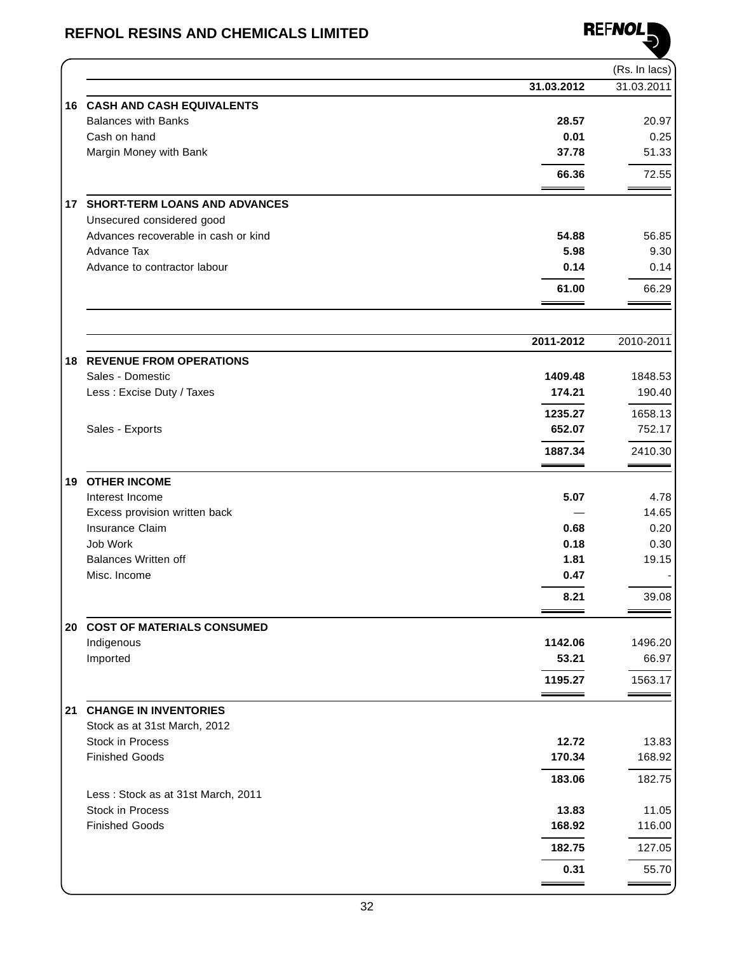

|    |                                             |                   | (Rs. In lacs) |
|----|---------------------------------------------|-------------------|---------------|
|    |                                             | 31.03.2012        | 31.03.2011    |
|    | <b>16 CASH AND CASH EQUIVALENTS</b>         |                   |               |
|    | <b>Balances with Banks</b>                  | 28.57             | 20.97         |
|    | Cash on hand                                | 0.01              | 0.25          |
|    | Margin Money with Bank                      | 37.78             | 51.33         |
|    |                                             |                   |               |
|    |                                             | 66.36             | 72.55         |
| 17 | <b>SHORT-TERM LOANS AND ADVANCES</b>        |                   |               |
|    | Unsecured considered good                   |                   |               |
|    | Advances recoverable in cash or kind        | 54.88             | 56.85         |
|    | Advance Tax                                 | 5.98              | 9.30          |
|    | Advance to contractor labour                | 0.14              | 0.14          |
|    |                                             | 61.00             | 66.29         |
|    |                                             |                   |               |
|    |                                             |                   |               |
|    |                                             | 2011-2012         | 2010-2011     |
|    | <b>18 REVENUE FROM OPERATIONS</b>           |                   |               |
|    | Sales - Domestic                            | 1409.48<br>174.21 | 1848.53       |
|    | Less: Excise Duty / Taxes                   |                   | 190.40        |
|    |                                             | 1235.27           | 1658.13       |
|    | Sales - Exports                             | 652.07            | 752.17        |
|    |                                             | 1887.34           | 2410.30       |
| 19 | <b>OTHER INCOME</b>                         |                   |               |
|    | Interest Income                             | 5.07              | 4.78          |
|    | Excess provision written back               |                   | 14.65         |
|    | Insurance Claim                             | 0.68              | 0.20          |
|    | Job Work                                    | 0.18              | 0.30          |
|    | <b>Balances Written off</b>                 | 1.81              | 19.15         |
|    | Misc. Income                                | 0.47              |               |
|    |                                             | 8.21              | 39.08         |
|    |                                             |                   |               |
|    | 20 COST OF MATERIALS CONSUMED<br>Indigenous | 1142.06           | 1496.20       |
|    | Imported                                    | 53.21             | 66.97         |
|    |                                             | 1195.27           | 1563.17       |
|    |                                             |                   |               |
| 21 | <b>CHANGE IN INVENTORIES</b>                |                   |               |
|    | Stock as at 31st March, 2012                |                   |               |
|    | Stock in Process                            | 12.72             | 13.83         |
|    | <b>Finished Goods</b>                       | 170.34            | 168.92        |
|    |                                             | 183.06            | 182.75        |
|    | Less: Stock as at 31st March, 2011          |                   |               |
|    | Stock in Process                            | 13.83             | 11.05         |
|    | <b>Finished Goods</b>                       | 168.92            | 116.00        |
|    |                                             | 182.75            | 127.05        |
|    |                                             | 0.31              | 55.70         |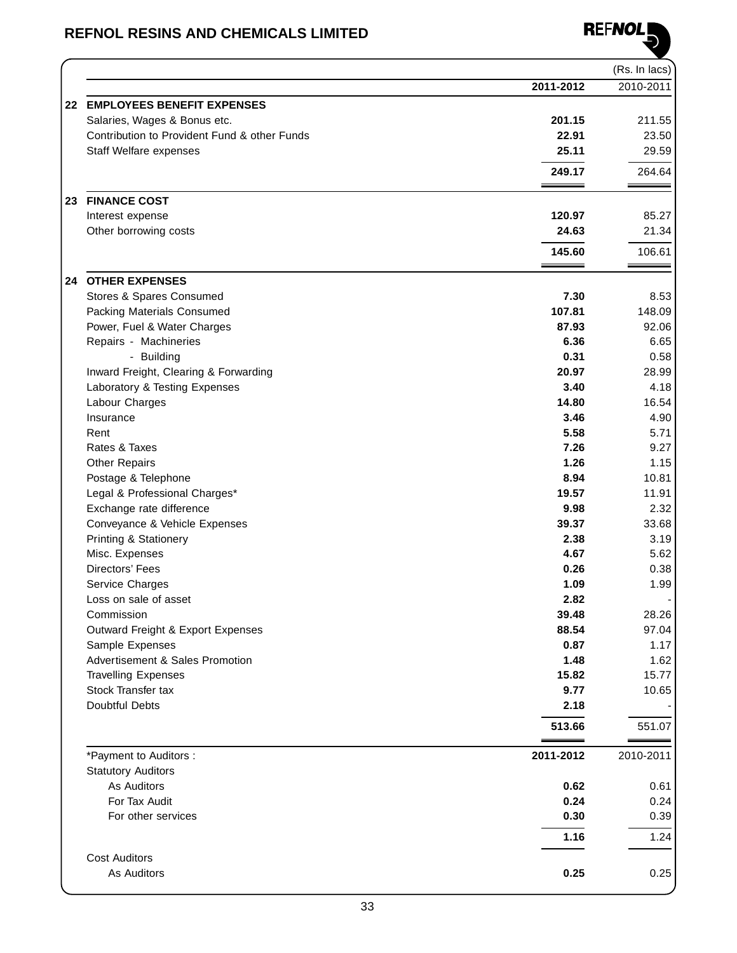

|    |                                                 |                | (Rs. In lacs)  |
|----|-------------------------------------------------|----------------|----------------|
|    |                                                 | 2011-2012      | 2010-2011      |
| 22 | <b>EMPLOYEES BENEFIT EXPENSES</b>               |                |                |
|    | Salaries, Wages & Bonus etc.                    | 201.15         | 211.55         |
|    | Contribution to Provident Fund & other Funds    | 22.91          | 23.50          |
|    | <b>Staff Welfare expenses</b>                   | 25.11          | 29.59          |
|    |                                                 | 249.17         | 264.64         |
|    |                                                 |                |                |
|    | 23 FINANCE COST                                 |                |                |
|    | Interest expense                                | 120.97         | 85.27          |
|    | Other borrowing costs                           | 24.63          | 21.34          |
|    |                                                 | 145.60         | 106.61         |
| 24 | <b>OTHER EXPENSES</b>                           |                |                |
|    | Stores & Spares Consumed                        | 7.30           | 8.53           |
|    | Packing Materials Consumed                      | 107.81         | 148.09         |
|    | Power, Fuel & Water Charges                     | 87.93          | 92.06          |
|    | Repairs - Machineries                           | 6.36           | 6.65           |
|    | - Building                                      | 0.31           | 0.58           |
|    | Inward Freight, Clearing & Forwarding           | 20.97          | 28.99          |
|    | Laboratory & Testing Expenses                   | 3.40           | 4.18           |
|    | Labour Charges                                  | 14.80          | 16.54          |
|    | Insurance                                       | 3.46           | 4.90           |
|    | Rent                                            | 5.58           | 5.71           |
|    | Rates & Taxes                                   | 7.26           | 9.27           |
|    | <b>Other Repairs</b>                            | 1.26           | 1.15           |
|    | Postage & Telephone                             | 8.94           | 10.81          |
|    | Legal & Professional Charges*                   | 19.57          | 11.91          |
|    | Exchange rate difference                        | 9.98           | 2.32           |
|    | Conveyance & Vehicle Expenses                   | 39.37          | 33.68          |
|    | <b>Printing &amp; Stationery</b>                | 2.38           | 3.19           |
|    | Misc. Expenses                                  | 4.67           | 5.62           |
|    | Directors' Fees                                 | 0.26           | 0.38           |
|    | Service Charges                                 | 1.09           | 1.99           |
|    | Loss on sale of asset                           | 2.82           |                |
|    | Commission<br>Outward Freight & Export Expenses | 39.48<br>88.54 | 28.26<br>97.04 |
|    | Sample Expenses                                 | 0.87           | 1.17           |
|    | Advertisement & Sales Promotion                 | 1.48           | 1.62           |
|    | <b>Travelling Expenses</b>                      | 15.82          | 15.77          |
|    | Stock Transfer tax                              | 9.77           | 10.65          |
|    | Doubtful Debts                                  | 2.18           |                |
|    |                                                 | 513.66         | 551.07         |
|    |                                                 |                |                |
|    | *Payment to Auditors :                          | 2011-2012      | 2010-2011      |
|    | <b>Statutory Auditors</b>                       |                |                |
|    | As Auditors                                     | 0.62           | 0.61           |
|    | For Tax Audit                                   | 0.24           | 0.24           |
|    | For other services                              | 0.30           | 0.39           |
|    |                                                 | 1.16           | 1.24           |
|    | <b>Cost Auditors</b>                            |                |                |
|    | As Auditors                                     | 0.25           | 0.25           |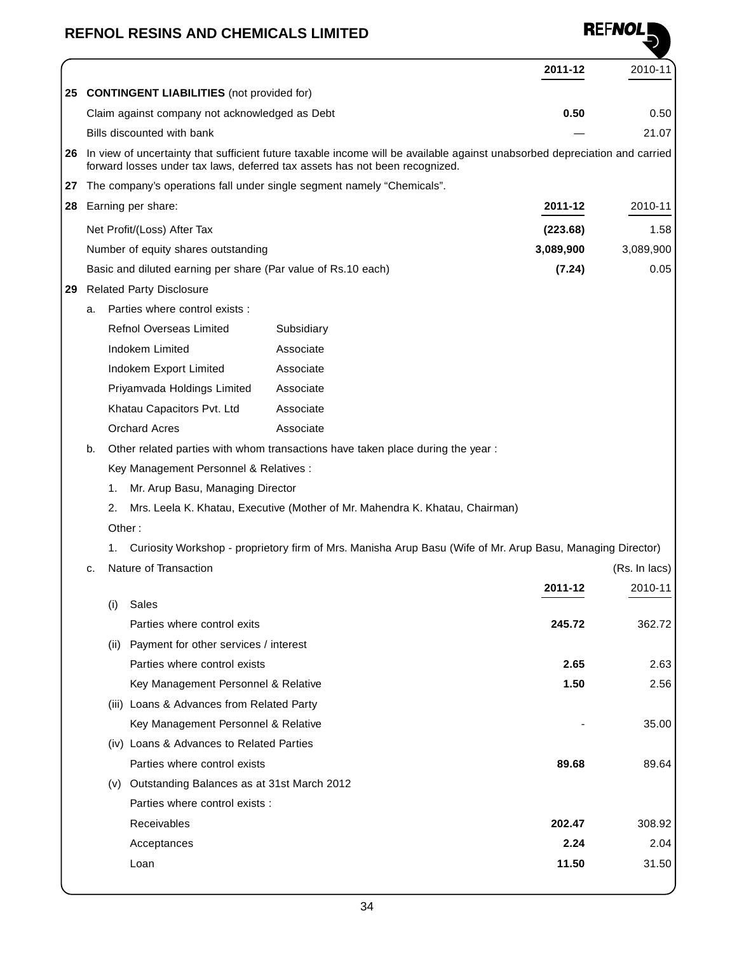|    |    |                                                                        |            |                                                                                | 2011-12                                                                                                                       | 2010-11       |
|----|----|------------------------------------------------------------------------|------------|--------------------------------------------------------------------------------|-------------------------------------------------------------------------------------------------------------------------------|---------------|
|    |    | 25 CONTINGENT LIABILITIES (not provided for)                           |            |                                                                                |                                                                                                                               |               |
|    |    | Claim against company not acknowledged as Debt                         |            |                                                                                | 0.50                                                                                                                          | 0.50          |
|    |    | Bills discounted with bank                                             |            |                                                                                |                                                                                                                               | 21.07         |
|    |    |                                                                        |            | forward losses under tax laws, deferred tax assets has not been recognized.    | 26 In view of uncertainty that sufficient future taxable income will be available against unabsorbed depreciation and carried |               |
| 27 |    | The company's operations fall under single segment namely "Chemicals". |            |                                                                                |                                                                                                                               |               |
| 28 |    | Earning per share:                                                     |            |                                                                                | 2011-12                                                                                                                       | 2010-11       |
|    |    | Net Profit/(Loss) After Tax                                            |            |                                                                                | (223.68)                                                                                                                      | 1.58          |
|    |    | Number of equity shares outstanding                                    |            |                                                                                | 3,089,900                                                                                                                     | 3,089,900     |
|    |    | Basic and diluted earning per share (Par value of Rs.10 each)          |            |                                                                                | (7.24)                                                                                                                        | 0.05          |
| 29 |    | <b>Related Party Disclosure</b>                                        |            |                                                                                |                                                                                                                               |               |
|    | a. | Parties where control exists :                                         |            |                                                                                |                                                                                                                               |               |
|    |    | <b>Refnol Overseas Limited</b>                                         | Subsidiary |                                                                                |                                                                                                                               |               |
|    |    | Indokem Limited                                                        | Associate  |                                                                                |                                                                                                                               |               |
|    |    | Indokem Export Limited                                                 | Associate  |                                                                                |                                                                                                                               |               |
|    |    | Priyamvada Holdings Limited                                            | Associate  |                                                                                |                                                                                                                               |               |
|    |    | Khatau Capacitors Pvt. Ltd                                             | Associate  |                                                                                |                                                                                                                               |               |
|    |    | <b>Orchard Acres</b>                                                   | Associate  |                                                                                |                                                                                                                               |               |
|    | b. |                                                                        |            | Other related parties with whom transactions have taken place during the year: |                                                                                                                               |               |
|    |    | Key Management Personnel & Relatives :                                 |            |                                                                                |                                                                                                                               |               |
|    |    | Mr. Arup Basu, Managing Director<br>1.                                 |            |                                                                                |                                                                                                                               |               |
|    |    | 2.                                                                     |            | Mrs. Leela K. Khatau, Executive (Mother of Mr. Mahendra K. Khatau, Chairman)   |                                                                                                                               |               |
|    |    | Other:                                                                 |            |                                                                                |                                                                                                                               |               |
|    |    | 1.                                                                     |            |                                                                                | Curiosity Workshop - proprietory firm of Mrs. Manisha Arup Basu (Wife of Mr. Arup Basu, Managing Director)                    |               |
|    | c. | Nature of Transaction                                                  |            |                                                                                |                                                                                                                               | (Rs. In lacs) |
|    |    |                                                                        |            |                                                                                | 2011-12                                                                                                                       | 2010-11       |
|    |    | Sales<br>(i)                                                           |            |                                                                                |                                                                                                                               |               |
|    |    | Parties where control exits                                            |            |                                                                                | 245.72                                                                                                                        | 362.72        |
|    |    | (ii) Payment for other services / interest                             |            |                                                                                |                                                                                                                               |               |
|    |    | Parties where control exists                                           |            |                                                                                | 2.65                                                                                                                          | 2.63          |
|    |    | Key Management Personnel & Relative                                    |            |                                                                                | 1.50                                                                                                                          | 2.56          |
|    |    | (iii) Loans & Advances from Related Party                              |            |                                                                                |                                                                                                                               |               |
|    |    | Key Management Personnel & Relative                                    |            |                                                                                |                                                                                                                               | 35.00         |
|    |    | (iv) Loans & Advances to Related Parties                               |            |                                                                                |                                                                                                                               |               |
|    |    | Parties where control exists                                           |            |                                                                                | 89.68                                                                                                                         | 89.64         |
|    |    | (v) Outstanding Balances as at 31st March 2012                         |            |                                                                                |                                                                                                                               |               |
|    |    | Parties where control exists :                                         |            |                                                                                |                                                                                                                               |               |
|    |    | Receivables                                                            |            |                                                                                | 202.47                                                                                                                        | 308.92        |
|    |    | Acceptances                                                            |            |                                                                                | 2.24                                                                                                                          | 2.04          |
|    |    | Loan                                                                   |            |                                                                                | 11.50                                                                                                                         | 31.50         |

**REFNOLE**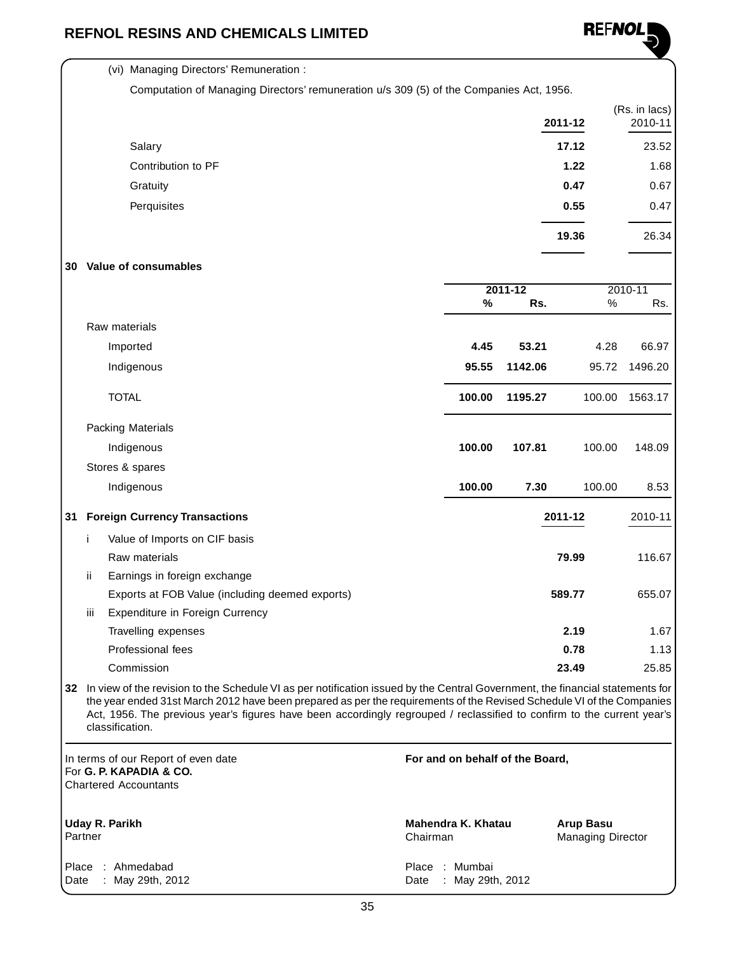(vi) Managing Directors' Remuneration :



|     |     |                                                                                                                               |        |                    | 2011-12 | (Rs. in lacs)<br>2010-11 |
|-----|-----|-------------------------------------------------------------------------------------------------------------------------------|--------|--------------------|---------|--------------------------|
|     |     | Salary                                                                                                                        |        |                    | 17.12   | 23.52                    |
|     |     | Contribution to PF                                                                                                            |        |                    | 1.22    | 1.68                     |
|     |     | Gratuity                                                                                                                      |        |                    | 0.47    | 0.67                     |
|     |     | Perquisites                                                                                                                   |        |                    | 0.55    | 0.47                     |
|     |     |                                                                                                                               |        |                    | 19.36   | 26.34                    |
| 30  |     | Value of consumables                                                                                                          |        |                    |         |                          |
|     |     |                                                                                                                               | $\%$   | $2011 - 12$<br>Rs. | $\%$    | 2010-11<br>Rs.           |
|     |     | Raw materials                                                                                                                 |        |                    |         |                          |
|     |     | Imported                                                                                                                      | 4.45   | 53.21              | 4.28    | 66.97                    |
|     |     | Indigenous                                                                                                                    | 95.55  | 1142.06            | 95.72   | 1496.20                  |
|     |     | <b>TOTAL</b>                                                                                                                  | 100.00 | 1195.27            | 100.00  | 1563.17                  |
|     |     | <b>Packing Materials</b>                                                                                                      |        |                    |         |                          |
|     |     | Indigenous                                                                                                                    | 100.00 | 107.81             | 100.00  | 148.09                   |
|     |     | Stores & spares                                                                                                               |        |                    |         |                          |
|     |     | Indigenous                                                                                                                    | 100.00 | 7.30               | 100.00  | 8.53                     |
| 31  |     | <b>Foreign Currency Transactions</b>                                                                                          |        |                    | 2011-12 | 2010-11                  |
|     | i   | Value of Imports on CIF basis                                                                                                 |        |                    |         |                          |
|     |     | Raw materials                                                                                                                 |        |                    | 79.99   | 116.67                   |
|     | jj. | Earnings in foreign exchange                                                                                                  |        |                    |         |                          |
|     |     | Exports at FOB Value (including deemed exports)                                                                               |        |                    | 589.77  | 655.07                   |
|     | Ш   | Expenditure in Foreign Currency                                                                                               |        |                    |         |                          |
|     |     | Travelling expenses                                                                                                           |        |                    | 2.19    | 1.67                     |
|     |     | Professional fees                                                                                                             |        |                    | 0.78    | 1.13                     |
|     |     | Commission                                                                                                                    |        |                    | 23.49   | 25.85                    |
| 32. |     | In view of the revision to the Schedule VI as per potitication issued by the Central Government, the financial statements for |        |                    |         |                          |

**32** In view of the revision to the Schedule VI as per notification issued by the Central Government, the financial statements for the year ended 31st March 2012 have been prepared as per the requirements of the Revised Schedule VI of the Companies Act, 1956. The previous year's figures have been accordingly regrouped / reclassified to confirm to the current year's classification.

**For and on behalf of the Board, Mahendra K. Khatau Arup Basu** Chairman Managing Director Place : Mumbai Date : May 29th, 2012 In terms of our Report of even date For **G. P. KAPADIA & CO.** Chartered Accountants **Uday R. Parikh Partner** Place : Ahmedabad Date : May 29th, 2012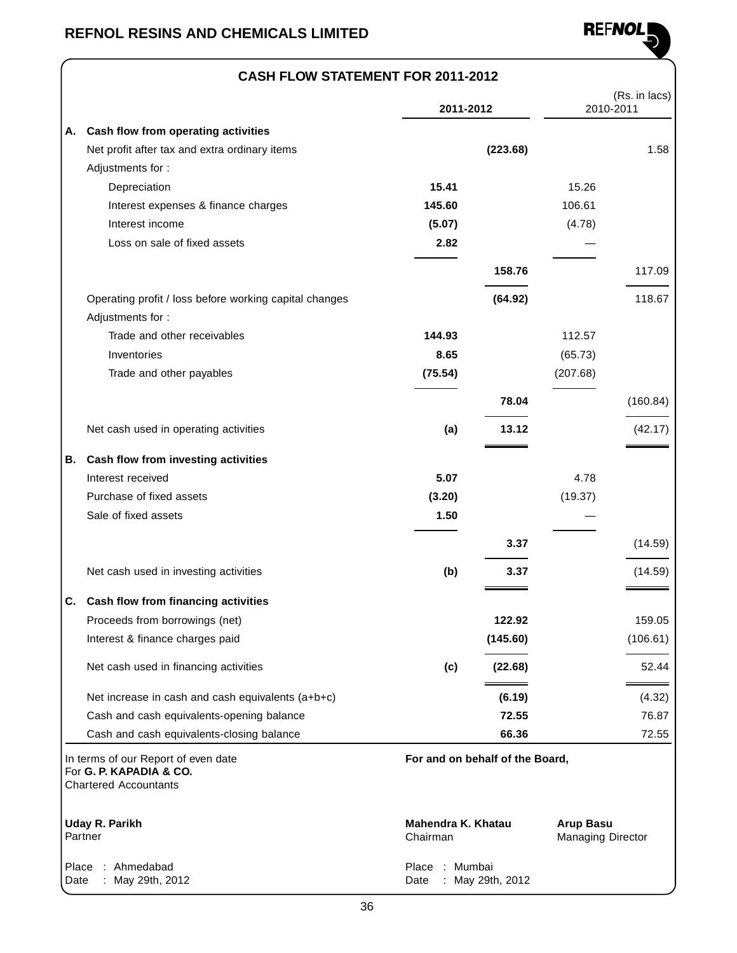

### **CASH FLOW STATEMENT FOR 2011-2012**

|               |                                                                                                | 2011-2012                      |                                 |                                              | (Rs. in lacs)<br>2010-2011 |
|---------------|------------------------------------------------------------------------------------------------|--------------------------------|---------------------------------|----------------------------------------------|----------------------------|
| Α.            | Cash flow from operating activities                                                            |                                |                                 |                                              |                            |
|               | Net profit after tax and extra ordinary items                                                  |                                | (223.68)                        |                                              | 1.58                       |
|               | Adjustments for:                                                                               |                                |                                 |                                              |                            |
|               | Depreciation                                                                                   | 15.41                          |                                 | 15.26                                        |                            |
|               | Interest expenses & finance charges                                                            | 145.60                         |                                 | 106.61                                       |                            |
|               | Interest income                                                                                | (5.07)                         |                                 | (4.78)                                       |                            |
|               | Loss on sale of fixed assets                                                                   | 2.82                           |                                 |                                              |                            |
|               |                                                                                                |                                | 158.76                          |                                              | 117.09                     |
|               | Operating profit / loss before working capital changes                                         |                                | (64.92)                         |                                              | 118.67                     |
|               | Adjustments for:                                                                               |                                |                                 |                                              |                            |
|               | Trade and other receivables                                                                    | 144.93                         |                                 | 112.57                                       |                            |
|               | Inventories                                                                                    | 8.65                           |                                 | (65.73)                                      |                            |
|               | Trade and other payables                                                                       | (75.54)                        |                                 | (207.68)                                     |                            |
|               |                                                                                                |                                | 78.04                           |                                              | (160.84)                   |
|               | Net cash used in operating activities                                                          | (a)                            | 13.12                           |                                              | (42.17)                    |
| В.            | Cash flow from investing activities                                                            |                                |                                 |                                              |                            |
|               | Interest received                                                                              | 5.07                           |                                 | 4.78                                         |                            |
|               | Purchase of fixed assets                                                                       | (3.20)                         |                                 | (19.37)                                      |                            |
|               | Sale of fixed assets                                                                           | 1.50                           |                                 |                                              |                            |
|               |                                                                                                |                                | 3.37                            |                                              | (14.59)                    |
|               | Net cash used in investing activities                                                          | (b)                            | 3.37                            |                                              | (14.59)                    |
| C.            | Cash flow from financing activities                                                            |                                |                                 |                                              |                            |
|               | Proceeds from borrowings (net)                                                                 |                                | 122.92                          |                                              | 159.05                     |
|               | Interest & finance charges paid                                                                |                                | (145.60)                        |                                              | (106.61)                   |
|               | Net cash used in financing activities                                                          | (c)                            | (22.68)                         |                                              | 52.44                      |
|               | Net increase in cash and cash equivalents (a+b+c)                                              |                                | (6.19)                          |                                              | (4.32)                     |
|               | Cash and cash equivalents-opening balance                                                      |                                | 72.55                           |                                              | 76.87                      |
|               | Cash and cash equivalents-closing balance                                                      |                                | 66.36                           |                                              | 72.55                      |
|               | In terms of our Report of even date<br>For G. P. KAPADIA & CO.<br><b>Chartered Accountants</b> |                                | For and on behalf of the Board, |                                              |                            |
|               | <b>Uday R. Parikh</b><br>Partner                                                               | Mahendra K. Khatau<br>Chairman |                                 | <b>Arup Basu</b><br><b>Managing Director</b> |                            |
| Place<br>Date | Ahmedabad<br>May 29th, 2012                                                                    | Place<br>Date                  | Mumbai<br>May 29th, 2012        |                                              |                            |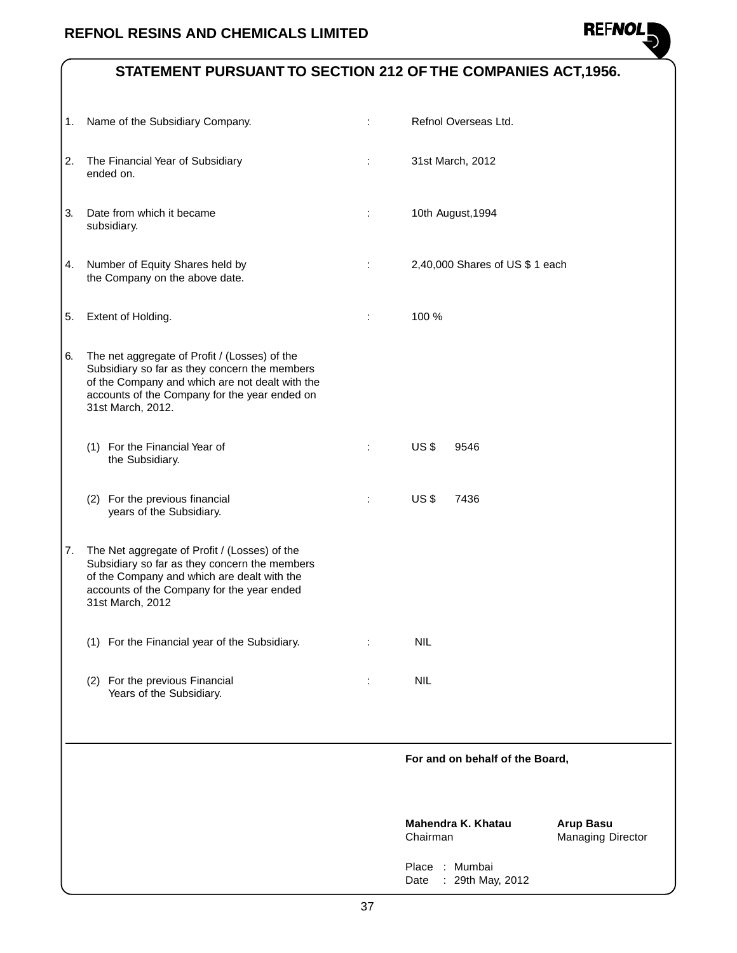

### **STATEMENT PURSUANT TO SECTION 212 OF THE COMPANIES ACT,1956.**

|    |                                                                                                                                                                                                                         |   | : Mumbai<br>Place<br>: 29th May, 2012<br>Date |                                       |
|----|-------------------------------------------------------------------------------------------------------------------------------------------------------------------------------------------------------------------------|---|-----------------------------------------------|---------------------------------------|
|    |                                                                                                                                                                                                                         |   | Mahendra K. Khatau<br>Chairman                | <b>Arup Basu</b><br>Managing Director |
|    |                                                                                                                                                                                                                         |   | For and on behalf of the Board,               |                                       |
|    | Years of the Subsidiary.                                                                                                                                                                                                |   |                                               |                                       |
|    | (1) For the Financial year of the Subsidiary.<br>(2) For the previous Financial                                                                                                                                         | ÷ | <b>NIL</b><br><b>NIL</b>                      |                                       |
| 7. | The Net aggregate of Profit / (Losses) of the<br>Subsidiary so far as they concern the members<br>of the Company and which are dealt with the<br>accounts of the Company for the year ended<br>31st March, 2012         |   |                                               |                                       |
|    | (2) For the previous financial<br>years of the Subsidiary.                                                                                                                                                              |   | US <sub>3</sub><br>7436                       |                                       |
|    | (1) For the Financial Year of<br>the Subsidiary.                                                                                                                                                                        | ÷ | US <sub>3</sub><br>9546                       |                                       |
| 6. | The net aggregate of Profit / (Losses) of the<br>Subsidiary so far as they concern the members<br>of the Company and which are not dealt with the<br>accounts of the Company for the year ended on<br>31st March, 2012. |   |                                               |                                       |
| 5. | Extent of Holding.                                                                                                                                                                                                      | ÷ | 100 %                                         |                                       |
| 4. | Number of Equity Shares held by<br>the Company on the above date.                                                                                                                                                       | ÷ | 2,40,000 Shares of US \$ 1 each               |                                       |
| 3. | Date from which it became<br>subsidiary.                                                                                                                                                                                |   | 10th August, 1994                             |                                       |
| 2. | The Financial Year of Subsidiary<br>ended on.                                                                                                                                                                           | ÷ | 31st March, 2012                              |                                       |
|    | 1. Name of the Subsidiary Company.                                                                                                                                                                                      |   | Refnol Overseas Ltd.                          |                                       |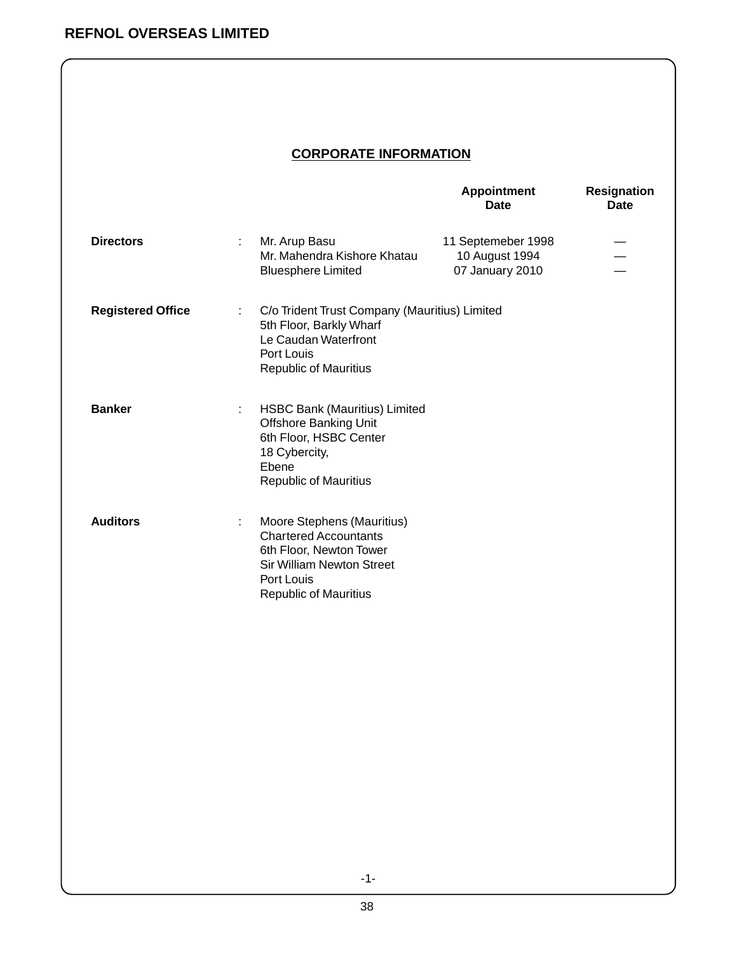### **CORPORATE INFORMATION**

|                          |   |                                                                                                                                                                         | <b>Appointment</b><br><b>Date</b>                       | <b>Resignation</b><br><b>Date</b> |
|--------------------------|---|-------------------------------------------------------------------------------------------------------------------------------------------------------------------------|---------------------------------------------------------|-----------------------------------|
| <b>Directors</b>         |   | Mr. Arup Basu<br>Mr. Mahendra Kishore Khatau<br><b>Bluesphere Limited</b>                                                                                               | 11 Septemeber 1998<br>10 August 1994<br>07 January 2010 |                                   |
| <b>Registered Office</b> | ÷ | C/o Trident Trust Company (Mauritius) Limited<br>5th Floor, Barkly Wharf<br>Le Caudan Waterfront<br>Port Louis<br><b>Republic of Mauritius</b>                          |                                                         |                                   |
| <b>Banker</b>            | ÷ | HSBC Bank (Mauritius) Limited<br><b>Offshore Banking Unit</b><br>6th Floor, HSBC Center<br>18 Cybercity,<br>Ebene<br><b>Republic of Mauritius</b>                       |                                                         |                                   |
| <b>Auditors</b>          |   | Moore Stephens (Mauritius)<br><b>Chartered Accountants</b><br>6th Floor, Newton Tower<br><b>Sir William Newton Street</b><br>Port Louis<br><b>Republic of Mauritius</b> |                                                         |                                   |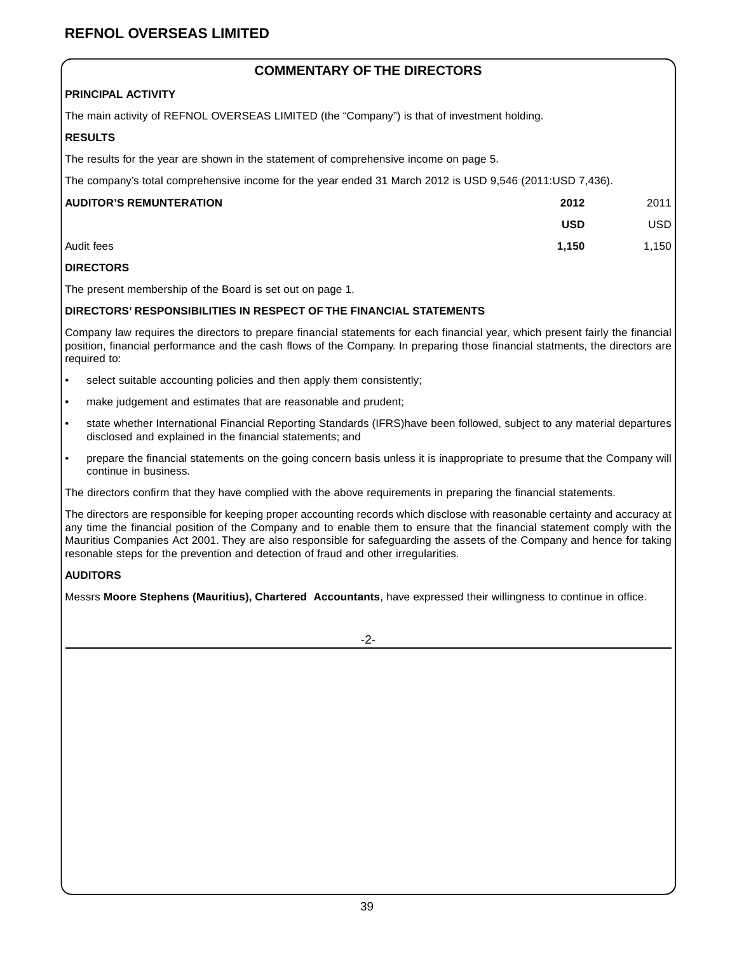### **REFNOL OVERSEAS LIMITED**

### **COMMENTARY OF THE DIRECTORS**

### **PRINCIPAL ACTIVITY**

The main activity of REFNOL OVERSEAS LIMITED (the "Company") is that of investment holding.

### **RESULTS**

The results for the year are shown in the statement of comprehensive income on page 5.

The company's total comprehensive income for the year ended 31 March 2012 is USD 9,546 (2011:USD 7,436).

| <b>AUDITOR'S REMUNTERATION</b> | 2012       | 2011       |
|--------------------------------|------------|------------|
|                                | <b>USD</b> | <b>USD</b> |
| l Audit fees                   | 1.150      | 1,150      |

### **DIRECTORS**

The present membership of the Board is set out on page 1.

### **DIRECTORS' RESPONSIBILITIES IN RESPECT OF THE FINANCIAL STATEMENTS**

Company law requires the directors to prepare financial statements for each financial year, which present fairly the financial position, financial performance and the cash flows of the Company. In preparing those financial statments, the directors are required to:

- select suitable accounting policies and then apply them consistently;
- make judgement and estimates that are reasonable and prudent;
- state whether International Financial Reporting Standards (IFRS)have been followed, subject to any material departures disclosed and explained in the financial statements; and
- prepare the financial statements on the going concern basis unless it is inappropriate to presume that the Company will continue in business.

The directors confirm that they have complied with the above requirements in preparing the financial statements.

The directors are responsible for keeping proper accounting records which disclose with reasonable certainty and accuracy at any time the financial position of the Company and to enable them to ensure that the financial statement comply with the Mauritius Companies Act 2001. They are also responsible for safeguarding the assets of the Company and hence for taking resonable steps for the prevention and detection of fraud and other irregularities.

### **AUDITORS**

Messrs **Moore Stephens (Mauritius), Chartered Accountants**, have expressed their willingness to continue in office.

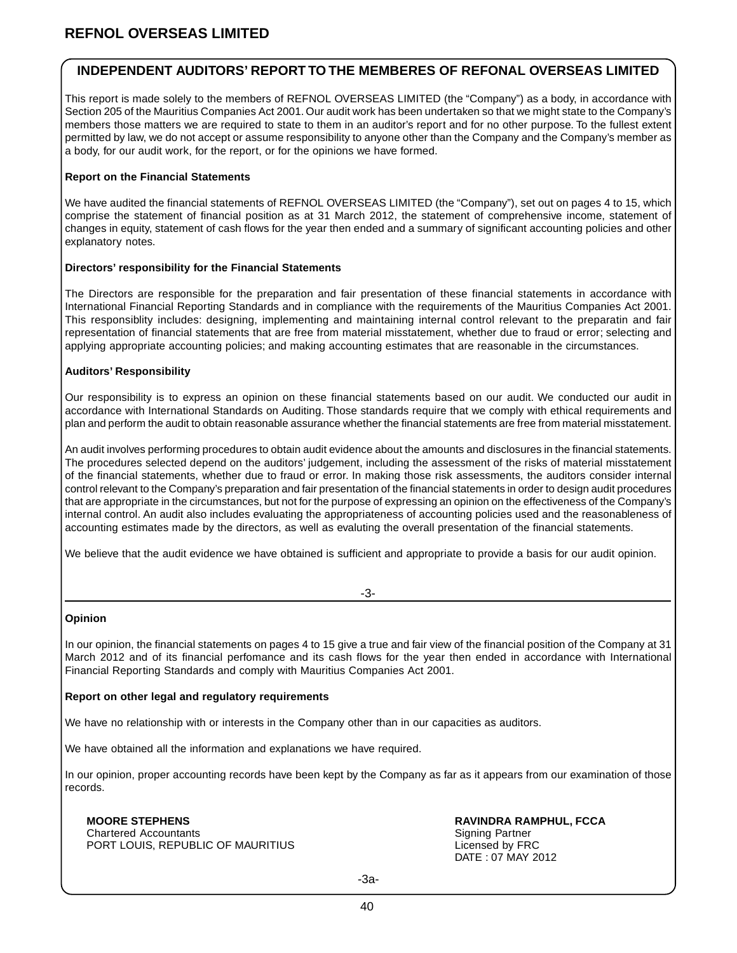### **INDEPENDENT AUDITORS' REPORT TO THE MEMBERES OF REFONAL OVERSEAS LIMITED**

This report is made solely to the members of REFNOL OVERSEAS LIMITED (the "Company") as a body, in accordance with Section 205 of the Mauritius Companies Act 2001. Our audit work has been undertaken so that we might state to the Company's members those matters we are required to state to them in an auditor's report and for no other purpose. To the fullest extent permitted by law, we do not accept or assume responsibility to anyone other than the Company and the Company's member as a body, for our audit work, for the report, or for the opinions we have formed.

### **Report on the Financial Statements**

We have audited the financial statements of REFNOL OVERSEAS LIMITED (the "Company"), set out on pages 4 to 15, which comprise the statement of financial position as at 31 March 2012, the statement of comprehensive income, statement of changes in equity, statement of cash flows for the year then ended and a summary of significant accounting policies and other explanatory notes.

### **Directors' responsibility for the Financial Statements**

The Directors are responsible for the preparation and fair presentation of these financial statements in accordance with International Financial Reporting Standards and in compliance with the requirements of the Mauritius Companies Act 2001. This responsiblity includes: designing, implementing and maintaining internal control relevant to the preparatin and fair representation of financial statements that are free from material misstatement, whether due to fraud or error; selecting and applying appropriate accounting policies; and making accounting estimates that are reasonable in the circumstances.

### **Auditors' Responsibility**

Our responsibility is to express an opinion on these financial statements based on our audit. We conducted our audit in accordance with International Standards on Auditing. Those standards require that we comply with ethical requirements and plan and perform the audit to obtain reasonable assurance whether the financial statements are free from material misstatement.

An audit involves performing procedures to obtain audit evidence about the amounts and disclosures in the financial statements. The procedures selected depend on the auditors' judgement, including the assessment of the risks of material misstatement of the financial statements, whether due to fraud or error. In making those risk assessments, the auditors consider internal control relevant to the Company's preparation and fair presentation of the financial statements in order to design audit procedures that are appropriate in the circumstances, but not for the purpose of expressing an opinion on the effectiveness of the Company's internal control. An audit also includes evaluating the appropriateness of accounting policies used and the reasonableness of accounting estimates made by the directors, as well as evaluting the overall presentation of the financial statements.

We believe that the audit evidence we have obtained is sufficient and appropriate to provide a basis for our audit opinion.

### **Opinion**

In our opinion, the financial statements on pages 4 to 15 give a true and fair view of the financial position of the Company at 31 March 2012 and of its financial perfomance and its cash flows for the year then ended in accordance with International Financial Reporting Standards and comply with Mauritius Companies Act 2001.

### **Report on other legal and regulatory requirements**

We have no relationship with or interests in the Company other than in our capacities as auditors.

We have obtained all the information and explanations we have required.

In our opinion, proper accounting records have been kept by the Company as far as it appears from our examination of those records.

Chartered Accountants<br>
PORT LOUIS. REPUBLIC OF MAURITIUS<br>
PORT LOUIS. REPUBLIC OF MAURITIUS PORT LOUIS, REPUBLIC OF MAURITIUS

**MOORE STEPHENS RAVINDRA RAMPHUL, FCCA** DATE : 07 MAY 2012

-3a-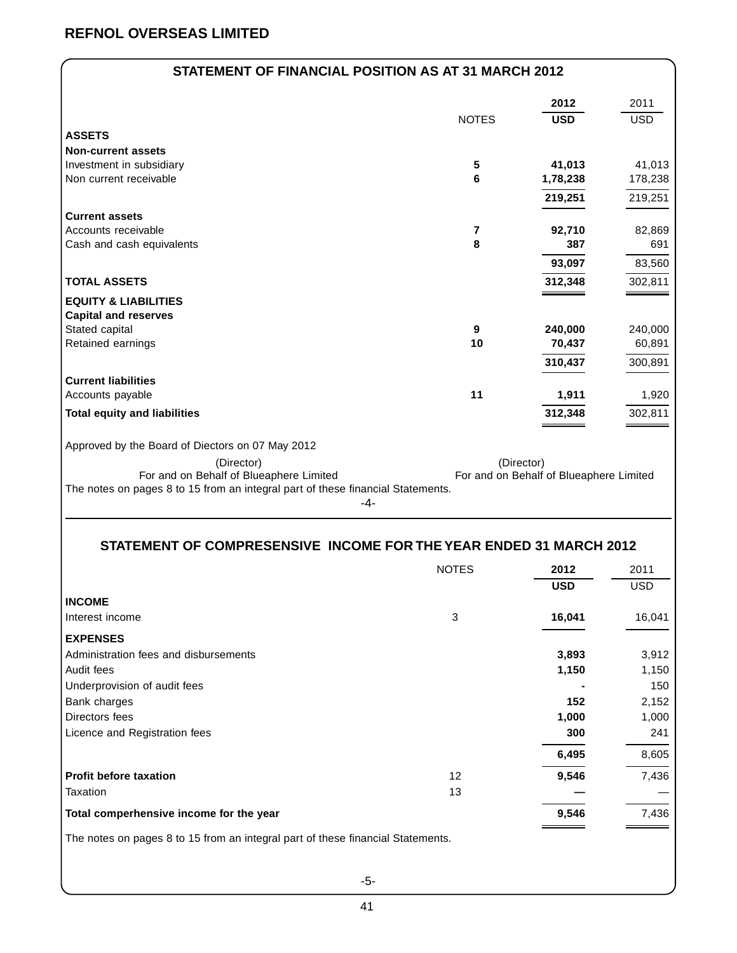|  | STATEMENT OF FINANCIAL POSITION AS AT 31 MARCH 2012 |
|--|-----------------------------------------------------|
|--|-----------------------------------------------------|

|                                                                                 |              | 2012                                    | 2011       |
|---------------------------------------------------------------------------------|--------------|-----------------------------------------|------------|
|                                                                                 | <b>NOTES</b> | <b>USD</b>                              | <b>USD</b> |
| <b>ASSETS</b>                                                                   |              |                                         |            |
| <b>Non-current assets</b>                                                       |              |                                         |            |
| Investment in subsidiary                                                        | 5            | 41,013                                  | 41,013     |
| Non current receivable                                                          | 6            | 1,78,238                                | 178,238    |
|                                                                                 |              | 219,251                                 | 219,251    |
| <b>Current assets</b>                                                           |              |                                         |            |
| Accounts receivable                                                             | 7            | 92,710                                  | 82,869     |
| Cash and cash equivalents                                                       | 8            | 387                                     | 691        |
|                                                                                 |              | 93,097                                  | 83,560     |
| <b>TOTAL ASSETS</b>                                                             |              | 312,348                                 | 302,811    |
| <b>EQUITY &amp; LIABILITIES</b>                                                 |              |                                         |            |
| <b>Capital and reserves</b>                                                     |              |                                         |            |
| Stated capital                                                                  | 9            | 240,000                                 | 240,000    |
| Retained earnings                                                               | 10           | 70,437                                  | 60,891     |
|                                                                                 |              | 310,437                                 | 300,891    |
| <b>Current liabilities</b>                                                      |              |                                         |            |
| Accounts payable                                                                | 11           | 1,911                                   | 1,920      |
| <b>Total equity and liabilities</b>                                             |              | 312,348                                 | 302,811    |
| Approved by the Board of Diectors on 07 May 2012                                |              |                                         |            |
| (Director)                                                                      |              | (Director)                              |            |
| For and on Behalf of Blueaphere Limited                                         |              | For and on Behalf of Blueaphere Limited |            |
| The notes on pages 8 to 15 from an integral part of these financial Statements. |              |                                         |            |
| -4-                                                                             |              |                                         |            |

### **STATEMENT OF COMPRESENSIVE INCOME FOR THE YEAR ENDED 31 MARCH 2012**

|                                                                                 | <b>NOTES</b> | 2012       | 2011       |
|---------------------------------------------------------------------------------|--------------|------------|------------|
|                                                                                 |              | <b>USD</b> | <b>USD</b> |
| <b>INCOME</b>                                                                   |              |            |            |
| Interest income                                                                 | 3            | 16,041     | 16,041     |
| <b>EXPENSES</b>                                                                 |              |            |            |
| Administration fees and disbursements                                           |              | 3,893      | 3,912      |
| Audit fees                                                                      |              | 1,150      | 1,150      |
| Underprovision of audit fees                                                    |              |            | 150        |
| Bank charges                                                                    |              | 152        | 2,152      |
| Directors fees                                                                  |              | 1,000      | 1,000      |
| Licence and Registration fees                                                   |              | 300        | 241        |
|                                                                                 |              | 6,495      | 8,605      |
| <b>Profit before taxation</b>                                                   | 12           | 9,546      | 7,436      |
| Taxation                                                                        | 13           |            |            |
| Total comperhensive income for the year                                         |              | 9,546      | 7,436      |
| The notes on pages 8 to 15 from an integral part of these financial Statements. |              |            |            |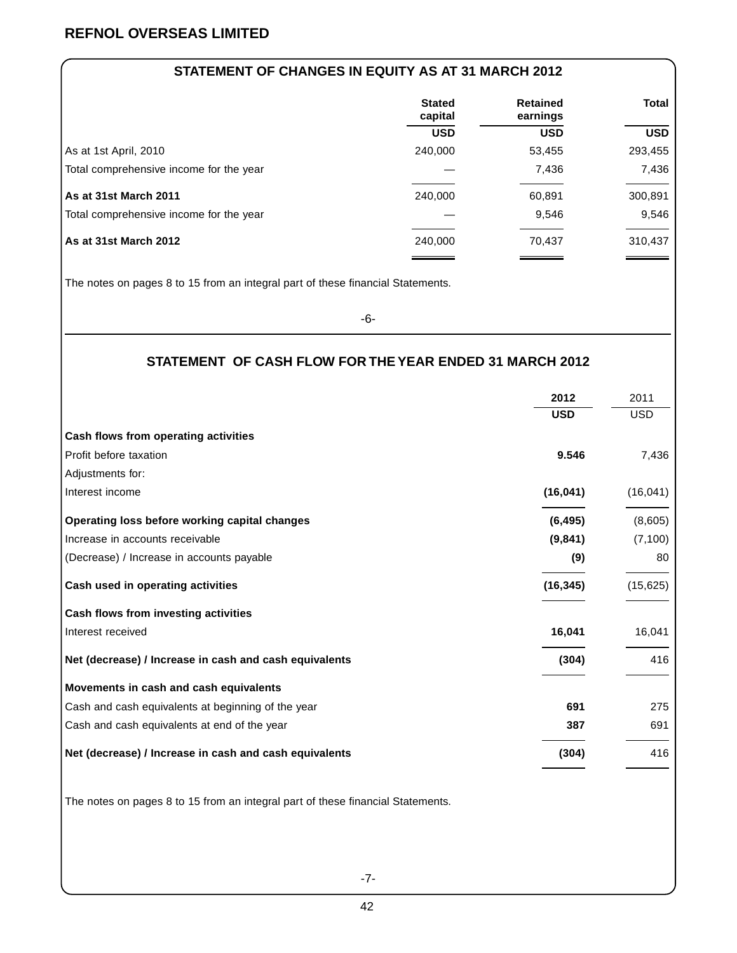### **STATEMENT OF CHANGES IN EQUITY AS AT 31 MARCH 2012**

|                                         | <b>Stated</b><br>capital | <b>Retained</b><br>earnings | <b>Total</b> |
|-----------------------------------------|--------------------------|-----------------------------|--------------|
|                                         | <b>USD</b>               | <b>USD</b>                  | <b>USD</b>   |
| As at 1st April, 2010                   | 240,000                  | 53,455                      | 293,455      |
| Total comprehensive income for the year |                          | 7,436                       | 7,436        |
| As at 31st March 2011                   | 240,000                  | 60,891                      | 300,891      |
| Total comprehensive income for the year |                          | 9,546                       | 9,546        |
| l As at 31st March 2012                 | 240,000                  | 70,437                      | 310,437      |

The notes on pages 8 to 15 from an integral part of these financial Statements.

-6-

### **STATEMENT OF CASH FLOW FOR THE YEAR ENDED 31 MARCH 2012**

|                                                        | 2012       | 2011       |
|--------------------------------------------------------|------------|------------|
|                                                        | <b>USD</b> | <b>USD</b> |
| Cash flows from operating activities                   |            |            |
| Profit before taxation                                 | 9.546      | 7,436      |
| Adjustments for:                                       |            |            |
| Interest income                                        | (16, 041)  | (16, 041)  |
| Operating loss before working capital changes          | (6, 495)   | (8,605)    |
| Increase in accounts receivable                        | (9,841)    | (7, 100)   |
| (Decrease) / Increase in accounts payable              | (9)        | 80         |
| Cash used in operating activities                      | (16, 345)  | (15, 625)  |
| Cash flows from investing activities                   |            |            |
| Interest received                                      | 16,041     | 16,041     |
| Net (decrease) / Increase in cash and cash equivalents | (304)      | 416        |
| Movements in cash and cash equivalents                 |            |            |
| Cash and cash equivalents at beginning of the year     | 691        | 275        |
| Cash and cash equivalents at end of the year           | 387        | 691        |
| Net (decrease) / Increase in cash and cash equivalents | (304)      | 416        |

The notes on pages 8 to 15 from an integral part of these financial Statements.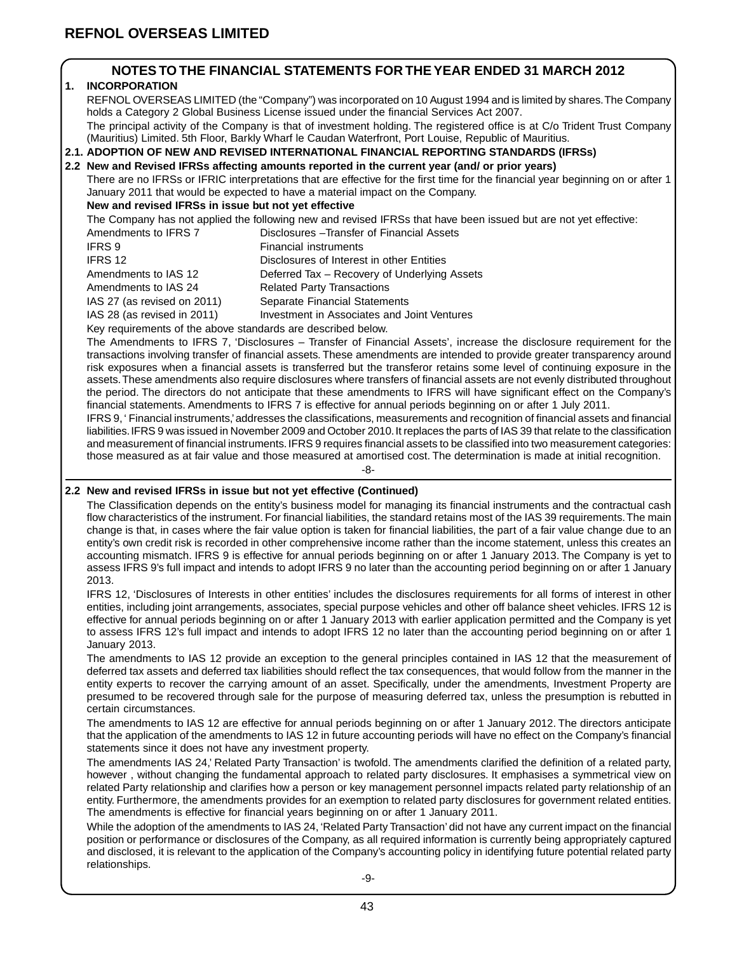### **NOTES TO THE FINANCIAL STATEMENTS FOR THE YEAR ENDED 31 MARCH 2012**

### **1. INCORPORATION**

REFNOL OVERSEAS LIMITED (the "Company") was incorporated on 10 August 1994 and is limited by shares. The Company holds a Category 2 Global Business License issued under the financial Services Act 2007. The principal activity of the Company is that of investment holding. The registered office is at C/o Trident Trust Company (Mauritius) Limited. 5th Floor, Barkly Wharf le Caudan Waterfront, Port Louise, Republic of Mauritius.

### **2.1. ADOPTION OF NEW AND REVISED INTERNATIONAL FINANCIAL REPORTING STANDARDS (IFRSs)**

**2.2 New and Revised IFRSs affecting amounts reported in the current year (and/ or prior years)**

There are no IFRSs or IFRIC interpretations that are effective for the first time for the financial year beginning on or after 1 January 2011 that would be expected to have a material impact on the Company.

### **New and revised IFRSs in issue but not yet effective**

The Company has not applied the following new and revised IFRSs that have been issued but are not yet effective:

- Amendments to IFRS 7 Disclosures Transfer of Financial Assets IFRS 9 Financial instruments IFRS 12 Disclosures of Interest in other Entities Amendments to IAS 12 Deferred Tax – Recovery of Underlying Assets Amendments to IAS 24 Related Party Transactions
- IAS 27 (as revised on 2011) Separate Financial Statements

IAS 28 (as revised in 2011) Investment in Associates and Joint Ventures

Key requirements of the above standards are described below.

The Amendments to IFRS 7, 'Disclosures – Transfer of Financial Assets', increase the disclosure requirement for the transactions involving transfer of financial assets. These amendments are intended to provide greater transparency around risk exposures when a financial assets is transferred but the transferor retains some level of continuing exposure in the assets. These amendments also require disclosures where transfers of financial assets are not evenly distributed throughout the period. The directors do not anticipate that these amendments to IFRS will have significant effect on the Company's financial statements. Amendments to IFRS 7 is effective for annual periods beginning on or after 1 July 2011.

IFRS 9, ' Financial instruments,' addresses the classifications, measurements and recognition of financial assets and financial liabilities. IFRS 9 was issued in November 2009 and October 2010. It replaces the parts of IAS 39 that relate to the classification and measurement of financial instruments. IFRS 9 requires financial assets to be classified into two measurement categories: those measured as at fair value and those measured at amortised cost. The determination is made at initial recognition.

-8-

### **2.2 New and revised IFRSs in issue but not yet effective (Continued)**

The Classification depends on the entity's business model for managing its financial instruments and the contractual cash flow characteristics of the instrument. For financial liabilities, the standard retains most of the IAS 39 requirements. The main change is that, in cases where the fair value option is taken for financial liabilities, the part of a fair value change due to an entity's own credit risk is recorded in other comprehensive income rather than the income statement, unless this creates an accounting mismatch. IFRS 9 is effective for annual periods beginning on or after 1 January 2013. The Company is yet to assess IFRS 9's full impact and intends to adopt IFRS 9 no later than the accounting period beginning on or after 1 January 2013.

IFRS 12, 'Disclosures of Interests in other entities' includes the disclosures requirements for all forms of interest in other entities, including joint arrangements, associates, special purpose vehicles and other off balance sheet vehicles. IFRS 12 is effective for annual periods beginning on or after 1 January 2013 with earlier application permitted and the Company is yet to assess IFRS 12's full impact and intends to adopt IFRS 12 no later than the accounting period beginning on or after 1 January 2013.

The amendments to IAS 12 provide an exception to the general principles contained in IAS 12 that the measurement of deferred tax assets and deferred tax liabilities should reflect the tax consequences, that would follow from the manner in the entity experts to recover the carrying amount of an asset. Specifically, under the amendments, Investment Property are presumed to be recovered through sale for the purpose of measuring deferred tax, unless the presumption is rebutted in certain circumstances.

The amendments to IAS 12 are effective for annual periods beginning on or after 1 January 2012. The directors anticipate that the application of the amendments to IAS 12 in future accounting periods will have no effect on the Company's financial statements since it does not have any investment property.

The amendments IAS 24,' Related Party Transaction' is twofold. The amendments clarified the definition of a related party, however , without changing the fundamental approach to related party disclosures. It emphasises a symmetrical view on related Party relationship and clarifies how a person or key management personnel impacts related party relationship of an entity. Furthermore, the amendments provides for an exemption to related party disclosures for government related entities. The amendments is effective for financial years beginning on or after 1 January 2011.

While the adoption of the amendments to IAS 24, 'Related Party Transaction' did not have any current impact on the financial position or performance or disclosures of the Company, as all required information is currently being appropriately captured and disclosed, it is relevant to the application of the Company's accounting policy in identifying future potential related party relationships.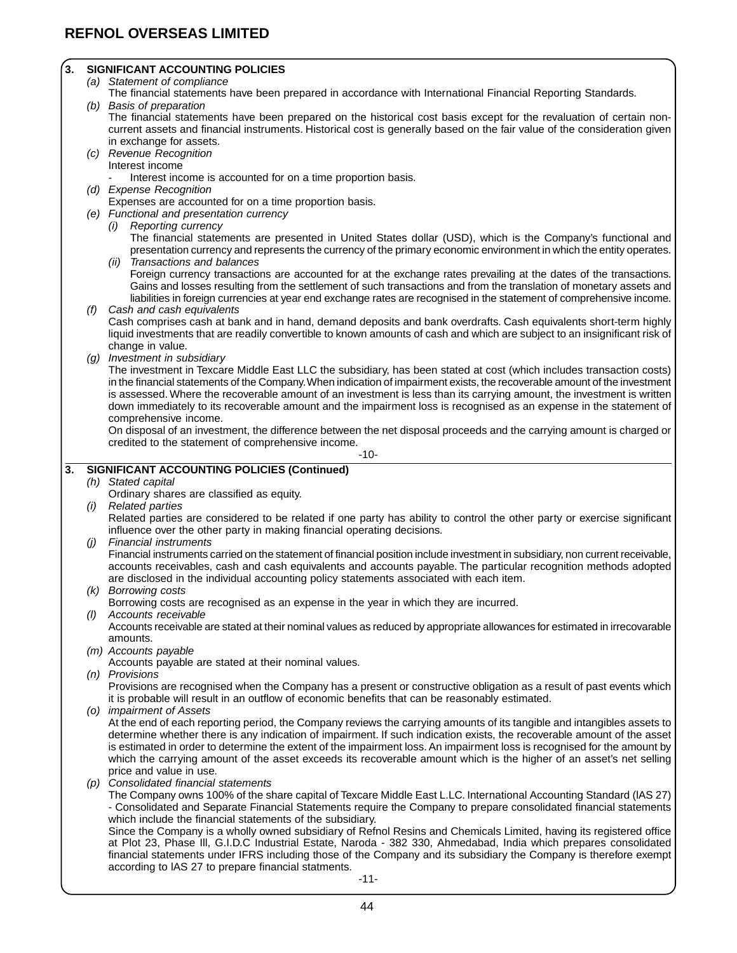### **3. SIGNIFICANT ACCOUNTING POLICIES**

- (a) Statement of compliance
- The financial statements have been prepared in accordance with International Financial Reporting Standards.
- (b) Basis of preparation

The financial statements have been prepared on the historical cost basis except for the revaluation of certain noncurrent assets and financial instruments. Historical cost is generally based on the fair value of the consideration given in exchange for assets.

(c) Revenue Recognition Interest income

Interest income is accounted for on a time proportion basis.

(d) Expense Recognition

Expenses are accounted for on a time proportion basis.

- (e) Functional and presentation currency
	- (i) Reporting currency

The financial statements are presented in United States dollar (USD), which is the Company's functional and presentation currency and represents the currency of the primary economic environment in which the entity operates. (ii) Transactions and balances

Foreign currency transactions are accounted for at the exchange rates prevailing at the dates of the transactions. Gains and losses resulting from the settlement of such transactions and from the translation of monetary assets and liabilities in foreign currencies at year end exchange rates are recognised in the statement of comprehensive income.

(f) Cash and cash equivalents

Cash comprises cash at bank and in hand, demand deposits and bank overdrafts. Cash equivalents short-term highly liquid investments that are readily convertible to known amounts of cash and which are subject to an insignificant risk of change in value.

(g) Investment in subsidiary

The investment in Texcare Middle East LLC the subsidiary, has been stated at cost (which includes transaction costs) in the financial statements of the Company. When indication of impairment exists, the recoverable amount of the investment is assessed. Where the recoverable amount of an investment is less than its carrying amount, the investment is written down immediately to its recoverable amount and the impairment loss is recognised as an expense in the statement of comprehensive income.

On disposal of an investment, the difference between the net disposal proceeds and the carrying amount is charged or credited to the statement of comprehensive income.

-10-

### **3. SIGNIFICANT ACCOUNTING POLICIES (Continued)**

(h) Stated capital

Ordinary shares are classified as equity. **Related parties** 

Related parties are considered to be related if one party has ability to control the other party or exercise significant influence over the other party in making financial operating decisions.

(j) Financial instruments

Financial instruments carried on the statement of financial position include investment in subsidiary, non current receivable, accounts receivables, cash and cash equivalents and accounts payable. The particular recognition methods adopted are disclosed in the individual accounting policy statements associated with each item.

(k) Borrowing costs

Borrowing costs are recognised as an expense in the year in which they are incurred.

(l) Accounts receivable

Accounts receivable are stated at their nominal values as reduced by appropriate allowances for estimated in irrecovarable amounts.

(m) Accounts payable

Accounts payable are stated at their nominal values.

(n) Provisions

Provisions are recognised when the Company has a present or constructive obligation as a result of past events which it is probable will result in an outflow of economic benefits that can be reasonably estimated.

(o) impairment of Assets

At the end of each reporting period, the Company reviews the carrying amounts of its tangible and intangibles assets to determine whether there is any indication of impairment. If such indication exists, the recoverable amount of the asset is estimated in order to determine the extent of the impairment loss. An impairment loss is recognised for the amount by which the carrying amount of the asset exceeds its recoverable amount which is the higher of an asset's net selling price and value in use.

(p) Consolidated financial statements

The Company owns 100% of the share capital of Texcare Middle East L.LC. International Accounting Standard (lAS 27) - Consolidated and Separate Financial Statements require the Company to prepare consolidated financial statements which include the financial statements of the subsidiary.

Since the Company is a wholly owned subsidiary of Refnol Resins and Chemicals Limited, having its registered office at Plot 23, Phase Ill, G.I.D.C Industrial Estate, Naroda - 382 330, Ahmedabad, India which prepares consolidated financial statements under IFRS including those of the Company and its subsidiary the Company is therefore exempt according to lAS 27 to prepare financial statments.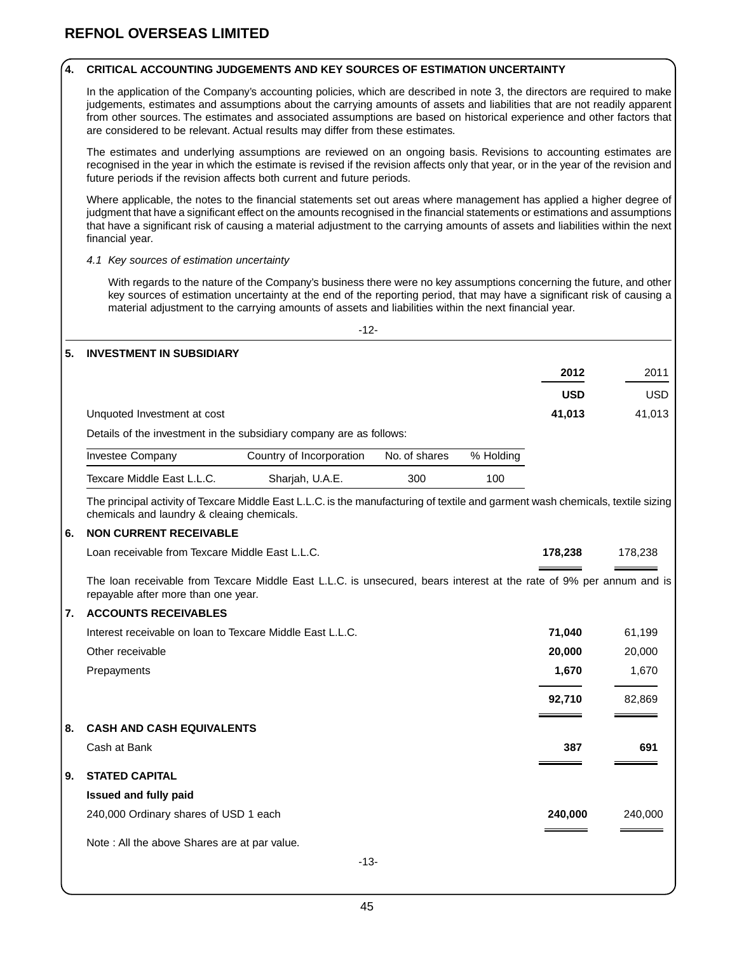### **4. CRITICAL ACCOUNTING JUDGEMENTS AND KEY SOURCES OF ESTIMATION UNCERTAINTY**

In the application of the Company's accounting policies, which are described in note 3, the directors are required to make judgements, estimates and assumptions about the carrying amounts of assets and liabilities that are not readily apparent from other sources. The estimates and associated assumptions are based on historical experience and other factors that are considered to be relevant. Actual results may differ from these estimates.

The estimates and underlying assumptions are reviewed on an ongoing basis. Revisions to accounting estimates are recognised in the year in which the estimate is revised if the revision affects only that year, or in the year of the revision and future periods if the revision affects both current and future periods.

Where applicable, the notes to the financial statements set out areas where management has applied a higher degree of judgment that have a significant effect on the amounts recognised in the financial statements or estimations and assumptions that have a significant risk of causing a material adjustment to the carrying amounts of assets and liabilities within the next financial year.

### 4.1 Key sources of estimation uncertainty

With regards to the nature of the Company's business there were no key assumptions concerning the future, and other key sources of estimation uncertainty at the end of the reporting period, that may have a significant risk of causing a material adjustment to the carrying amounts of assets and liabilities within the next financial year.

|                                                                                                                                                                               | $-12-$                   |               |           |            |            |
|-------------------------------------------------------------------------------------------------------------------------------------------------------------------------------|--------------------------|---------------|-----------|------------|------------|
| 5.<br><b>INVESTMENT IN SUBSIDIARY</b>                                                                                                                                         |                          |               |           |            |            |
|                                                                                                                                                                               |                          |               |           | 2012       | 2011       |
|                                                                                                                                                                               |                          |               |           | <b>USD</b> | <b>USD</b> |
| Unquoted Investment at cost                                                                                                                                                   |                          |               |           | 41,013     | 41,013     |
| Details of the investment in the subsidiary company are as follows:                                                                                                           |                          |               |           |            |            |
| Investee Company                                                                                                                                                              | Country of Incorporation | No. of shares | % Holding |            |            |
| Texcare Middle East L.L.C.                                                                                                                                                    | Sharjah, U.A.E.          | 300           | 100       |            |            |
| The principal activity of Texcare Middle East L.L.C. is the manufacturing of textile and garment wash chemicals, textile sizing<br>chemicals and laundry & cleaing chemicals. |                          |               |           |            |            |
| <b>NON CURRENT RECEIVABLE</b><br>6.                                                                                                                                           |                          |               |           |            |            |
| Loan receivable from Texcare Middle East L.L.C.                                                                                                                               |                          |               |           | 178,238    | 178,238    |
| The loan receivable from Texcare Middle East L.L.C. is unsecured, bears interest at the rate of 9% per annum and is<br>repayable after more than one year.                    |                          |               |           |            |            |
| <b>ACCOUNTS RECEIVABLES</b><br>7.                                                                                                                                             |                          |               |           |            |            |
| Interest receivable on loan to Texcare Middle East L.L.C.                                                                                                                     |                          |               |           | 71,040     | 61,199     |
| Other receivable                                                                                                                                                              |                          |               |           | 20,000     | 20,000     |
| Prepayments                                                                                                                                                                   |                          |               |           | 1,670      | 1,670      |
|                                                                                                                                                                               |                          |               |           | 92,710     | 82,869     |
| 8.<br><b>CASH AND CASH EQUIVALENTS</b>                                                                                                                                        |                          |               |           |            |            |
| Cash at Bank                                                                                                                                                                  |                          |               |           | 387        | 691        |
| <b>STATED CAPITAL</b><br>9.                                                                                                                                                   |                          |               |           |            |            |
| <b>Issued and fully paid</b>                                                                                                                                                  |                          |               |           |            |            |
| 240,000 Ordinary shares of USD 1 each                                                                                                                                         |                          |               |           | 240,000    | 240,000    |
| Note: All the above Shares are at par value.                                                                                                                                  |                          |               |           |            |            |
|                                                                                                                                                                               | $-13-$                   |               |           |            |            |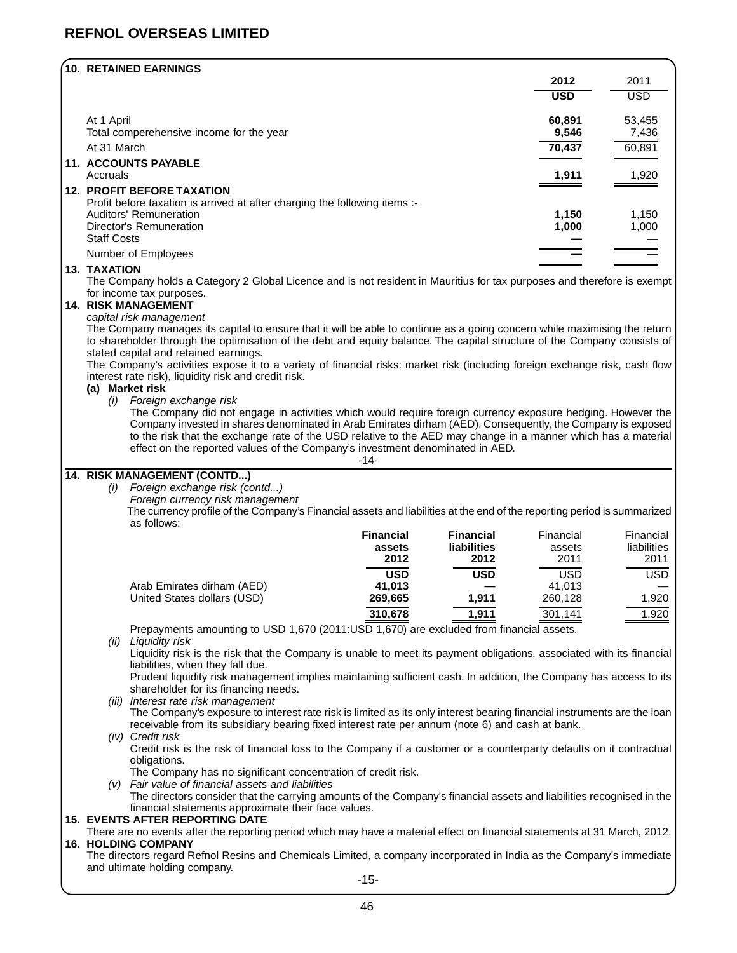### **REFNOL OVERSEAS LIMITED**

| 10. RETAINED EARNINGS                                                      |            |            |
|----------------------------------------------------------------------------|------------|------------|
|                                                                            | 2012       | 2011       |
|                                                                            | <b>USD</b> | <b>USD</b> |
| At 1 April                                                                 | 60.891     | 53,455     |
| Total comperehensive income for the year                                   | 9,546      | 7,436      |
| At 31 March                                                                | 70,437     | 60,891     |
| <b>11. ACCOUNTS PAYABLE</b>                                                |            |            |
| Accruals                                                                   | 1,911      | 1,920      |
| <b>12. PROFIT BEFORE TAXATION</b>                                          |            |            |
| Profit before taxation is arrived at after charging the following items :- |            |            |
| Auditors' Remuneration                                                     | 1,150      | 1,150      |
| Director's Remuneration                                                    | 1,000      | 1,000      |
| <b>Staff Costs</b>                                                         |            |            |
| Number of Employees                                                        |            |            |
| <b>13. TAXATION</b>                                                        |            |            |

The Company holds a Category 2 Global Licence and is not resident in Mauritius for tax purposes and therefore is exempt for income tax purposes.

### **14. RISK MANAGEMENT**

#### capital risk management

The Company manages its capital to ensure that it will be able to continue as a going concern while maximising the return to shareholder through the optimisation of the debt and equity balance. The capital structure of the Company consists of stated capital and retained earnings.

The Company's activities expose it to a variety of financial risks: market risk (including foreign exchange risk, cash flow interest rate risk), liquidity risk and credit risk.

#### **(a) Market risk**

(i) Foreign exchange risk

The Company did not engage in activities which would require foreign currency exposure hedging. However the Company invested in shares denominated in Arab Emirates dirham (AED). Consequently, the Company is exposed to the risk that the exchange rate of the USD relative to the AED may change in a manner which has a material effect on the reported values of the Company's investment denominated in AED.

| ۰, |  |  |
|----|--|--|
|----|--|--|

### **14. RISK MANAGEMENT (CONTD...)**

(i) Foreign exchange risk (contd...)

Foreign currency risk management

The currency profile of the Company's Financial assets and liabilities at the end of the reporting period is summarized as follows:

|                             | <b>Financial</b> | <b>Financial</b>   | Financial  | Financial   |
|-----------------------------|------------------|--------------------|------------|-------------|
|                             | assets           | <b>liabilities</b> | assets     | liabilities |
|                             | 2012             | 2012               | 2011       | 2011        |
|                             | <b>USD</b>       | <b>USD</b>         | <b>USD</b> | <b>USD</b>  |
| Arab Emirates dirham (AED)  | 41.013           |                    | 41.013     |             |
| United States dollars (USD) | 269,665          | 1.911              | 260,128    | 1.920       |
|                             | 310,678          | 1.911              | 301,141    | 1,920       |

Prepayments amounting to USD 1,670 (2011:USD 1,670) are excluded from financial assets.

(ii) Liquidity risk

Liquidity risk is the risk that the Company is unable to meet its payment obligations, associated with its financial liabilities, when they fall due.

Prudent liquidity risk management implies maintaining sufficient cash. In addition, the Company has access to its shareholder for its financing needs.

(iii) Interest rate risk management

The Company's exposure to interest rate risk is limited as its only interest bearing financial instruments are the loan receivable from its subsidiary bearing fixed interest rate per annum (note 6) and cash at bank.

#### (iv) Credit risk Credit risk is the risk of financial loss to the Company if a customer or a counterparty defaults on it contractual obligations.

The Company has no significant concentration of credit risk.

(v) Fair value of financial assets and liabilities

The directors consider that the carrying amounts of the Company's financial assets and liabilities recognised in the financial statements approximate their face values.

### **15. EVENTS AFTER REPORTING DATE**

There are no events after the reporting period which may have a material effect on financial statements at 31 March, 2012. **16. HOLDING COMPANY**

The directors regard Refnol Resins and Chemicals Limited, a company incorporated in India as the Company's immediate and ultimate holding company.

-15-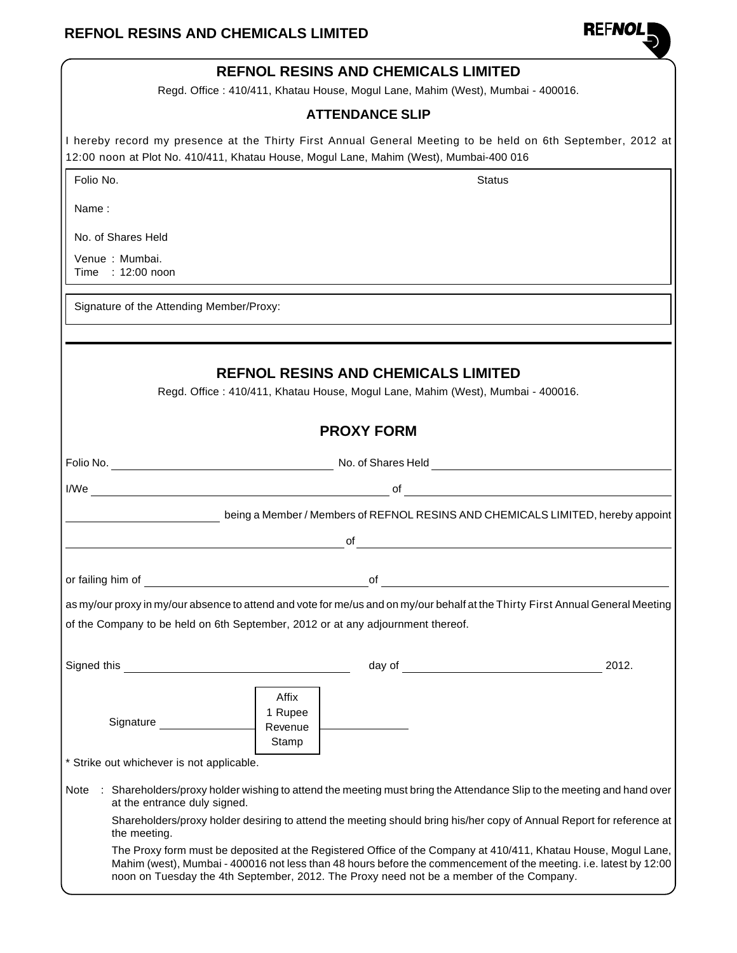

|             |                                                                                        |                             | <b>REFNOL RESINS AND CHEMICALS LIMITED</b>                      |                                                                                                                                                                                                                                                                                                                                |       |
|-------------|----------------------------------------------------------------------------------------|-----------------------------|-----------------------------------------------------------------|--------------------------------------------------------------------------------------------------------------------------------------------------------------------------------------------------------------------------------------------------------------------------------------------------------------------------------|-------|
|             |                                                                                        |                             |                                                                 | Regd. Office: 410/411, Khatau House, Mogul Lane, Mahim (West), Mumbai - 400016.                                                                                                                                                                                                                                                |       |
|             |                                                                                        |                             | <b>ATTENDANCE SLIP</b>                                          |                                                                                                                                                                                                                                                                                                                                |       |
|             | 12:00 noon at Plot No. 410/411, Khatau House, Mogul Lane, Mahim (West), Mumbai-400 016 |                             |                                                                 | I hereby record my presence at the Thirty First Annual General Meeting to be held on 6th September, 2012 at                                                                                                                                                                                                                    |       |
| Folio No.   |                                                                                        |                             |                                                                 | <b>Status</b>                                                                                                                                                                                                                                                                                                                  |       |
| Name:       |                                                                                        |                             |                                                                 |                                                                                                                                                                                                                                                                                                                                |       |
|             | No. of Shares Held                                                                     |                             |                                                                 |                                                                                                                                                                                                                                                                                                                                |       |
|             | Venue: Mumbai.                                                                         |                             |                                                                 |                                                                                                                                                                                                                                                                                                                                |       |
|             | Time : 12:00 noon                                                                      |                             |                                                                 |                                                                                                                                                                                                                                                                                                                                |       |
|             | Signature of the Attending Member/Proxy:                                               |                             |                                                                 |                                                                                                                                                                                                                                                                                                                                |       |
|             |                                                                                        |                             |                                                                 |                                                                                                                                                                                                                                                                                                                                |       |
|             |                                                                                        |                             | <b>REFNOL RESINS AND CHEMICALS LIMITED</b><br><b>PROXY FORM</b> | Regd. Office: 410/411, Khatau House, Mogul Lane, Mahim (West), Mumbai - 400016.                                                                                                                                                                                                                                                |       |
|             |                                                                                        |                             |                                                                 |                                                                                                                                                                                                                                                                                                                                |       |
|             | $I/We$ $\qquad \qquad$                                                                 |                             |                                                                 | of $\overline{\phantom{a}}$                                                                                                                                                                                                                                                                                                    |       |
|             |                                                                                        |                             |                                                                 | being a Member / Members of REFNOL RESINS AND CHEMICALS LIMITED, hereby appoint                                                                                                                                                                                                                                                |       |
|             |                                                                                        |                             | of                                                              |                                                                                                                                                                                                                                                                                                                                |       |
|             |                                                                                        |                             |                                                                 |                                                                                                                                                                                                                                                                                                                                |       |
|             | or failing him of                                                                      |                             | of                                                              |                                                                                                                                                                                                                                                                                                                                |       |
|             |                                                                                        |                             |                                                                 | as my/our proxy in my/our absence to attend and vote for me/us and on my/our behalf at the Thirty First Annual General Meeting                                                                                                                                                                                                 |       |
|             | of the Company to be held on 6th September, 2012 or at any adjournment thereof.        |                             |                                                                 |                                                                                                                                                                                                                                                                                                                                |       |
|             |                                                                                        |                             |                                                                 |                                                                                                                                                                                                                                                                                                                                | 2012. |
| Signed this |                                                                                        |                             |                                                                 | day of the contract of the contract of the contract of the contract of the contract of the contract of the contract of the contract of the contract of the contract of the contract of the contract of the contract of the con                                                                                                 |       |
|             | Signature                                                                              | Affix<br>1 Rupee<br>Revenue |                                                                 |                                                                                                                                                                                                                                                                                                                                |       |
|             |                                                                                        | Stamp                       |                                                                 |                                                                                                                                                                                                                                                                                                                                |       |
|             | * Strike out whichever is not applicable.                                              |                             |                                                                 |                                                                                                                                                                                                                                                                                                                                |       |
| Note        | at the entrance duly signed.                                                           |                             |                                                                 | : Shareholders/proxy holder wishing to attend the meeting must bring the Attendance Slip to the meeting and hand over                                                                                                                                                                                                          |       |
|             | the meeting.                                                                           |                             |                                                                 | Shareholders/proxy holder desiring to attend the meeting should bring his/her copy of Annual Report for reference at                                                                                                                                                                                                           |       |
|             |                                                                                        |                             |                                                                 | The Proxy form must be deposited at the Registered Office of the Company at 410/411, Khatau House, Mogul Lane,<br>Mahim (west), Mumbai - 400016 not less than 48 hours before the commencement of the meeting. i.e. latest by 12:00<br>noon on Tuesday the 4th September, 2012. The Proxy need not be a member of the Company. |       |